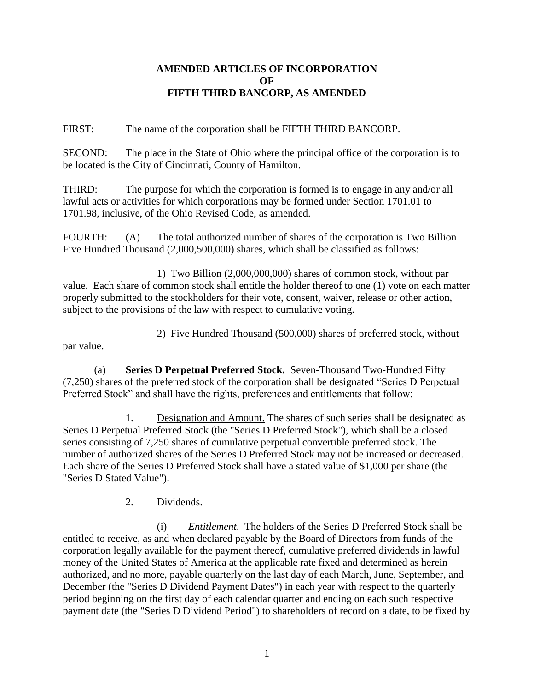#### **AMENDED ARTICLES OF INCORPORATION OF FIFTH THIRD BANCORP, AS AMENDED**

FIRST: The name of the corporation shall be FIFTH THIRD BANCORP.

SECOND: The place in the State of Ohio where the principal office of the corporation is to be located is the City of Cincinnati, County of Hamilton.

THIRD: The purpose for which the corporation is formed is to engage in any and/or all lawful acts or activities for which corporations may be formed under Section 1701.01 to 1701.98, inclusive, of the Ohio Revised Code, as amended.

FOURTH: (A) The total authorized number of shares of the corporation is Two Billion Five Hundred Thousand (2,000,500,000) shares, which shall be classified as follows:

1) Two Billion (2,000,000,000) shares of common stock, without par value. Each share of common stock shall entitle the holder thereof to one (1) vote on each matter properly submitted to the stockholders for their vote, consent, waiver, release or other action, subject to the provisions of the law with respect to cumulative voting.

2) Five Hundred Thousand (500,000) shares of preferred stock, without

par value.

(a) **Series D Perpetual Preferred Stock.** Seven-Thousand Two-Hundred Fifty (7,250) shares of the preferred stock of the corporation shall be designated "Series D Perpetual Preferred Stock" and shall have the rights, preferences and entitlements that follow:

1. Designation and Amount. The shares of such series shall be designated as Series D Perpetual Preferred Stock (the "Series D Preferred Stock"), which shall be a closed series consisting of 7,250 shares of cumulative perpetual convertible preferred stock. The number of authorized shares of the Series D Preferred Stock may not be increased or decreased. Each share of the Series D Preferred Stock shall have a stated value of \$1,000 per share (the "Series D Stated Value").

2. Dividends.

(i) *Entitlement*. The holders of the Series D Preferred Stock shall be entitled to receive, as and when declared payable by the Board of Directors from funds of the corporation legally available for the payment thereof, cumulative preferred dividends in lawful money of the United States of America at the applicable rate fixed and determined as herein authorized, and no more, payable quarterly on the last day of each March, June, September, and December (the "Series D Dividend Payment Dates") in each year with respect to the quarterly period beginning on the first day of each calendar quarter and ending on each such respective payment date (the "Series D Dividend Period") to shareholders of record on a date, to be fixed by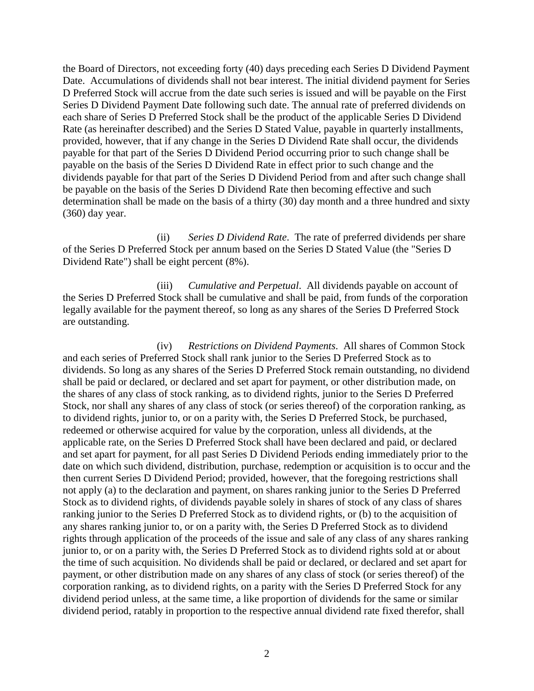the Board of Directors, not exceeding forty (40) days preceding each Series D Dividend Payment Date. Accumulations of dividends shall not bear interest. The initial dividend payment for Series D Preferred Stock will accrue from the date such series is issued and will be payable on the First Series D Dividend Payment Date following such date. The annual rate of preferred dividends on each share of Series D Preferred Stock shall be the product of the applicable Series D Dividend Rate (as hereinafter described) and the Series D Stated Value, payable in quarterly installments, provided, however, that if any change in the Series D Dividend Rate shall occur, the dividends payable for that part of the Series D Dividend Period occurring prior to such change shall be payable on the basis of the Series D Dividend Rate in effect prior to such change and the dividends payable for that part of the Series D Dividend Period from and after such change shall be payable on the basis of the Series D Dividend Rate then becoming effective and such determination shall be made on the basis of a thirty (30) day month and a three hundred and sixty (360) day year.

(ii) *Series D Dividend Rate*. The rate of preferred dividends per share of the Series D Preferred Stock per annum based on the Series D Stated Value (the "Series D Dividend Rate") shall be eight percent (8%).

(iii) *Cumulative and Perpetual*. All dividends payable on account of the Series D Preferred Stock shall be cumulative and shall be paid, from funds of the corporation legally available for the payment thereof, so long as any shares of the Series D Preferred Stock are outstanding.

(iv) *Restrictions on Dividend Payments*. All shares of Common Stock and each series of Preferred Stock shall rank junior to the Series D Preferred Stock as to dividends. So long as any shares of the Series D Preferred Stock remain outstanding, no dividend shall be paid or declared, or declared and set apart for payment, or other distribution made, on the shares of any class of stock ranking, as to dividend rights, junior to the Series D Preferred Stock, nor shall any shares of any class of stock (or series thereof) of the corporation ranking, as to dividend rights, junior to, or on a parity with, the Series D Preferred Stock, be purchased, redeemed or otherwise acquired for value by the corporation, unless all dividends, at the applicable rate, on the Series D Preferred Stock shall have been declared and paid, or declared and set apart for payment, for all past Series D Dividend Periods ending immediately prior to the date on which such dividend, distribution, purchase, redemption or acquisition is to occur and the then current Series D Dividend Period; provided, however, that the foregoing restrictions shall not apply (a) to the declaration and payment, on shares ranking junior to the Series D Preferred Stock as to dividend rights, of dividends payable solely in shares of stock of any class of shares ranking junior to the Series D Preferred Stock as to dividend rights, or (b) to the acquisition of any shares ranking junior to, or on a parity with, the Series D Preferred Stock as to dividend rights through application of the proceeds of the issue and sale of any class of any shares ranking junior to, or on a parity with, the Series D Preferred Stock as to dividend rights sold at or about the time of such acquisition. No dividends shall be paid or declared, or declared and set apart for payment, or other distribution made on any shares of any class of stock (or series thereof) of the corporation ranking, as to dividend rights, on a parity with the Series D Preferred Stock for any dividend period unless, at the same time, a like proportion of dividends for the same or similar dividend period, ratably in proportion to the respective annual dividend rate fixed therefor, shall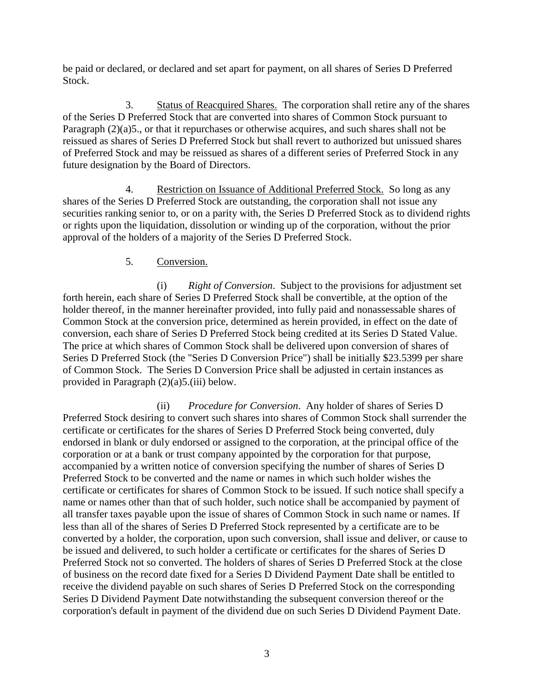be paid or declared, or declared and set apart for payment, on all shares of Series D Preferred Stock.

3. Status of Reacquired Shares. The corporation shall retire any of the shares of the Series D Preferred Stock that are converted into shares of Common Stock pursuant to Paragraph (2)(a)5., or that it repurchases or otherwise acquires, and such shares shall not be reissued as shares of Series D Preferred Stock but shall revert to authorized but unissued shares of Preferred Stock and may be reissued as shares of a different series of Preferred Stock in any future designation by the Board of Directors.

4. Restriction on Issuance of Additional Preferred Stock. So long as any shares of the Series D Preferred Stock are outstanding, the corporation shall not issue any securities ranking senior to, or on a parity with, the Series D Preferred Stock as to dividend rights or rights upon the liquidation, dissolution or winding up of the corporation, without the prior approval of the holders of a majority of the Series D Preferred Stock.

# 5. Conversion.

(i) *Right of Conversion*. Subject to the provisions for adjustment set forth herein, each share of Series D Preferred Stock shall be convertible, at the option of the holder thereof, in the manner hereinafter provided, into fully paid and nonassessable shares of Common Stock at the conversion price, determined as herein provided, in effect on the date of conversion, each share of Series D Preferred Stock being credited at its Series D Stated Value. The price at which shares of Common Stock shall be delivered upon conversion of shares of Series D Preferred Stock (the "Series D Conversion Price") shall be initially \$23.5399 per share of Common Stock. The Series D Conversion Price shall be adjusted in certain instances as provided in Paragraph (2)(a)5.(iii) below.

(ii) *Procedure for Conversion*. Any holder of shares of Series D Preferred Stock desiring to convert such shares into shares of Common Stock shall surrender the certificate or certificates for the shares of Series D Preferred Stock being converted, duly endorsed in blank or duly endorsed or assigned to the corporation, at the principal office of the corporation or at a bank or trust company appointed by the corporation for that purpose, accompanied by a written notice of conversion specifying the number of shares of Series D Preferred Stock to be converted and the name or names in which such holder wishes the certificate or certificates for shares of Common Stock to be issued. If such notice shall specify a name or names other than that of such holder, such notice shall be accompanied by payment of all transfer taxes payable upon the issue of shares of Common Stock in such name or names. If less than all of the shares of Series D Preferred Stock represented by a certificate are to be converted by a holder, the corporation, upon such conversion, shall issue and deliver, or cause to be issued and delivered, to such holder a certificate or certificates for the shares of Series D Preferred Stock not so converted. The holders of shares of Series D Preferred Stock at the close of business on the record date fixed for a Series D Dividend Payment Date shall be entitled to receive the dividend payable on such shares of Series D Preferred Stock on the corresponding Series D Dividend Payment Date notwithstanding the subsequent conversion thereof or the corporation's default in payment of the dividend due on such Series D Dividend Payment Date.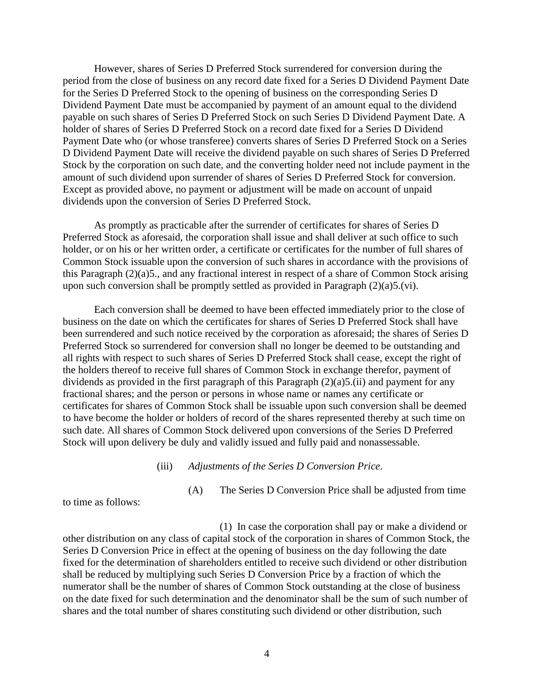However, shares of Series D Preferred Stock surrendered for conversion during the period from the close of business on any record date fixed for a Series D Dividend Payment Date for the Series D Preferred Stock to the opening of business on the corresponding Series D Dividend Payment Date must be accompanied by payment of an amount equal to the dividend payable on such shares of Series D Preferred Stock on such Series D Dividend Payment Date. A holder of shares of Series D Preferred Stock on a record date fixed for a Series D Dividend Payment Date who (or whose transferee) converts shares of Series D Preferred Stock on a Series D Dividend Payment Date will receive the dividend payable on such shares of Series D Preferred Stock by the corporation on such date, and the converting holder need not include payment in the amount of such dividend upon surrender of shares of Series D Preferred Stock for conversion. Except as provided above, no payment or adjustment will be made on account of unpaid dividends upon the conversion of Series D Preferred Stock.

As promptly as practicable after the surrender of certificates for shares of Series D Preferred Stock as aforesaid, the corporation shall issue and shall deliver at such office to such holder, or on his or her written order, a certificate or certificates for the number of full shares of Common Stock issuable upon the conversion of such shares in accordance with the provisions of this Paragraph (2)(a)5., and any fractional interest in respect of a share of Common Stock arising upon such conversion shall be promptly settled as provided in Paragraph (2)(a)5.(vi).

Each conversion shall be deemed to have been effected immediately prior to the close of business on the date on which the certificates for shares of Series D Preferred Stock shall have been surrendered and such notice received by the corporation as aforesaid; the shares of Series D Preferred Stock so surrendered for conversion shall no longer be deemed to be outstanding and all rights with respect to such shares of Series D Preferred Stock shall cease, except the right of the holders thereof to receive full shares of Common Stock in exchange therefor, payment of dividends as provided in the first paragraph of this Paragraph  $(2)(a)5$ .(ii) and payment for any fractional shares; and the person or persons in whose name or names any certificate or certificates for shares of Common Stock shall be issuable upon such conversion shall be deemed to have become the holder or holders of record of the shares represented thereby at such time on such date. All shares of Common Stock delivered upon conversions of the Series D Preferred Stock will upon delivery be duly and validly issued and fully paid and nonassessable.

(iii) *Adjustments of the Series D Conversion Price*.

to time as follows:

(A) The Series D Conversion Price shall be adjusted from time

(1) In case the corporation shall pay or make a dividend or other distribution on any class of capital stock of the corporation in shares of Common Stock, the Series D Conversion Price in effect at the opening of business on the day following the date fixed for the determination of shareholders entitled to receive such dividend or other distribution shall be reduced by multiplying such Series D Conversion Price by a fraction of which the numerator shall be the number of shares of Common Stock outstanding at the close of business on the date fixed for such determination and the denominator shall be the sum of such number of shares and the total number of shares constituting such dividend or other distribution, such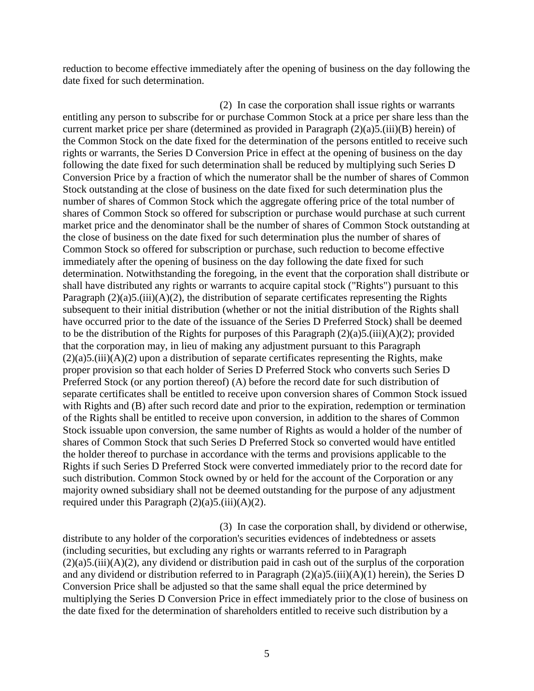reduction to become effective immediately after the opening of business on the day following the date fixed for such determination.

(2) In case the corporation shall issue rights or warrants entitling any person to subscribe for or purchase Common Stock at a price per share less than the current market price per share (determined as provided in Paragraph (2)(a)5.(iii)(B) herein) of the Common Stock on the date fixed for the determination of the persons entitled to receive such rights or warrants, the Series D Conversion Price in effect at the opening of business on the day following the date fixed for such determination shall be reduced by multiplying such Series D Conversion Price by a fraction of which the numerator shall be the number of shares of Common Stock outstanding at the close of business on the date fixed for such determination plus the number of shares of Common Stock which the aggregate offering price of the total number of shares of Common Stock so offered for subscription or purchase would purchase at such current market price and the denominator shall be the number of shares of Common Stock outstanding at the close of business on the date fixed for such determination plus the number of shares of Common Stock so offered for subscription or purchase, such reduction to become effective immediately after the opening of business on the day following the date fixed for such determination. Notwithstanding the foregoing, in the event that the corporation shall distribute or shall have distributed any rights or warrants to acquire capital stock ("Rights") pursuant to this Paragraph  $(2)(a)5$ .(iii)(A)(2), the distribution of separate certificates representing the Rights subsequent to their initial distribution (whether or not the initial distribution of the Rights shall have occurred prior to the date of the issuance of the Series D Preferred Stock) shall be deemed to be the distribution of the Rights for purposes of this Paragraph  $(2)(a)5$ .(iii)(A)(2); provided that the corporation may, in lieu of making any adjustment pursuant to this Paragraph  $(2)(a)5$ .(iii)(A)(2) upon a distribution of separate certificates representing the Rights, make proper provision so that each holder of Series D Preferred Stock who converts such Series D Preferred Stock (or any portion thereof) (A) before the record date for such distribution of separate certificates shall be entitled to receive upon conversion shares of Common Stock issued with Rights and (B) after such record date and prior to the expiration, redemption or termination of the Rights shall be entitled to receive upon conversion, in addition to the shares of Common Stock issuable upon conversion, the same number of Rights as would a holder of the number of shares of Common Stock that such Series D Preferred Stock so converted would have entitled the holder thereof to purchase in accordance with the terms and provisions applicable to the Rights if such Series D Preferred Stock were converted immediately prior to the record date for such distribution. Common Stock owned by or held for the account of the Corporation or any majority owned subsidiary shall not be deemed outstanding for the purpose of any adjustment required under this Paragraph  $(2)(a)5$ .(iii)(A)(2).

(3) In case the corporation shall, by dividend or otherwise, distribute to any holder of the corporation's securities evidences of indebtedness or assets (including securities, but excluding any rights or warrants referred to in Paragraph  $(2)(a)5$ .(iii)(A)(2), any dividend or distribution paid in cash out of the surplus of the corporation and any dividend or distribution referred to in Paragraph (2)(a)5.(iii)(A)(1) herein), the Series D Conversion Price shall be adjusted so that the same shall equal the price determined by multiplying the Series D Conversion Price in effect immediately prior to the close of business on the date fixed for the determination of shareholders entitled to receive such distribution by a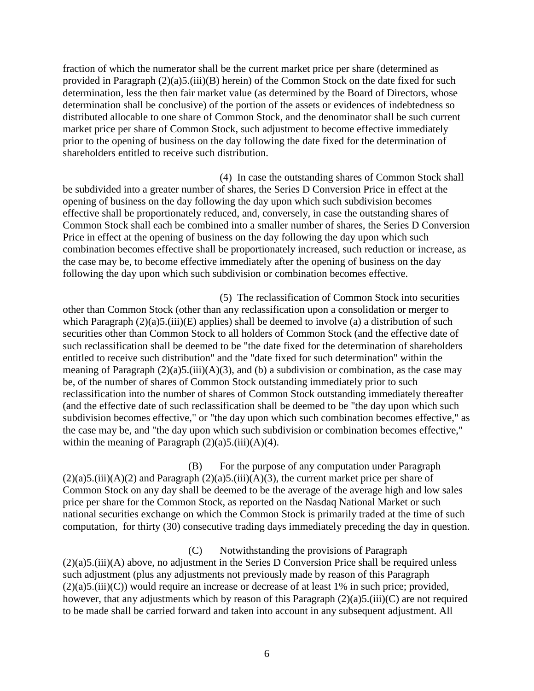fraction of which the numerator shall be the current market price per share (determined as provided in Paragraph (2)(a)5.(iii)(B) herein) of the Common Stock on the date fixed for such determination, less the then fair market value (as determined by the Board of Directors, whose determination shall be conclusive) of the portion of the assets or evidences of indebtedness so distributed allocable to one share of Common Stock, and the denominator shall be such current market price per share of Common Stock, such adjustment to become effective immediately prior to the opening of business on the day following the date fixed for the determination of shareholders entitled to receive such distribution.

(4) In case the outstanding shares of Common Stock shall be subdivided into a greater number of shares, the Series D Conversion Price in effect at the opening of business on the day following the day upon which such subdivision becomes effective shall be proportionately reduced, and, conversely, in case the outstanding shares of Common Stock shall each be combined into a smaller number of shares, the Series D Conversion Price in effect at the opening of business on the day following the day upon which such combination becomes effective shall be proportionately increased, such reduction or increase, as the case may be, to become effective immediately after the opening of business on the day following the day upon which such subdivision or combination becomes effective.

(5) The reclassification of Common Stock into securities other than Common Stock (other than any reclassification upon a consolidation or merger to which Paragraph  $(2)(a)5$ .(iii)(E) applies) shall be deemed to involve (a) a distribution of such securities other than Common Stock to all holders of Common Stock (and the effective date of such reclassification shall be deemed to be "the date fixed for the determination of shareholders entitled to receive such distribution" and the "date fixed for such determination" within the meaning of Paragraph  $(2)(a)5$ .(iii)(A)(3), and (b) a subdivision or combination, as the case may be, of the number of shares of Common Stock outstanding immediately prior to such reclassification into the number of shares of Common Stock outstanding immediately thereafter (and the effective date of such reclassification shall be deemed to be "the day upon which such subdivision becomes effective," or "the day upon which such combination becomes effective," as the case may be, and "the day upon which such subdivision or combination becomes effective," within the meaning of Paragraph  $(2)(a)5$ .(iii)(A)(4).

(B) For the purpose of any computation under Paragraph  $(2)(a)5.(\text{iii})(A)(2)$  and Paragraph  $(2)(a)5.(\text{iii})(A)(3)$ , the current market price per share of Common Stock on any day shall be deemed to be the average of the average high and low sales price per share for the Common Stock, as reported on the Nasdaq National Market or such national securities exchange on which the Common Stock is primarily traded at the time of such computation, for thirty (30) consecutive trading days immediately preceding the day in question.

(C) Notwithstanding the provisions of Paragraph (2)(a)5.(iii)(A) above, no adjustment in the Series D Conversion Price shall be required unless such adjustment (plus any adjustments not previously made by reason of this Paragraph (2)(a)5.(iii)(C)) would require an increase or decrease of at least 1% in such price; provided, however, that any adjustments which by reason of this Paragraph (2)(a)5.(iii)(C) are not required to be made shall be carried forward and taken into account in any subsequent adjustment. All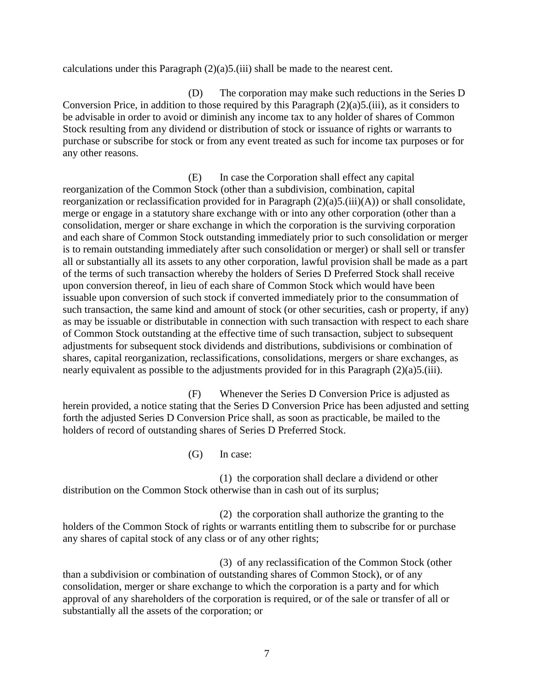calculations under this Paragraph  $(2)(a)5$ .(iii) shall be made to the nearest cent.

(D) The corporation may make such reductions in the Series D Conversion Price, in addition to those required by this Paragraph (2)(a)5.(iii), as it considers to be advisable in order to avoid or diminish any income tax to any holder of shares of Common Stock resulting from any dividend or distribution of stock or issuance of rights or warrants to purchase or subscribe for stock or from any event treated as such for income tax purposes or for any other reasons.

(E) In case the Corporation shall effect any capital reorganization of the Common Stock (other than a subdivision, combination, capital reorganization or reclassification provided for in Paragraph (2)(a)5.(iii)(A)) or shall consolidate, merge or engage in a statutory share exchange with or into any other corporation (other than a consolidation, merger or share exchange in which the corporation is the surviving corporation and each share of Common Stock outstanding immediately prior to such consolidation or merger is to remain outstanding immediately after such consolidation or merger) or shall sell or transfer all or substantially all its assets to any other corporation, lawful provision shall be made as a part of the terms of such transaction whereby the holders of Series D Preferred Stock shall receive upon conversion thereof, in lieu of each share of Common Stock which would have been issuable upon conversion of such stock if converted immediately prior to the consummation of such transaction, the same kind and amount of stock (or other securities, cash or property, if any) as may be issuable or distributable in connection with such transaction with respect to each share of Common Stock outstanding at the effective time of such transaction, subject to subsequent adjustments for subsequent stock dividends and distributions, subdivisions or combination of shares, capital reorganization, reclassifications, consolidations, mergers or share exchanges, as nearly equivalent as possible to the adjustments provided for in this Paragraph (2)(a)5.(iii).

(F) Whenever the Series D Conversion Price is adjusted as herein provided, a notice stating that the Series D Conversion Price has been adjusted and setting forth the adjusted Series D Conversion Price shall, as soon as practicable, be mailed to the holders of record of outstanding shares of Series D Preferred Stock.

(G) In case:

(1) the corporation shall declare a dividend or other distribution on the Common Stock otherwise than in cash out of its surplus;

 (2) the corporation shall authorize the granting to the holders of the Common Stock of rights or warrants entitling them to subscribe for or purchase any shares of capital stock of any class or of any other rights;

 (3) of any reclassification of the Common Stock (other than a subdivision or combination of outstanding shares of Common Stock), or of any consolidation, merger or share exchange to which the corporation is a party and for which approval of any shareholders of the corporation is required, or of the sale or transfer of all or substantially all the assets of the corporation; or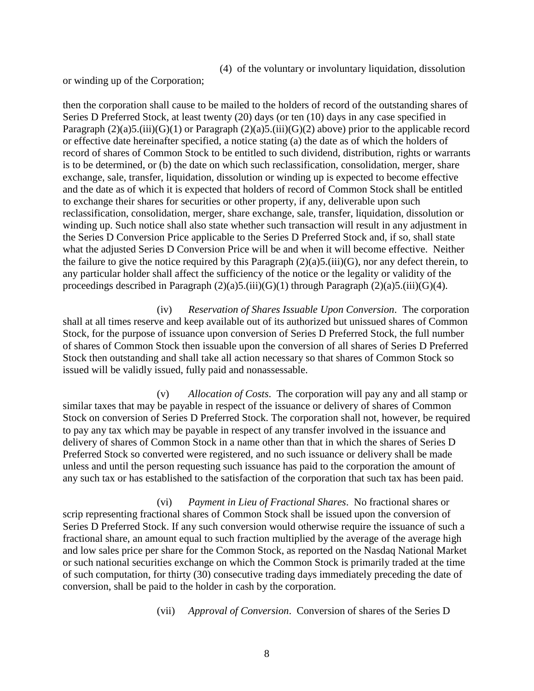(4) of the voluntary or involuntary liquidation, dissolution

or winding up of the Corporation;

then the corporation shall cause to be mailed to the holders of record of the outstanding shares of Series D Preferred Stock, at least twenty (20) days (or ten (10) days in any case specified in Paragraph  $(2)(a)5$ .(iii)(G)(1) or Paragraph  $(2)(a)5$ .(iii)(G)(2) above) prior to the applicable record or effective date hereinafter specified, a notice stating (a) the date as of which the holders of record of shares of Common Stock to be entitled to such dividend, distribution, rights or warrants is to be determined, or (b) the date on which such reclassification, consolidation, merger, share exchange, sale, transfer, liquidation, dissolution or winding up is expected to become effective and the date as of which it is expected that holders of record of Common Stock shall be entitled to exchange their shares for securities or other property, if any, deliverable upon such reclassification, consolidation, merger, share exchange, sale, transfer, liquidation, dissolution or winding up. Such notice shall also state whether such transaction will result in any adjustment in the Series D Conversion Price applicable to the Series D Preferred Stock and, if so, shall state what the adjusted Series D Conversion Price will be and when it will become effective. Neither the failure to give the notice required by this Paragraph  $(2)(a)5$ .(iii)(G), nor any defect therein, to any particular holder shall affect the sufficiency of the notice or the legality or validity of the proceedings described in Paragraph  $(2)(a)5$ .(iii)(G)(1) through Paragraph  $(2)(a)5$ .(iii)(G)(4).

(iv) *Reservation of Shares Issuable Upon Conversion*. The corporation shall at all times reserve and keep available out of its authorized but unissued shares of Common Stock, for the purpose of issuance upon conversion of Series D Preferred Stock, the full number of shares of Common Stock then issuable upon the conversion of all shares of Series D Preferred Stock then outstanding and shall take all action necessary so that shares of Common Stock so issued will be validly issued, fully paid and nonassessable.

(v) *Allocation of Costs*. The corporation will pay any and all stamp or similar taxes that may be payable in respect of the issuance or delivery of shares of Common Stock on conversion of Series D Preferred Stock. The corporation shall not, however, be required to pay any tax which may be payable in respect of any transfer involved in the issuance and delivery of shares of Common Stock in a name other than that in which the shares of Series D Preferred Stock so converted were registered, and no such issuance or delivery shall be made unless and until the person requesting such issuance has paid to the corporation the amount of any such tax or has established to the satisfaction of the corporation that such tax has been paid.

(vi) *Payment in Lieu of Fractional Shares*. No fractional shares or scrip representing fractional shares of Common Stock shall be issued upon the conversion of Series D Preferred Stock. If any such conversion would otherwise require the issuance of such a fractional share, an amount equal to such fraction multiplied by the average of the average high and low sales price per share for the Common Stock, as reported on the Nasdaq National Market or such national securities exchange on which the Common Stock is primarily traded at the time of such computation, for thirty (30) consecutive trading days immediately preceding the date of conversion, shall be paid to the holder in cash by the corporation.

(vii) *Approval of Conversion*. Conversion of shares of the Series D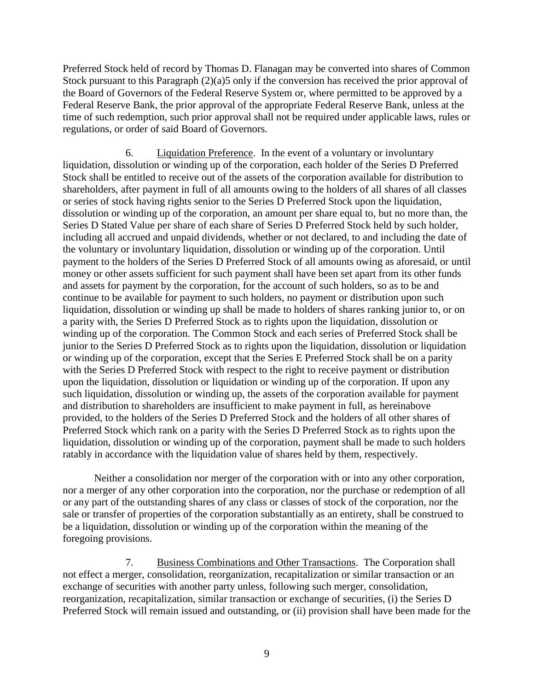Preferred Stock held of record by Thomas D. Flanagan may be converted into shares of Common Stock pursuant to this Paragraph (2)(a)5 only if the conversion has received the prior approval of the Board of Governors of the Federal Reserve System or, where permitted to be approved by a Federal Reserve Bank, the prior approval of the appropriate Federal Reserve Bank, unless at the time of such redemption, such prior approval shall not be required under applicable laws, rules or regulations, or order of said Board of Governors.

6. Liquidation Preference. In the event of a voluntary or involuntary liquidation, dissolution or winding up of the corporation, each holder of the Series D Preferred Stock shall be entitled to receive out of the assets of the corporation available for distribution to shareholders, after payment in full of all amounts owing to the holders of all shares of all classes or series of stock having rights senior to the Series D Preferred Stock upon the liquidation, dissolution or winding up of the corporation, an amount per share equal to, but no more than, the Series D Stated Value per share of each share of Series D Preferred Stock held by such holder, including all accrued and unpaid dividends, whether or not declared, to and including the date of the voluntary or involuntary liquidation, dissolution or winding up of the corporation. Until payment to the holders of the Series D Preferred Stock of all amounts owing as aforesaid, or until money or other assets sufficient for such payment shall have been set apart from its other funds and assets for payment by the corporation, for the account of such holders, so as to be and continue to be available for payment to such holders, no payment or distribution upon such liquidation, dissolution or winding up shall be made to holders of shares ranking junior to, or on a parity with, the Series D Preferred Stock as to rights upon the liquidation, dissolution or winding up of the corporation. The Common Stock and each series of Preferred Stock shall be junior to the Series D Preferred Stock as to rights upon the liquidation, dissolution or liquidation or winding up of the corporation, except that the Series E Preferred Stock shall be on a parity with the Series D Preferred Stock with respect to the right to receive payment or distribution upon the liquidation, dissolution or liquidation or winding up of the corporation. If upon any such liquidation, dissolution or winding up, the assets of the corporation available for payment and distribution to shareholders are insufficient to make payment in full, as hereinabove provided, to the holders of the Series D Preferred Stock and the holders of all other shares of Preferred Stock which rank on a parity with the Series D Preferred Stock as to rights upon the liquidation, dissolution or winding up of the corporation, payment shall be made to such holders ratably in accordance with the liquidation value of shares held by them, respectively.

Neither a consolidation nor merger of the corporation with or into any other corporation, nor a merger of any other corporation into the corporation, nor the purchase or redemption of all or any part of the outstanding shares of any class or classes of stock of the corporation, nor the sale or transfer of properties of the corporation substantially as an entirety, shall be construed to be a liquidation, dissolution or winding up of the corporation within the meaning of the foregoing provisions.

7. Business Combinations and Other Transactions. The Corporation shall not effect a merger, consolidation, reorganization, recapitalization or similar transaction or an exchange of securities with another party unless, following such merger, consolidation, reorganization, recapitalization, similar transaction or exchange of securities, (i) the Series D Preferred Stock will remain issued and outstanding, or (ii) provision shall have been made for the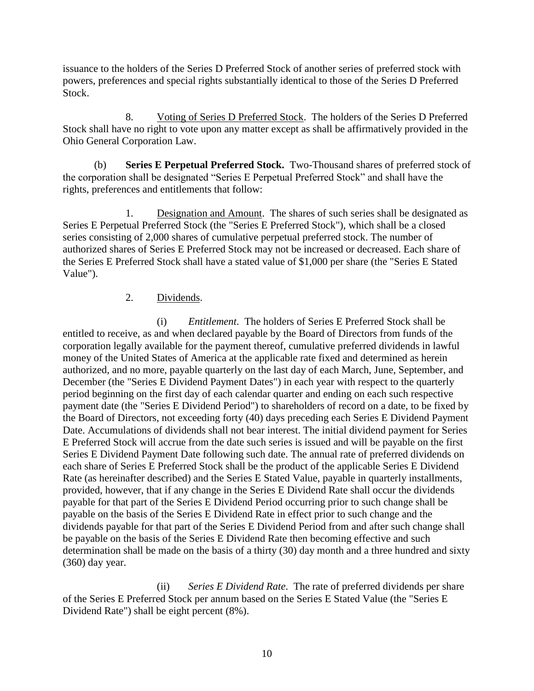issuance to the holders of the Series D Preferred Stock of another series of preferred stock with powers, preferences and special rights substantially identical to those of the Series D Preferred Stock.

8. Voting of Series D Preferred Stock. The holders of the Series D Preferred Stock shall have no right to vote upon any matter except as shall be affirmatively provided in the Ohio General Corporation Law.

(b) **Series E Perpetual Preferred Stock.** Two-Thousand shares of preferred stock of the corporation shall be designated "Series E Perpetual Preferred Stock" and shall have the rights, preferences and entitlements that follow:

1. Designation and Amount. The shares of such series shall be designated as Series E Perpetual Preferred Stock (the "Series E Preferred Stock"), which shall be a closed series consisting of 2,000 shares of cumulative perpetual preferred stock. The number of authorized shares of Series E Preferred Stock may not be increased or decreased. Each share of the Series E Preferred Stock shall have a stated value of \$1,000 per share (the "Series E Stated Value").

### 2. Dividends.

(i) *Entitlement*. The holders of Series E Preferred Stock shall be entitled to receive, as and when declared payable by the Board of Directors from funds of the corporation legally available for the payment thereof, cumulative preferred dividends in lawful money of the United States of America at the applicable rate fixed and determined as herein authorized, and no more, payable quarterly on the last day of each March, June, September, and December (the "Series E Dividend Payment Dates") in each year with respect to the quarterly period beginning on the first day of each calendar quarter and ending on each such respective payment date (the "Series E Dividend Period") to shareholders of record on a date, to be fixed by the Board of Directors, not exceeding forty (40) days preceding each Series E Dividend Payment Date. Accumulations of dividends shall not bear interest. The initial dividend payment for Series E Preferred Stock will accrue from the date such series is issued and will be payable on the first Series E Dividend Payment Date following such date. The annual rate of preferred dividends on each share of Series E Preferred Stock shall be the product of the applicable Series E Dividend Rate (as hereinafter described) and the Series E Stated Value, payable in quarterly installments, provided, however, that if any change in the Series E Dividend Rate shall occur the dividends payable for that part of the Series E Dividend Period occurring prior to such change shall be payable on the basis of the Series E Dividend Rate in effect prior to such change and the dividends payable for that part of the Series E Dividend Period from and after such change shall be payable on the basis of the Series E Dividend Rate then becoming effective and such determination shall be made on the basis of a thirty (30) day month and a three hundred and sixty (360) day year.

(ii) *Series E Dividend Rate*. The rate of preferred dividends per share of the Series E Preferred Stock per annum based on the Series E Stated Value (the "Series E Dividend Rate") shall be eight percent (8%).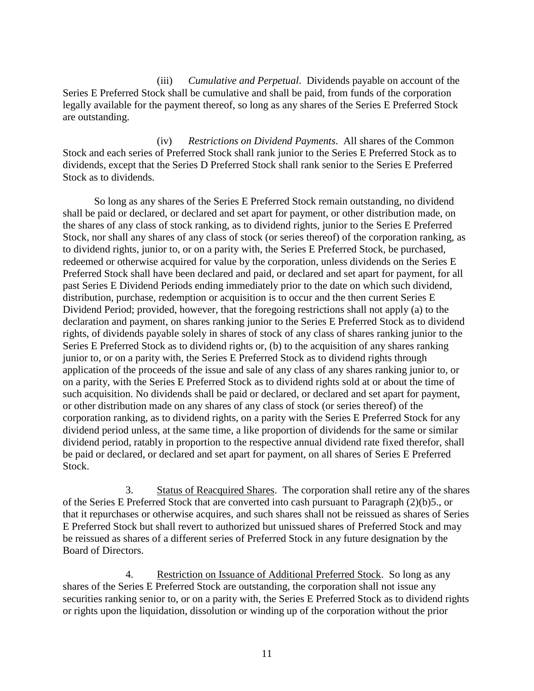(iii) *Cumulative and Perpetual*. Dividends payable on account of the Series E Preferred Stock shall be cumulative and shall be paid, from funds of the corporation legally available for the payment thereof, so long as any shares of the Series E Preferred Stock are outstanding.

(iv) *Restrictions on Dividend Payments*. All shares of the Common Stock and each series of Preferred Stock shall rank junior to the Series E Preferred Stock as to dividends, except that the Series D Preferred Stock shall rank senior to the Series E Preferred Stock as to dividends.

So long as any shares of the Series E Preferred Stock remain outstanding, no dividend shall be paid or declared, or declared and set apart for payment, or other distribution made, on the shares of any class of stock ranking, as to dividend rights, junior to the Series E Preferred Stock, nor shall any shares of any class of stock (or series thereof) of the corporation ranking, as to dividend rights, junior to, or on a parity with, the Series E Preferred Stock, be purchased, redeemed or otherwise acquired for value by the corporation, unless dividends on the Series E Preferred Stock shall have been declared and paid, or declared and set apart for payment, for all past Series E Dividend Periods ending immediately prior to the date on which such dividend, distribution, purchase, redemption or acquisition is to occur and the then current Series E Dividend Period; provided, however, that the foregoing restrictions shall not apply (a) to the declaration and payment, on shares ranking junior to the Series E Preferred Stock as to dividend rights, of dividends payable solely in shares of stock of any class of shares ranking junior to the Series E Preferred Stock as to dividend rights or, (b) to the acquisition of any shares ranking junior to, or on a parity with, the Series E Preferred Stock as to dividend rights through application of the proceeds of the issue and sale of any class of any shares ranking junior to, or on a parity, with the Series E Preferred Stock as to dividend rights sold at or about the time of such acquisition. No dividends shall be paid or declared, or declared and set apart for payment, or other distribution made on any shares of any class of stock (or series thereof) of the corporation ranking, as to dividend rights, on a parity with the Series E Preferred Stock for any dividend period unless, at the same time, a like proportion of dividends for the same or similar dividend period, ratably in proportion to the respective annual dividend rate fixed therefor, shall be paid or declared, or declared and set apart for payment, on all shares of Series E Preferred Stock.

3. Status of Reacquired Shares. The corporation shall retire any of the shares of the Series E Preferred Stock that are converted into cash pursuant to Paragraph (2)(b)5., or that it repurchases or otherwise acquires, and such shares shall not be reissued as shares of Series E Preferred Stock but shall revert to authorized but unissued shares of Preferred Stock and may be reissued as shares of a different series of Preferred Stock in any future designation by the Board of Directors.

4. Restriction on Issuance of Additional Preferred Stock. So long as any shares of the Series E Preferred Stock are outstanding, the corporation shall not issue any securities ranking senior to, or on a parity with, the Series E Preferred Stock as to dividend rights or rights upon the liquidation, dissolution or winding up of the corporation without the prior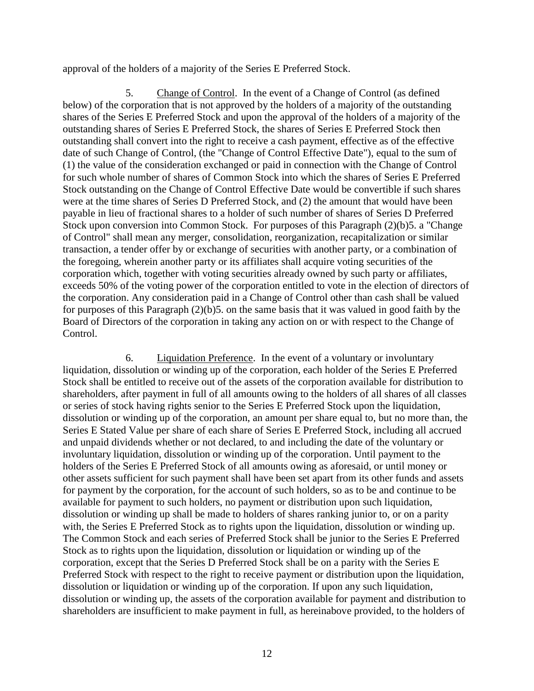approval of the holders of a majority of the Series E Preferred Stock.

5. Change of Control. In the event of a Change of Control (as defined below) of the corporation that is not approved by the holders of a majority of the outstanding shares of the Series E Preferred Stock and upon the approval of the holders of a majority of the outstanding shares of Series E Preferred Stock, the shares of Series E Preferred Stock then outstanding shall convert into the right to receive a cash payment, effective as of the effective date of such Change of Control, (the "Change of Control Effective Date"), equal to the sum of (1) the value of the consideration exchanged or paid in connection with the Change of Control for such whole number of shares of Common Stock into which the shares of Series E Preferred Stock outstanding on the Change of Control Effective Date would be convertible if such shares were at the time shares of Series D Preferred Stock, and (2) the amount that would have been payable in lieu of fractional shares to a holder of such number of shares of Series D Preferred Stock upon conversion into Common Stock. For purposes of this Paragraph (2)(b)5. a "Change of Control" shall mean any merger, consolidation, reorganization, recapitalization or similar transaction, a tender offer by or exchange of securities with another party, or a combination of the foregoing, wherein another party or its affiliates shall acquire voting securities of the corporation which, together with voting securities already owned by such party or affiliates, exceeds 50% of the voting power of the corporation entitled to vote in the election of directors of the corporation. Any consideration paid in a Change of Control other than cash shall be valued for purposes of this Paragraph (2)(b)5. on the same basis that it was valued in good faith by the Board of Directors of the corporation in taking any action on or with respect to the Change of Control.

6. Liquidation Preference. In the event of a voluntary or involuntary liquidation, dissolution or winding up of the corporation, each holder of the Series E Preferred Stock shall be entitled to receive out of the assets of the corporation available for distribution to shareholders, after payment in full of all amounts owing to the holders of all shares of all classes or series of stock having rights senior to the Series E Preferred Stock upon the liquidation, dissolution or winding up of the corporation, an amount per share equal to, but no more than, the Series E Stated Value per share of each share of Series E Preferred Stock, including all accrued and unpaid dividends whether or not declared, to and including the date of the voluntary or involuntary liquidation, dissolution or winding up of the corporation. Until payment to the holders of the Series E Preferred Stock of all amounts owing as aforesaid, or until money or other assets sufficient for such payment shall have been set apart from its other funds and assets for payment by the corporation, for the account of such holders, so as to be and continue to be available for payment to such holders, no payment or distribution upon such liquidation, dissolution or winding up shall be made to holders of shares ranking junior to, or on a parity with, the Series E Preferred Stock as to rights upon the liquidation, dissolution or winding up. The Common Stock and each series of Preferred Stock shall be junior to the Series E Preferred Stock as to rights upon the liquidation, dissolution or liquidation or winding up of the corporation, except that the Series D Preferred Stock shall be on a parity with the Series E Preferred Stock with respect to the right to receive payment or distribution upon the liquidation, dissolution or liquidation or winding up of the corporation. If upon any such liquidation, dissolution or winding up, the assets of the corporation available for payment and distribution to shareholders are insufficient to make payment in full, as hereinabove provided, to the holders of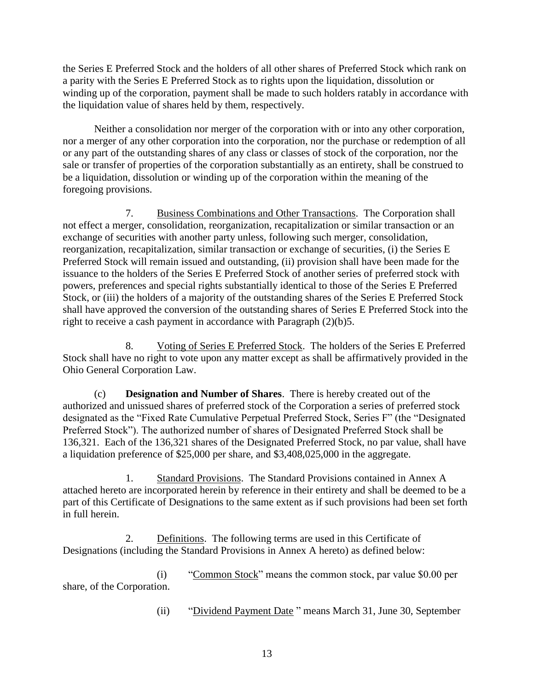the Series E Preferred Stock and the holders of all other shares of Preferred Stock which rank on a parity with the Series E Preferred Stock as to rights upon the liquidation, dissolution or winding up of the corporation, payment shall be made to such holders ratably in accordance with the liquidation value of shares held by them, respectively.

Neither a consolidation nor merger of the corporation with or into any other corporation, nor a merger of any other corporation into the corporation, nor the purchase or redemption of all or any part of the outstanding shares of any class or classes of stock of the corporation, nor the sale or transfer of properties of the corporation substantially as an entirety, shall be construed to be a liquidation, dissolution or winding up of the corporation within the meaning of the foregoing provisions.

7. Business Combinations and Other Transactions. The Corporation shall not effect a merger, consolidation, reorganization, recapitalization or similar transaction or an exchange of securities with another party unless, following such merger, consolidation, reorganization, recapitalization, similar transaction or exchange of securities, (i) the Series E Preferred Stock will remain issued and outstanding, (ii) provision shall have been made for the issuance to the holders of the Series E Preferred Stock of another series of preferred stock with powers, preferences and special rights substantially identical to those of the Series E Preferred Stock, or (iii) the holders of a majority of the outstanding shares of the Series E Preferred Stock shall have approved the conversion of the outstanding shares of Series E Preferred Stock into the right to receive a cash payment in accordance with Paragraph (2)(b)5.

8. Voting of Series E Preferred Stock. The holders of the Series E Preferred Stock shall have no right to vote upon any matter except as shall be affirmatively provided in the Ohio General Corporation Law.

(c) **Designation and Number of Shares**. There is hereby created out of the authorized and unissued shares of preferred stock of the Corporation a series of preferred stock designated as the "Fixed Rate Cumulative Perpetual Preferred Stock, Series F" (the "Designated Preferred Stock"). The authorized number of shares of Designated Preferred Stock shall be 136,321. Each of the 136,321 shares of the Designated Preferred Stock, no par value, shall have a liquidation preference of \$25,000 per share, and \$3,408,025,000 in the aggregate.

1. Standard Provisions. The Standard Provisions contained in Annex A attached hereto are incorporated herein by reference in their entirety and shall be deemed to be a part of this Certificate of Designations to the same extent as if such provisions had been set forth in full herein.

2. Definitions. The following terms are used in this Certificate of Designations (including the Standard Provisions in Annex A hereto) as defined below:

(i) "Common Stock" means the common stock, par value \$0.00 per share, of the Corporation.

(ii) "Dividend Payment Date " means March 31, June 30, September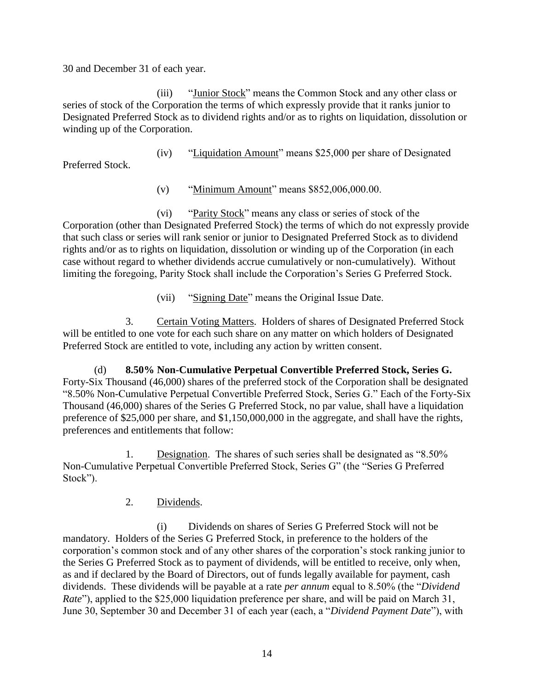30 and December 31 of each year.

(iii) "Junior Stock" means the Common Stock and any other class or series of stock of the Corporation the terms of which expressly provide that it ranks junior to Designated Preferred Stock as to dividend rights and/or as to rights on liquidation, dissolution or winding up of the Corporation.

(iv) "Liquidation Amount" means \$25,000 per share of Designated

Preferred Stock.

(v) "Minimum Amount" means \$852,006,000.00.

(vi) "Parity Stock" means any class or series of stock of the Corporation (other than Designated Preferred Stock) the terms of which do not expressly provide that such class or series will rank senior or junior to Designated Preferred Stock as to dividend rights and/or as to rights on liquidation, dissolution or winding up of the Corporation (in each case without regard to whether dividends accrue cumulatively or non-cumulatively). Without limiting the foregoing, Parity Stock shall include the Corporation's Series G Preferred Stock.

(vii) "Signing Date" means the Original Issue Date.

3. Certain Voting Matters. Holders of shares of Designated Preferred Stock will be entitled to one vote for each such share on any matter on which holders of Designated Preferred Stock are entitled to vote, including any action by written consent.

(d) **8.50% Non-Cumulative Perpetual Convertible Preferred Stock, Series G.** Forty-Six Thousand (46,000) shares of the preferred stock of the Corporation shall be designated "8.50% Non-Cumulative Perpetual Convertible Preferred Stock, Series G." Each of the Forty-Six Thousand (46,000) shares of the Series G Preferred Stock, no par value, shall have a liquidation preference of \$25,000 per share, and \$1,150,000,000 in the aggregate, and shall have the rights, preferences and entitlements that follow:

1. Designation. The shares of such series shall be designated as "8.50% Non-Cumulative Perpetual Convertible Preferred Stock, Series G" (the "Series G Preferred Stock").

2. Dividends.

(i) Dividends on shares of Series G Preferred Stock will not be mandatory. Holders of the Series G Preferred Stock, in preference to the holders of the corporation's common stock and of any other shares of the corporation's stock ranking junior to the Series G Preferred Stock as to payment of dividends, will be entitled to receive, only when, as and if declared by the Board of Directors, out of funds legally available for payment, cash dividends. These dividends will be payable at a rate *per annum* equal to 8.50% (the "*Dividend Rate*"), applied to the \$25,000 liquidation preference per share, and will be paid on March 31, June 30, September 30 and December 31 of each year (each, a "*Dividend Payment Date*"), with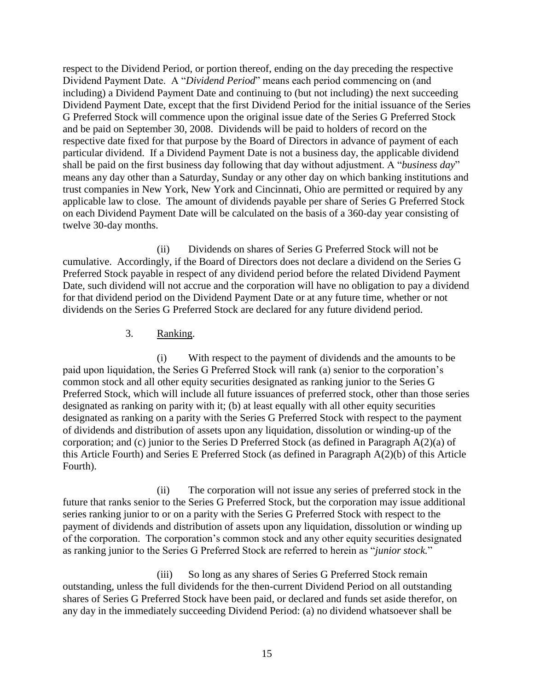respect to the Dividend Period, or portion thereof, ending on the day preceding the respective Dividend Payment Date. A "*Dividend Period*" means each period commencing on (and including) a Dividend Payment Date and continuing to (but not including) the next succeeding Dividend Payment Date, except that the first Dividend Period for the initial issuance of the Series G Preferred Stock will commence upon the original issue date of the Series G Preferred Stock and be paid on September 30, 2008. Dividends will be paid to holders of record on the respective date fixed for that purpose by the Board of Directors in advance of payment of each particular dividend. If a Dividend Payment Date is not a business day, the applicable dividend shall be paid on the first business day following that day without adjustment. A "*business day*" means any day other than a Saturday, Sunday or any other day on which banking institutions and trust companies in New York, New York and Cincinnati, Ohio are permitted or required by any applicable law to close. The amount of dividends payable per share of Series G Preferred Stock on each Dividend Payment Date will be calculated on the basis of a 360-day year consisting of twelve 30-day months.

(ii) Dividends on shares of Series G Preferred Stock will not be cumulative. Accordingly, if the Board of Directors does not declare a dividend on the Series G Preferred Stock payable in respect of any dividend period before the related Dividend Payment Date, such dividend will not accrue and the corporation will have no obligation to pay a dividend for that dividend period on the Dividend Payment Date or at any future time, whether or not dividends on the Series G Preferred Stock are declared for any future dividend period.

#### 3. Ranking.

(i) With respect to the payment of dividends and the amounts to be paid upon liquidation, the Series G Preferred Stock will rank (a) senior to the corporation's common stock and all other equity securities designated as ranking junior to the Series G Preferred Stock, which will include all future issuances of preferred stock, other than those series designated as ranking on parity with it; (b) at least equally with all other equity securities designated as ranking on a parity with the Series G Preferred Stock with respect to the payment of dividends and distribution of assets upon any liquidation, dissolution or winding-up of the corporation; and (c) junior to the Series D Preferred Stock (as defined in Paragraph A(2)(a) of this Article Fourth) and Series E Preferred Stock (as defined in Paragraph A(2)(b) of this Article Fourth).

(ii) The corporation will not issue any series of preferred stock in the future that ranks senior to the Series G Preferred Stock, but the corporation may issue additional series ranking junior to or on a parity with the Series G Preferred Stock with respect to the payment of dividends and distribution of assets upon any liquidation, dissolution or winding up of the corporation. The corporation's common stock and any other equity securities designated as ranking junior to the Series G Preferred Stock are referred to herein as "*junior stock.*"

(iii) So long as any shares of Series G Preferred Stock remain outstanding, unless the full dividends for the then-current Dividend Period on all outstanding shares of Series G Preferred Stock have been paid, or declared and funds set aside therefor, on any day in the immediately succeeding Dividend Period: (a) no dividend whatsoever shall be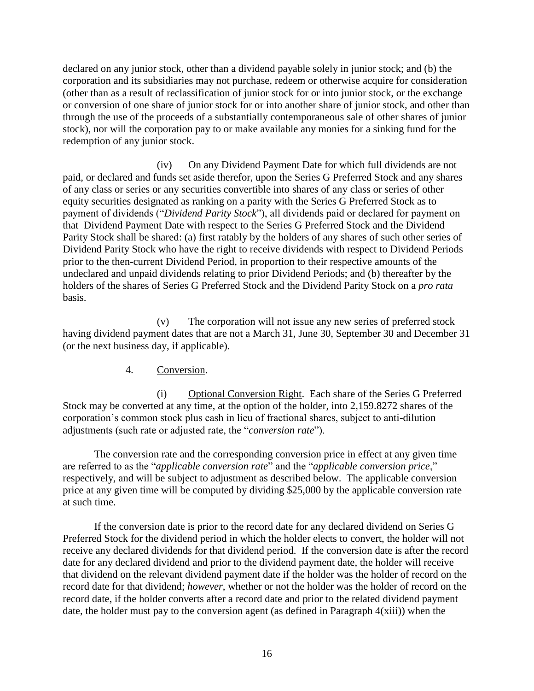declared on any junior stock, other than a dividend payable solely in junior stock; and (b) the corporation and its subsidiaries may not purchase, redeem or otherwise acquire for consideration (other than as a result of reclassification of junior stock for or into junior stock, or the exchange or conversion of one share of junior stock for or into another share of junior stock, and other than through the use of the proceeds of a substantially contemporaneous sale of other shares of junior stock), nor will the corporation pay to or make available any monies for a sinking fund for the redemption of any junior stock.

(iv) On any Dividend Payment Date for which full dividends are not paid, or declared and funds set aside therefor, upon the Series G Preferred Stock and any shares of any class or series or any securities convertible into shares of any class or series of other equity securities designated as ranking on a parity with the Series G Preferred Stock as to payment of dividends ("*Dividend Parity Stock*"), all dividends paid or declared for payment on that Dividend Payment Date with respect to the Series G Preferred Stock and the Dividend Parity Stock shall be shared: (a) first ratably by the holders of any shares of such other series of Dividend Parity Stock who have the right to receive dividends with respect to Dividend Periods prior to the then-current Dividend Period, in proportion to their respective amounts of the undeclared and unpaid dividends relating to prior Dividend Periods; and (b) thereafter by the holders of the shares of Series G Preferred Stock and the Dividend Parity Stock on a *pro rata*  basis.

(v) The corporation will not issue any new series of preferred stock having dividend payment dates that are not a March 31, June 30, September 30 and December 31 (or the next business day, if applicable).

#### 4. Conversion.

(i) Optional Conversion Right. Each share of the Series G Preferred Stock may be converted at any time, at the option of the holder, into 2,159.8272 shares of the corporation's common stock plus cash in lieu of fractional shares, subject to anti-dilution adjustments (such rate or adjusted rate, the "*conversion rate*").

The conversion rate and the corresponding conversion price in effect at any given time are referred to as the "*applicable conversion rate*" and the "*applicable conversion price*," respectively, and will be subject to adjustment as described below. The applicable conversion price at any given time will be computed by dividing \$25,000 by the applicable conversion rate at such time.

If the conversion date is prior to the record date for any declared dividend on Series G Preferred Stock for the dividend period in which the holder elects to convert, the holder will not receive any declared dividends for that dividend period. If the conversion date is after the record date for any declared dividend and prior to the dividend payment date, the holder will receive that dividend on the relevant dividend payment date if the holder was the holder of record on the record date for that dividend; *however*, whether or not the holder was the holder of record on the record date, if the holder converts after a record date and prior to the related dividend payment date, the holder must pay to the conversion agent (as defined in Paragraph  $4(xiii)$ ) when the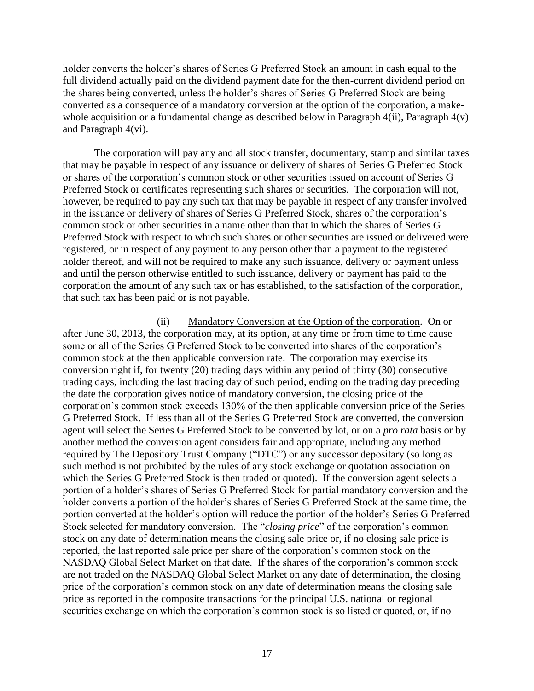holder converts the holder's shares of Series G Preferred Stock an amount in cash equal to the full dividend actually paid on the dividend payment date for the then-current dividend period on the shares being converted, unless the holder's shares of Series G Preferred Stock are being converted as a consequence of a mandatory conversion at the option of the corporation, a makewhole acquisition or a fundamental change as described below in Paragraph  $4(ii)$ , Paragraph  $4(v)$ and Paragraph 4(vi).

The corporation will pay any and all stock transfer, documentary, stamp and similar taxes that may be payable in respect of any issuance or delivery of shares of Series G Preferred Stock or shares of the corporation's common stock or other securities issued on account of Series G Preferred Stock or certificates representing such shares or securities. The corporation will not, however, be required to pay any such tax that may be payable in respect of any transfer involved in the issuance or delivery of shares of Series G Preferred Stock, shares of the corporation's common stock or other securities in a name other than that in which the shares of Series G Preferred Stock with respect to which such shares or other securities are issued or delivered were registered, or in respect of any payment to any person other than a payment to the registered holder thereof, and will not be required to make any such issuance, delivery or payment unless and until the person otherwise entitled to such issuance, delivery or payment has paid to the corporation the amount of any such tax or has established, to the satisfaction of the corporation, that such tax has been paid or is not payable.

(ii) Mandatory Conversion at the Option of the corporation. On or after June 30, 2013, the corporation may, at its option, at any time or from time to time cause some or all of the Series G Preferred Stock to be converted into shares of the corporation's common stock at the then applicable conversion rate. The corporation may exercise its conversion right if, for twenty (20) trading days within any period of thirty (30) consecutive trading days, including the last trading day of such period, ending on the trading day preceding the date the corporation gives notice of mandatory conversion, the closing price of the corporation's common stock exceeds 130% of the then applicable conversion price of the Series G Preferred Stock. If less than all of the Series G Preferred Stock are converted, the conversion agent will select the Series G Preferred Stock to be converted by lot, or on a *pro rata* basis or by another method the conversion agent considers fair and appropriate, including any method required by The Depository Trust Company ("DTC") or any successor depositary (so long as such method is not prohibited by the rules of any stock exchange or quotation association on which the Series G Preferred Stock is then traded or quoted). If the conversion agent selects a portion of a holder's shares of Series G Preferred Stock for partial mandatory conversion and the holder converts a portion of the holder's shares of Series G Preferred Stock at the same time, the portion converted at the holder's option will reduce the portion of the holder's Series G Preferred Stock selected for mandatory conversion. The "*closing price*" of the corporation's common stock on any date of determination means the closing sale price or, if no closing sale price is reported, the last reported sale price per share of the corporation's common stock on the NASDAQ Global Select Market on that date. If the shares of the corporation's common stock are not traded on the NASDAQ Global Select Market on any date of determination, the closing price of the corporation's common stock on any date of determination means the closing sale price as reported in the composite transactions for the principal U.S. national or regional securities exchange on which the corporation's common stock is so listed or quoted, or, if no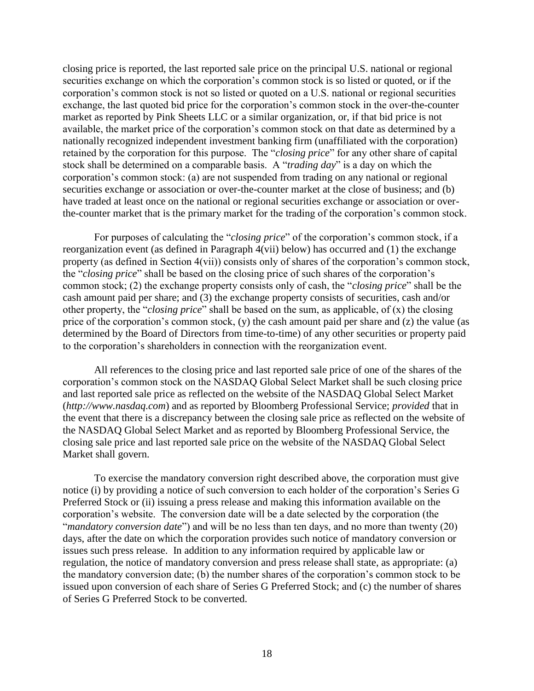closing price is reported, the last reported sale price on the principal U.S. national or regional securities exchange on which the corporation's common stock is so listed or quoted, or if the corporation's common stock is not so listed or quoted on a U.S. national or regional securities exchange, the last quoted bid price for the corporation's common stock in the over-the-counter market as reported by Pink Sheets LLC or a similar organization, or, if that bid price is not available, the market price of the corporation's common stock on that date as determined by a nationally recognized independent investment banking firm (unaffiliated with the corporation) retained by the corporation for this purpose. The "*closing price*" for any other share of capital stock shall be determined on a comparable basis. A "*trading day*" is a day on which the corporation's common stock: (a) are not suspended from trading on any national or regional securities exchange or association or over-the-counter market at the close of business; and (b) have traded at least once on the national or regional securities exchange or association or overthe-counter market that is the primary market for the trading of the corporation's common stock.

For purposes of calculating the "*closing price*" of the corporation's common stock, if a reorganization event (as defined in Paragraph 4(vii) below) has occurred and (1) the exchange property (as defined in Section 4(vii)) consists only of shares of the corporation's common stock, the "*closing price*" shall be based on the closing price of such shares of the corporation's common stock; (2) the exchange property consists only of cash, the "*closing price*" shall be the cash amount paid per share; and (3) the exchange property consists of securities, cash and/or other property, the "*closing price*" shall be based on the sum, as applicable, of (x) the closing price of the corporation's common stock, (y) the cash amount paid per share and (z) the value (as determined by the Board of Directors from time-to-time) of any other securities or property paid to the corporation's shareholders in connection with the reorganization event.

All references to the closing price and last reported sale price of one of the shares of the corporation's common stock on the NASDAQ Global Select Market shall be such closing price and last reported sale price as reflected on the website of the NASDAQ Global Select Market (*http://www.nasdaq.com*) and as reported by Bloomberg Professional Service; *provided* that in the event that there is a discrepancy between the closing sale price as reflected on the website of the NASDAQ Global Select Market and as reported by Bloomberg Professional Service, the closing sale price and last reported sale price on the website of the NASDAQ Global Select Market shall govern.

To exercise the mandatory conversion right described above, the corporation must give notice (i) by providing a notice of such conversion to each holder of the corporation's Series G Preferred Stock or (ii) issuing a press release and making this information available on the corporation's website. The conversion date will be a date selected by the corporation (the "*mandatory conversion date*") and will be no less than ten days, and no more than twenty (20) days, after the date on which the corporation provides such notice of mandatory conversion or issues such press release. In addition to any information required by applicable law or regulation, the notice of mandatory conversion and press release shall state, as appropriate: (a) the mandatory conversion date; (b) the number shares of the corporation's common stock to be issued upon conversion of each share of Series G Preferred Stock; and (c) the number of shares of Series G Preferred Stock to be converted.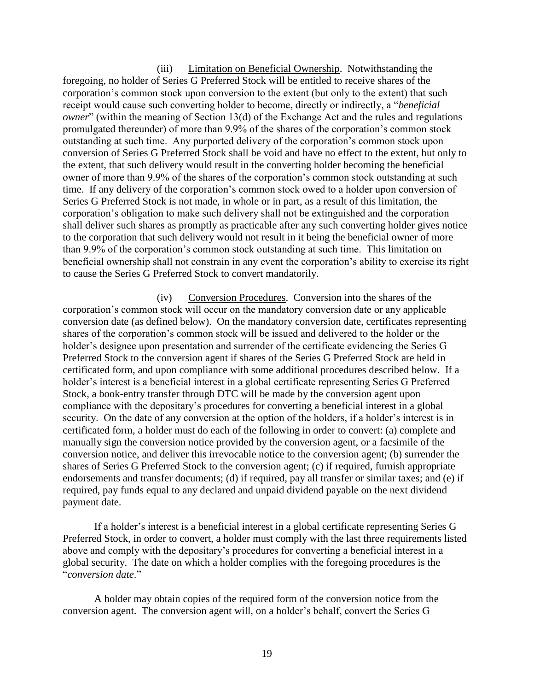(iii) Limitation on Beneficial Ownership. Notwithstanding the foregoing, no holder of Series G Preferred Stock will be entitled to receive shares of the corporation's common stock upon conversion to the extent (but only to the extent) that such receipt would cause such converting holder to become, directly or indirectly, a "*beneficial owner*" (within the meaning of Section 13(d) of the Exchange Act and the rules and regulations promulgated thereunder) of more than 9.9% of the shares of the corporation's common stock outstanding at such time. Any purported delivery of the corporation's common stock upon conversion of Series G Preferred Stock shall be void and have no effect to the extent, but only to the extent, that such delivery would result in the converting holder becoming the beneficial owner of more than 9.9% of the shares of the corporation's common stock outstanding at such time. If any delivery of the corporation's common stock owed to a holder upon conversion of Series G Preferred Stock is not made, in whole or in part, as a result of this limitation, the corporation's obligation to make such delivery shall not be extinguished and the corporation shall deliver such shares as promptly as practicable after any such converting holder gives notice to the corporation that such delivery would not result in it being the beneficial owner of more than 9.9% of the corporation's common stock outstanding at such time. This limitation on beneficial ownership shall not constrain in any event the corporation's ability to exercise its right to cause the Series G Preferred Stock to convert mandatorily.

(iv) Conversion Procedures. Conversion into the shares of the corporation's common stock will occur on the mandatory conversion date or any applicable conversion date (as defined below). On the mandatory conversion date, certificates representing shares of the corporation's common stock will be issued and delivered to the holder or the holder's designee upon presentation and surrender of the certificate evidencing the Series G Preferred Stock to the conversion agent if shares of the Series G Preferred Stock are held in certificated form, and upon compliance with some additional procedures described below. If a holder's interest is a beneficial interest in a global certificate representing Series G Preferred Stock, a book-entry transfer through DTC will be made by the conversion agent upon compliance with the depositary's procedures for converting a beneficial interest in a global security. On the date of any conversion at the option of the holders, if a holder's interest is in certificated form, a holder must do each of the following in order to convert: (a) complete and manually sign the conversion notice provided by the conversion agent, or a facsimile of the conversion notice, and deliver this irrevocable notice to the conversion agent; (b) surrender the shares of Series G Preferred Stock to the conversion agent; (c) if required, furnish appropriate endorsements and transfer documents; (d) if required, pay all transfer or similar taxes; and (e) if required, pay funds equal to any declared and unpaid dividend payable on the next dividend payment date.

If a holder's interest is a beneficial interest in a global certificate representing Series G Preferred Stock, in order to convert, a holder must comply with the last three requirements listed above and comply with the depositary's procedures for converting a beneficial interest in a global security. The date on which a holder complies with the foregoing procedures is the "*conversion date*."

A holder may obtain copies of the required form of the conversion notice from the conversion agent. The conversion agent will, on a holder's behalf, convert the Series G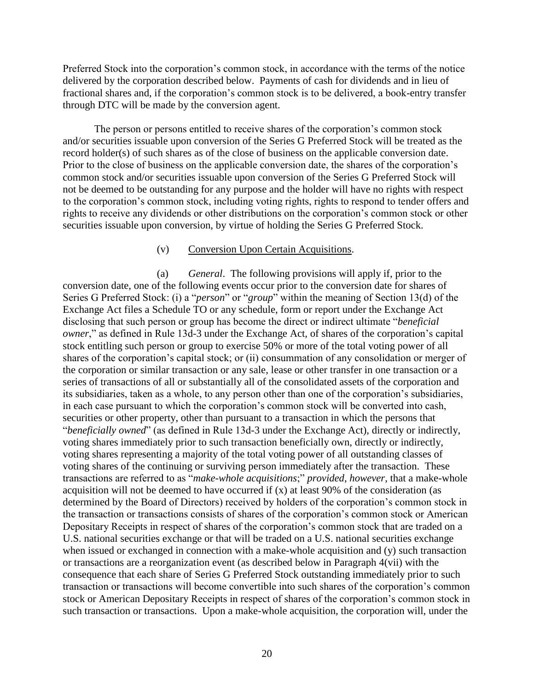Preferred Stock into the corporation's common stock, in accordance with the terms of the notice delivered by the corporation described below. Payments of cash for dividends and in lieu of fractional shares and, if the corporation's common stock is to be delivered, a book-entry transfer through DTC will be made by the conversion agent.

The person or persons entitled to receive shares of the corporation's common stock and/or securities issuable upon conversion of the Series G Preferred Stock will be treated as the record holder(s) of such shares as of the close of business on the applicable conversion date. Prior to the close of business on the applicable conversion date, the shares of the corporation's common stock and/or securities issuable upon conversion of the Series G Preferred Stock will not be deemed to be outstanding for any purpose and the holder will have no rights with respect to the corporation's common stock, including voting rights, rights to respond to tender offers and rights to receive any dividends or other distributions on the corporation's common stock or other securities issuable upon conversion, by virtue of holding the Series G Preferred Stock.

#### (v) Conversion Upon Certain Acquisitions.

(a) *General*.The following provisions will apply if, prior to the conversion date, one of the following events occur prior to the conversion date for shares of Series G Preferred Stock: (i) a "*person*" or "*group*" within the meaning of Section 13(d) of the Exchange Act files a Schedule TO or any schedule, form or report under the Exchange Act disclosing that such person or group has become the direct or indirect ultimate "*beneficial owner*," as defined in Rule 13d-3 under the Exchange Act, of shares of the corporation's capital stock entitling such person or group to exercise 50% or more of the total voting power of all shares of the corporation's capital stock; or (ii) consummation of any consolidation or merger of the corporation or similar transaction or any sale, lease or other transfer in one transaction or a series of transactions of all or substantially all of the consolidated assets of the corporation and its subsidiaries, taken as a whole, to any person other than one of the corporation's subsidiaries, in each case pursuant to which the corporation's common stock will be converted into cash, securities or other property, other than pursuant to a transaction in which the persons that "*beneficially owned*" (as defined in Rule 13d-3 under the Exchange Act), directly or indirectly, voting shares immediately prior to such transaction beneficially own, directly or indirectly, voting shares representing a majority of the total voting power of all outstanding classes of voting shares of the continuing or surviving person immediately after the transaction. These transactions are referred to as "*make-whole acquisitions*;" *provided*, *however*, that a make-whole acquisition will not be deemed to have occurred if (x) at least 90% of the consideration (as determined by the Board of Directors) received by holders of the corporation's common stock in the transaction or transactions consists of shares of the corporation's common stock or American Depositary Receipts in respect of shares of the corporation's common stock that are traded on a U.S. national securities exchange or that will be traded on a U.S. national securities exchange when issued or exchanged in connection with a make-whole acquisition and (y) such transaction or transactions are a reorganization event (as described below in Paragraph 4(vii) with the consequence that each share of Series G Preferred Stock outstanding immediately prior to such transaction or transactions will become convertible into such shares of the corporation's common stock or American Depositary Receipts in respect of shares of the corporation's common stock in such transaction or transactions. Upon a make-whole acquisition, the corporation will, under the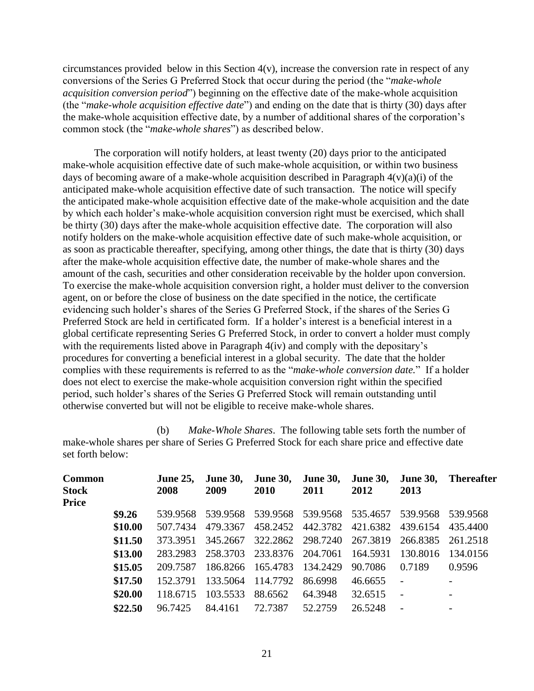circumstances provided below in this Section  $4(v)$ , increase the conversion rate in respect of any conversions of the Series G Preferred Stock that occur during the period (the "*make-whole acquisition conversion period*") beginning on the effective date of the make-whole acquisition (the "*make-whole acquisition effective date*") and ending on the date that is thirty (30) days after the make-whole acquisition effective date, by a number of additional shares of the corporation's common stock (the "*make-whole shares*") as described below.

The corporation will notify holders, at least twenty (20) days prior to the anticipated make-whole acquisition effective date of such make-whole acquisition, or within two business days of becoming aware of a make-whole acquisition described in Paragraph  $4(v)(a)(i)$  of the anticipated make-whole acquisition effective date of such transaction. The notice will specify the anticipated make-whole acquisition effective date of the make-whole acquisition and the date by which each holder's make-whole acquisition conversion right must be exercised, which shall be thirty (30) days after the make-whole acquisition effective date. The corporation will also notify holders on the make-whole acquisition effective date of such make-whole acquisition, or as soon as practicable thereafter, specifying, among other things, the date that is thirty (30) days after the make-whole acquisition effective date, the number of make-whole shares and the amount of the cash, securities and other consideration receivable by the holder upon conversion. To exercise the make-whole acquisition conversion right, a holder must deliver to the conversion agent, on or before the close of business on the date specified in the notice, the certificate evidencing such holder's shares of the Series G Preferred Stock, if the shares of the Series G Preferred Stock are held in certificated form. If a holder's interest is a beneficial interest in a global certificate representing Series G Preferred Stock, in order to convert a holder must comply with the requirements listed above in Paragraph  $4(iv)$  and comply with the depositary's procedures for converting a beneficial interest in a global security. The date that the holder complies with these requirements is referred to as the "*make-whole conversion date.*" If a holder does not elect to exercise the make-whole acquisition conversion right within the specified period, such holder's shares of the Series G Preferred Stock will remain outstanding until otherwise converted but will not be eligible to receive make-whole shares.

(b) *Make-Whole Shares*.The following table sets forth the number of make-whole shares per share of Series G Preferred Stock for each share price and effective date set forth below:

| <b>Common</b><br><b>Stock</b><br><b>Price</b> |         | <b>June 25,</b><br>2008 | <b>June 30,</b><br>2009 | <b>June 30,</b><br>2010 | <b>June 30,</b><br>2011    | <b>June 30,</b><br>2012 | <b>June 30,</b><br>2013    | <b>Thereafter</b>        |
|-----------------------------------------------|---------|-------------------------|-------------------------|-------------------------|----------------------------|-------------------------|----------------------------|--------------------------|
|                                               | \$9.26  | 539.9568                | 539.9568                |                         | 539.9568 539.9568 535.4657 |                         | 539.9568                   | 539.9568                 |
|                                               | \$10.00 | 507.7434                | 479.3367                | 458.2452                |                            |                         | 442.3782 421.6382 439.6154 | 435.4400                 |
|                                               | \$11.50 | 373.3951                | 345.2667                |                         | 322.2862 298.7240          | 267.3819                | 266.8385                   | 261.2518                 |
|                                               | \$13.00 | 283.2983                | 258.3703                |                         | 233.8376 204.7061          | 164.5931                | 130.8016                   | 134.0156                 |
|                                               | \$15.05 | 209.7587                |                         | 186.8266 165.4783       | 134.2429                   | 90.7086                 | 0.7189                     | 0.9596                   |
|                                               | \$17.50 | 152.3791                | 133.5064                | 114.7792                | 86.6998                    | 46.6655                 |                            | $\overline{\phantom{a}}$ |
|                                               | \$20.00 | 118.6715                | 103.5533                | 88.6562                 | 64.3948                    | 32.6515                 |                            | $\overline{\phantom{a}}$ |
|                                               | \$22.50 | 96.7425                 | 84.4161                 | 72.7387                 | 52.2759                    | 26.5248                 | $\overline{\phantom{0}}$   | $\overline{\phantom{a}}$ |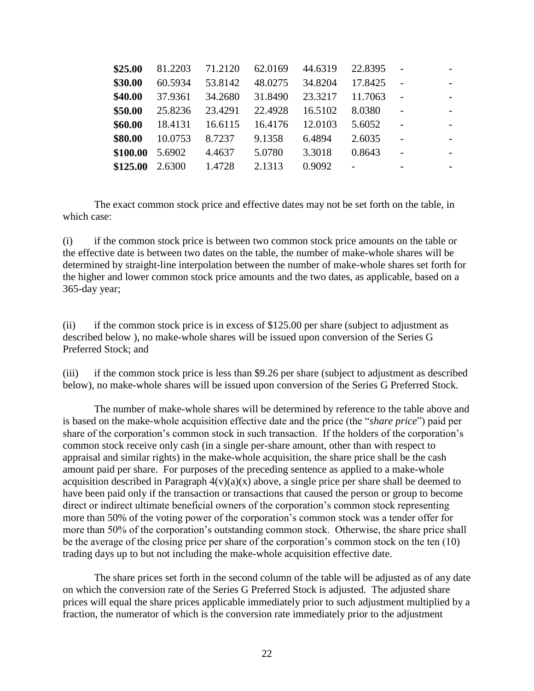| 81.2203 | 71.2120 | 62.0169 | 44.6319 | 22.8395 |  |
|---------|---------|---------|---------|---------|--|
| 60.5934 | 53.8142 | 48.0275 | 34.8204 | 17.8425 |  |
| 37.9361 | 34.2680 | 31.8490 | 23.3217 | 11.7063 |  |
| 25.8236 | 23.4291 | 22.4928 | 16.5102 | 8.0380  |  |
| 18.4131 | 16.6115 | 16.4176 | 12.0103 | 5.6052  |  |
| 10.0753 | 8.7237  | 9.1358  | 6.4894  | 2.6035  |  |
| 5.6902  | 4.4637  | 5.0780  | 3.3018  | 0.8643  |  |
| 2.6300  | 1.4728  | 2.1313  | 0.9092  |         |  |
|         |         |         |         |         |  |

The exact common stock price and effective dates may not be set forth on the table, in which case:

(i) if the common stock price is between two common stock price amounts on the table or the effective date is between two dates on the table, the number of make-whole shares will be determined by straight-line interpolation between the number of make-whole shares set forth for the higher and lower common stock price amounts and the two dates, as applicable, based on a 365-day year;

(ii) if the common stock price is in excess of \$125.00 per share (subject to adjustment as described below ), no make-whole shares will be issued upon conversion of the Series G Preferred Stock; and

(iii) if the common stock price is less than \$9.26 per share (subject to adjustment as described below), no make-whole shares will be issued upon conversion of the Series G Preferred Stock.

The number of make-whole shares will be determined by reference to the table above and is based on the make-whole acquisition effective date and the price (the "*share price*") paid per share of the corporation's common stock in such transaction. If the holders of the corporation's common stock receive only cash (in a single per-share amount, other than with respect to appraisal and similar rights) in the make-whole acquisition, the share price shall be the cash amount paid per share. For purposes of the preceding sentence as applied to a make-whole acquisition described in Paragraph  $4(v)(a)(x)$  above, a single price per share shall be deemed to have been paid only if the transaction or transactions that caused the person or group to become direct or indirect ultimate beneficial owners of the corporation's common stock representing more than 50% of the voting power of the corporation's common stock was a tender offer for more than 50% of the corporation's outstanding common stock. Otherwise, the share price shall be the average of the closing price per share of the corporation's common stock on the ten (10) trading days up to but not including the make-whole acquisition effective date.

The share prices set forth in the second column of the table will be adjusted as of any date on which the conversion rate of the Series G Preferred Stock is adjusted. The adjusted share prices will equal the share prices applicable immediately prior to such adjustment multiplied by a fraction, the numerator of which is the conversion rate immediately prior to the adjustment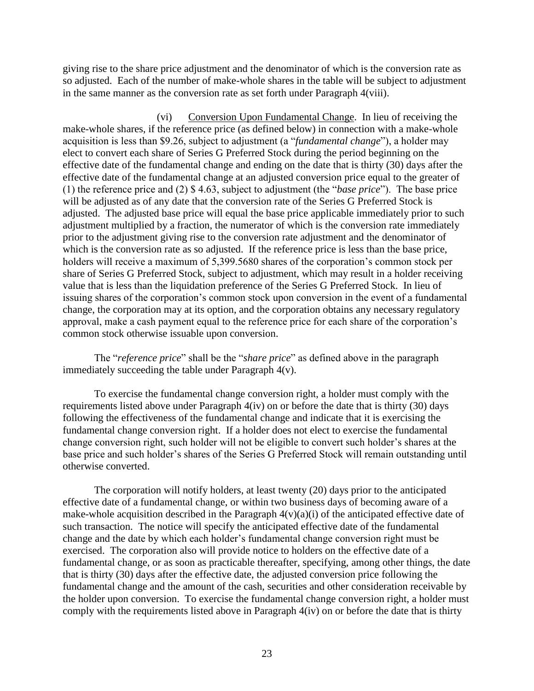giving rise to the share price adjustment and the denominator of which is the conversion rate as so adjusted. Each of the number of make-whole shares in the table will be subject to adjustment in the same manner as the conversion rate as set forth under Paragraph 4(viii).

(vi) Conversion Upon Fundamental Change. In lieu of receiving the make-whole shares, if the reference price (as defined below) in connection with a make-whole acquisition is less than \$9.26, subject to adjustment (a "*fundamental change*"), a holder may elect to convert each share of Series G Preferred Stock during the period beginning on the effective date of the fundamental change and ending on the date that is thirty (30) days after the effective date of the fundamental change at an adjusted conversion price equal to the greater of (1) the reference price and (2) \$ 4.63, subject to adjustment (the "*base price*"). The base price will be adjusted as of any date that the conversion rate of the Series G Preferred Stock is adjusted. The adjusted base price will equal the base price applicable immediately prior to such adjustment multiplied by a fraction, the numerator of which is the conversion rate immediately prior to the adjustment giving rise to the conversion rate adjustment and the denominator of which is the conversion rate as so adjusted. If the reference price is less than the base price, holders will receive a maximum of 5,399.5680 shares of the corporation's common stock per share of Series G Preferred Stock, subject to adjustment, which may result in a holder receiving value that is less than the liquidation preference of the Series G Preferred Stock. In lieu of issuing shares of the corporation's common stock upon conversion in the event of a fundamental change, the corporation may at its option, and the corporation obtains any necessary regulatory approval, make a cash payment equal to the reference price for each share of the corporation's common stock otherwise issuable upon conversion.

The "*reference price*" shall be the "*share price*" as defined above in the paragraph immediately succeeding the table under Paragraph 4(v).

To exercise the fundamental change conversion right, a holder must comply with the requirements listed above under Paragraph 4(iv) on or before the date that is thirty (30) days following the effectiveness of the fundamental change and indicate that it is exercising the fundamental change conversion right. If a holder does not elect to exercise the fundamental change conversion right, such holder will not be eligible to convert such holder's shares at the base price and such holder's shares of the Series G Preferred Stock will remain outstanding until otherwise converted.

The corporation will notify holders, at least twenty (20) days prior to the anticipated effective date of a fundamental change, or within two business days of becoming aware of a make-whole acquisition described in the Paragraph  $4(v)(a)(i)$  of the anticipated effective date of such transaction. The notice will specify the anticipated effective date of the fundamental change and the date by which each holder's fundamental change conversion right must be exercised. The corporation also will provide notice to holders on the effective date of a fundamental change, or as soon as practicable thereafter, specifying, among other things, the date that is thirty (30) days after the effective date, the adjusted conversion price following the fundamental change and the amount of the cash, securities and other consideration receivable by the holder upon conversion. To exercise the fundamental change conversion right, a holder must comply with the requirements listed above in Paragraph 4(iv) on or before the date that is thirty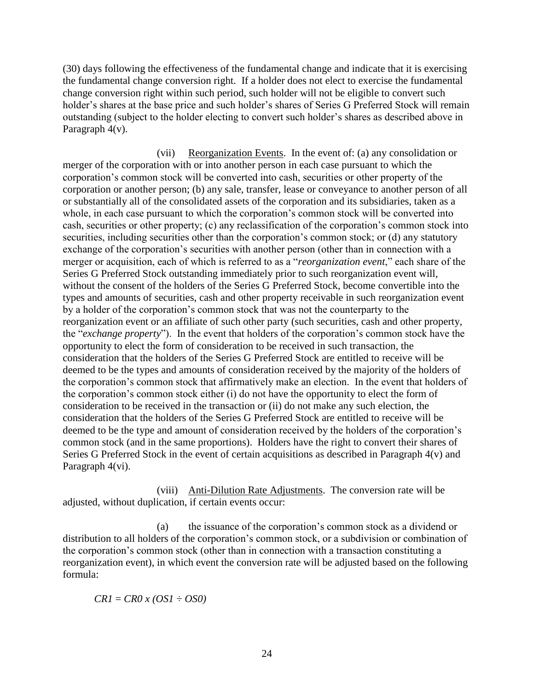(30) days following the effectiveness of the fundamental change and indicate that it is exercising the fundamental change conversion right. If a holder does not elect to exercise the fundamental change conversion right within such period, such holder will not be eligible to convert such holder's shares at the base price and such holder's shares of Series G Preferred Stock will remain outstanding (subject to the holder electing to convert such holder's shares as described above in Paragraph 4(v).

(vii) Reorganization Events. In the event of: (a) any consolidation or merger of the corporation with or into another person in each case pursuant to which the corporation's common stock will be converted into cash, securities or other property of the corporation or another person; (b) any sale, transfer, lease or conveyance to another person of all or substantially all of the consolidated assets of the corporation and its subsidiaries, taken as a whole, in each case pursuant to which the corporation's common stock will be converted into cash, securities or other property; (c) any reclassification of the corporation's common stock into securities, including securities other than the corporation's common stock; or (d) any statutory exchange of the corporation's securities with another person (other than in connection with a merger or acquisition, each of which is referred to as a "*reorganization event*," each share of the Series G Preferred Stock outstanding immediately prior to such reorganization event will, without the consent of the holders of the Series G Preferred Stock, become convertible into the types and amounts of securities, cash and other property receivable in such reorganization event by a holder of the corporation's common stock that was not the counterparty to the reorganization event or an affiliate of such other party (such securities, cash and other property, the "*exchange property*"). In the event that holders of the corporation's common stock have the opportunity to elect the form of consideration to be received in such transaction, the consideration that the holders of the Series G Preferred Stock are entitled to receive will be deemed to be the types and amounts of consideration received by the majority of the holders of the corporation's common stock that affirmatively make an election. In the event that holders of the corporation's common stock either (i) do not have the opportunity to elect the form of consideration to be received in the transaction or (ii) do not make any such election, the consideration that the holders of the Series G Preferred Stock are entitled to receive will be deemed to be the type and amount of consideration received by the holders of the corporation's common stock (and in the same proportions). Holders have the right to convert their shares of Series G Preferred Stock in the event of certain acquisitions as described in Paragraph 4(v) and Paragraph 4(vi).

(viii) Anti-Dilution Rate Adjustments. The conversion rate will be adjusted, without duplication, if certain events occur:

(a) the issuance of the corporation's common stock as a dividend or distribution to all holders of the corporation's common stock, or a subdivision or combination of the corporation's common stock (other than in connection with a transaction constituting a reorganization event), in which event the conversion rate will be adjusted based on the following formula:

*CR1* = *CR0 x (OS1 ÷ OS0)*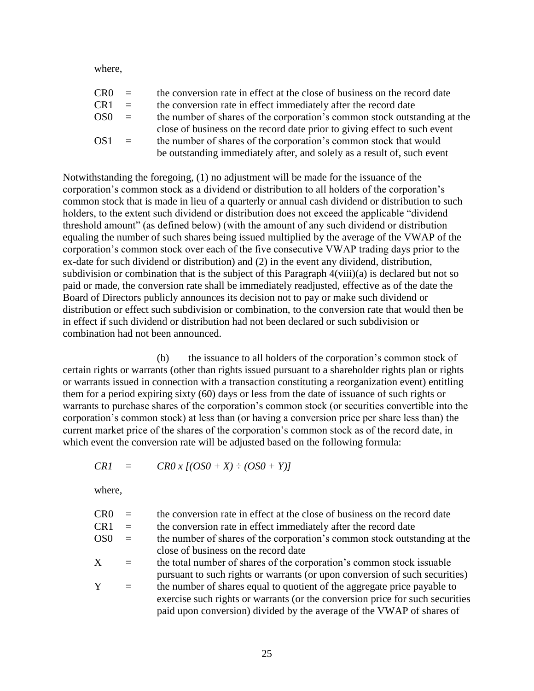where,

| CR <sub>0</sub> | $\equiv$ | the conversion rate in effect at the close of business on the record date |
|-----------------|----------|---------------------------------------------------------------------------|
| CR <sub>1</sub> | $=$      | the conversion rate in effect immediately after the record date           |
| OS <sub>0</sub> | $\equiv$ | the number of shares of the corporation's common stock outstanding at the |
|                 |          | close of business on the record date prior to giving effect to such event |
| OS <sub>1</sub> | $\equiv$ | the number of shares of the corporation's common stock that would         |
|                 |          | be outstanding immediately after, and solely as a result of, such event   |

Notwithstanding the foregoing, (1) no adjustment will be made for the issuance of the corporation's common stock as a dividend or distribution to all holders of the corporation's common stock that is made in lieu of a quarterly or annual cash dividend or distribution to such holders, to the extent such dividend or distribution does not exceed the applicable "dividend threshold amount" (as defined below) (with the amount of any such dividend or distribution equaling the number of such shares being issued multiplied by the average of the VWAP of the corporation's common stock over each of the five consecutive VWAP trading days prior to the ex-date for such dividend or distribution) and (2) in the event any dividend, distribution, subdivision or combination that is the subject of this Paragraph 4(viii)(a) is declared but not so paid or made, the conversion rate shall be immediately readjusted, effective as of the date the Board of Directors publicly announces its decision not to pay or make such dividend or distribution or effect such subdivision or combination, to the conversion rate that would then be in effect if such dividend or distribution had not been declared or such subdivision or combination had not been announced.

(b) the issuance to all holders of the corporation's common stock of certain rights or warrants (other than rights issued pursuant to a shareholder rights plan or rights or warrants issued in connection with a transaction constituting a reorganization event) entitling them for a period expiring sixty (60) days or less from the date of issuance of such rights or warrants to purchase shares of the corporation's common stock (or securities convertible into the corporation's common stock) at less than (or having a conversion price per share less than) the current market price of the shares of the corporation's common stock as of the record date, in which event the conversion rate will be adjusted based on the following formula:

$$
CRI = CRO x [(OSO + X) \div (OSO + Y)]
$$

where,

| CR <sub>0</sub> | $\equiv$ | the conversion rate in effect at the close of business on the record date     |
|-----------------|----------|-------------------------------------------------------------------------------|
| CR1             | $\equiv$ | the conversion rate in effect immediately after the record date               |
| OS0             | $\equiv$ | the number of shares of the corporation's common stock outstanding at the     |
|                 |          | close of business on the record date                                          |
| $\rm X$         | $=$      | the total number of shares of the corporation's common stock is suable        |
|                 |          | pursuant to such rights or warrants (or upon conversion of such securities)   |
| Y               | $=$      | the number of shares equal to quotient of the aggregate price payable to      |
|                 |          | exercise such rights or warrants (or the conversion price for such securities |
|                 |          | paid upon conversion) divided by the average of the VWAP of shares of         |
|                 |          |                                                                               |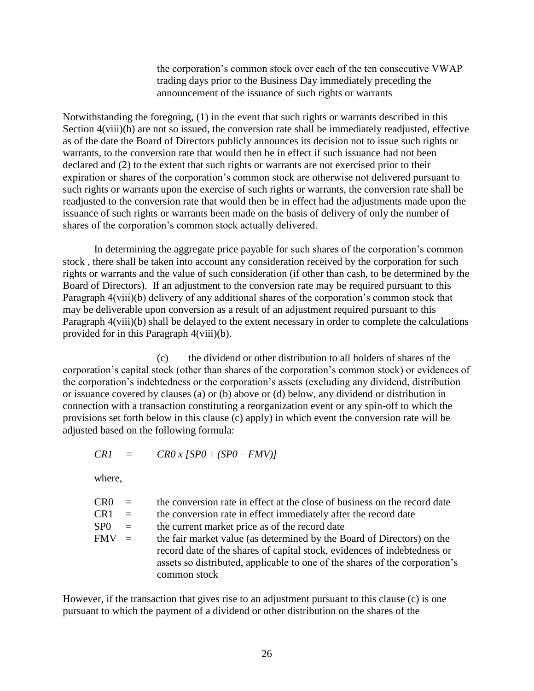the corporation's common stock over each of the ten consecutive VWAP trading days prior to the Business Day immediately preceding the announcement of the issuance of such rights or warrants

Notwithstanding the foregoing, (1) in the event that such rights or warrants described in this Section  $4(viii)(b)$  are not so issued, the conversion rate shall be immediately readjusted, effective as of the date the Board of Directors publicly announces its decision not to issue such rights or warrants, to the conversion rate that would then be in effect if such issuance had not been declared and (2) to the extent that such rights or warrants are not exercised prior to their expiration or shares of the corporation's common stock are otherwise not delivered pursuant to such rights or warrants upon the exercise of such rights or warrants, the conversion rate shall be readjusted to the conversion rate that would then be in effect had the adjustments made upon the issuance of such rights or warrants been made on the basis of delivery of only the number of shares of the corporation's common stock actually delivered.

In determining the aggregate price payable for such shares of the corporation's common stock , there shall be taken into account any consideration received by the corporation for such rights or warrants and the value of such consideration (if other than cash, to be determined by the Board of Directors). If an adjustment to the conversion rate may be required pursuant to this Paragraph 4(viii)(b) delivery of any additional shares of the corporation's common stock that may be deliverable upon conversion as a result of an adjustment required pursuant to this Paragraph 4(viii)(b) shall be delayed to the extent necessary in order to complete the calculations provided for in this Paragraph 4(viii)(b).

(c) the dividend or other distribution to all holders of shares of the corporation's capital stock (other than shares of the corporation's common stock) or evidences of the corporation's indebtedness or the corporation's assets (excluding any dividend, distribution or issuance covered by clauses (a) or (b) above or (d) below, any dividend or distribution in connection with a transaction constituting a reorganization event or any spin-off to which the provisions set forth below in this clause (c) apply) in which event the conversion rate will be adjusted based on the following formula:

 $CRI = CR0 x [SP0 \div (SP0 - FMV)]$ 

where,

| CR <sub>0</sub> | $\alpha = 1$ | the conversion rate in effect at the close of business on the record date                                                                                               |
|-----------------|--------------|-------------------------------------------------------------------------------------------------------------------------------------------------------------------------|
| CR <sub>1</sub> | $=$          | the conversion rate in effect immediately after the record date                                                                                                         |
| SP <sub>0</sub> | $\equiv$     | the current market price as of the record date                                                                                                                          |
| <b>FMV</b>      | $\equiv$     | the fair market value (as determined by the Board of Directors) on the                                                                                                  |
|                 |              | record date of the shares of capital stock, evidences of indebtedness or<br>assets so distributed, applicable to one of the shares of the corporation's<br>common stock |

However, if the transaction that gives rise to an adjustment pursuant to this clause (c) is one pursuant to which the payment of a dividend or other distribution on the shares of the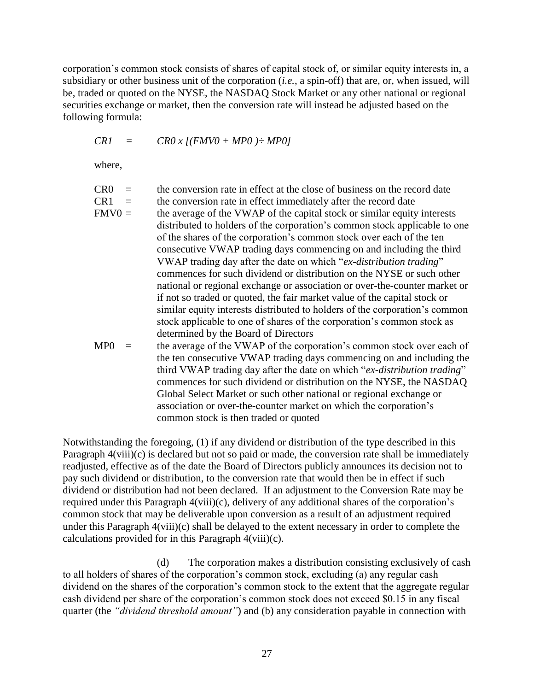corporation's common stock consists of shares of capital stock of, or similar equity interests in, a subsidiary or other business unit of the corporation (*i.e.*, a spin-off) that are, or, when issued, will be, traded or quoted on the NYSE, the NASDAQ Stock Market or any other national or regional securities exchange or market, then the conversion rate will instead be adjusted based on the following formula:

$$
CRI = CRO x [(FMV0 + MP0) \div MP0]
$$

where,

| CR <sub>0</sub> | $=$ | the conversion rate in effect at the close of business on the record date   |
|-----------------|-----|-----------------------------------------------------------------------------|
| CR <sub>1</sub> | $=$ | the conversion rate in effect immediately after the record date             |
| $FMV0 =$        |     | the average of the VWAP of the capital stock or similar equity interests    |
|                 |     | distributed to holders of the corporation's common stock applicable to one  |
|                 |     | of the shares of the corporation's common stock over each of the ten        |
|                 |     | consecutive VWAP trading days commencing on and including the third         |
|                 |     | VWAP trading day after the date on which "ex-distribution trading"          |
|                 |     | commences for such dividend or distribution on the NYSE or such other       |
|                 |     | national or regional exchange or association or over-the-counter market or  |
|                 |     | if not so traded or quoted, the fair market value of the capital stock or   |
|                 |     | similar equity interests distributed to holders of the corporation's common |
|                 |     | stock applicable to one of shares of the corporation's common stock as      |
|                 |     | determined by the Board of Directors                                        |
| MP0             |     | the average of the VWAP of the corporation's common stock over each of      |
|                 |     | the ten consecutive VWAP trading days commencing on and including the       |
|                 |     | third VWAP trading day after the date on which "ex-distribution trading"    |
|                 |     | commences for such dividend or distribution on the NYSE, the NASDAQ         |
|                 |     | Global Select Market or such other national or regional exchange or         |
|                 |     | association or over-the-counter market on which the corporation's           |
|                 |     | common stock is then traded or quoted                                       |

Notwithstanding the foregoing, (1) if any dividend or distribution of the type described in this Paragraph  $4(viii)(c)$  is declared but not so paid or made, the conversion rate shall be immediately readjusted, effective as of the date the Board of Directors publicly announces its decision not to pay such dividend or distribution, to the conversion rate that would then be in effect if such dividend or distribution had not been declared. If an adjustment to the Conversion Rate may be required under this Paragraph 4(viii)(c), delivery of any additional shares of the corporation's common stock that may be deliverable upon conversion as a result of an adjustment required under this Paragraph 4(viii)(c) shall be delayed to the extent necessary in order to complete the calculations provided for in this Paragraph 4(viii)(c).

(d) The corporation makes a distribution consisting exclusively of cash to all holders of shares of the corporation's common stock, excluding (a) any regular cash dividend on the shares of the corporation's common stock to the extent that the aggregate regular cash dividend per share of the corporation's common stock does not exceed \$0.15 in any fiscal quarter (the *"dividend threshold amount"*) and (b) any consideration payable in connection with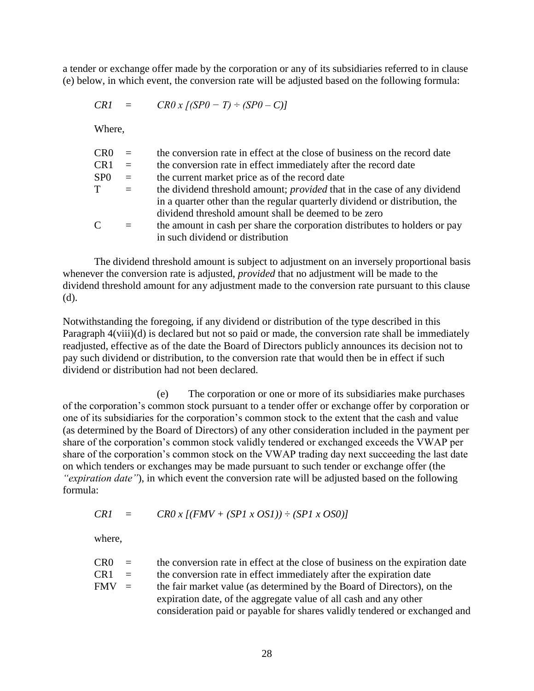a tender or exchange offer made by the corporation or any of its subsidiaries referred to in clause (e) below, in which event, the conversion rate will be adjusted based on the following formula:

 $CRI = CR0 x [(SP0 - T) \div (SP0 - C)]$ 

Where,

| CR <sub>0</sub> | $=$      | the conversion rate in effect at the close of business on the record date       |
|-----------------|----------|---------------------------------------------------------------------------------|
| CR <sub>1</sub> | $\equiv$ | the conversion rate in effect immediately after the record date                 |
| SP <sub>0</sub> | $\equiv$ | the current market price as of the record date                                  |
| T               | $=$      | the dividend threshold amount; <i>provided</i> that in the case of any dividend |
|                 |          | in a quarter other than the regular quarterly dividend or distribution, the     |
|                 |          | dividend threshold amount shall be deemed to be zero                            |
| $\mathsf{C}$    | $=$      | the amount in cash per share the corporation distributes to holders or pay      |
|                 |          | in such dividend or distribution                                                |

The dividend threshold amount is subject to adjustment on an inversely proportional basis whenever the conversion rate is adjusted, *provided* that no adjustment will be made to the dividend threshold amount for any adjustment made to the conversion rate pursuant to this clause (d).

Notwithstanding the foregoing, if any dividend or distribution of the type described in this Paragraph 4(viii)(d) is declared but not so paid or made, the conversion rate shall be immediately readjusted, effective as of the date the Board of Directors publicly announces its decision not to pay such dividend or distribution, to the conversion rate that would then be in effect if such dividend or distribution had not been declared.

(e) The corporation or one or more of its subsidiaries make purchases of the corporation's common stock pursuant to a tender offer or exchange offer by corporation or one of its subsidiaries for the corporation's common stock to the extent that the cash and value (as determined by the Board of Directors) of any other consideration included in the payment per share of the corporation's common stock validly tendered or exchanged exceeds the VWAP per share of the corporation's common stock on the VWAP trading day next succeeding the last date on which tenders or exchanges may be made pursuant to such tender or exchange offer (the *"expiration date"*), in which event the conversion rate will be adjusted based on the following formula:

$$
CRI = CRO \times [(FMV + (SP1 \times OS1)) \div (SP1 \times OS0)]
$$

where,

| CRO-    | $\alpha = 1$              | the conversion rate in effect at the close of business on the expiration date |
|---------|---------------------------|-------------------------------------------------------------------------------|
| CR1.    | $\mathbf{r} = \mathbf{r}$ | the conversion rate in effect immediately after the expiration date           |
| $FMV =$ |                           | the fair market value (as determined by the Board of Directors), on the       |
|         |                           | expiration date, of the aggregate value of all cash and any other             |
|         |                           | consideration paid or payable for shares validly tendered or exchanged and    |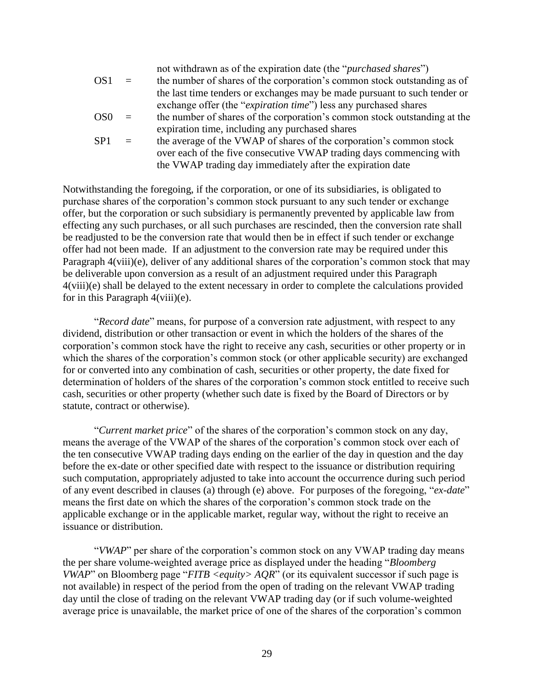|                 |              | not withdrawn as of the expiration date (the " <i>purchased shares</i> ") |
|-----------------|--------------|---------------------------------------------------------------------------|
| OS <sub>1</sub> | $=$          | the number of shares of the corporation's common stock outstanding as of  |
|                 |              | the last time tenders or exchanges may be made pursuant to such tender or |
|                 |              | exchange offer (the " <i>expiration time</i> ") less any purchased shares |
| OS0             | $\equiv$     | the number of shares of the corporation's common stock outstanding at the |
|                 |              | expiration time, including any purchased shares                           |
| SP1             | $\alpha = 1$ | the average of the VWAP of shares of the corporation's common stock       |
|                 |              | over each of the five consecutive VWAP trading days commencing with       |
|                 |              | the VWAP trading day immediately after the expiration date                |
|                 |              |                                                                           |

Notwithstanding the foregoing, if the corporation, or one of its subsidiaries, is obligated to purchase shares of the corporation's common stock pursuant to any such tender or exchange offer, but the corporation or such subsidiary is permanently prevented by applicable law from effecting any such purchases, or all such purchases are rescinded, then the conversion rate shall be readjusted to be the conversion rate that would then be in effect if such tender or exchange offer had not been made. If an adjustment to the conversion rate may be required under this Paragraph 4(viii)(e), deliver of any additional shares of the corporation's common stock that may be deliverable upon conversion as a result of an adjustment required under this Paragraph 4(viii)(e) shall be delayed to the extent necessary in order to complete the calculations provided for in this Paragraph 4(viii)(e).

"*Record date*" means, for purpose of a conversion rate adjustment, with respect to any dividend, distribution or other transaction or event in which the holders of the shares of the corporation's common stock have the right to receive any cash, securities or other property or in which the shares of the corporation's common stock (or other applicable security) are exchanged for or converted into any combination of cash, securities or other property, the date fixed for determination of holders of the shares of the corporation's common stock entitled to receive such cash, securities or other property (whether such date is fixed by the Board of Directors or by statute, contract or otherwise).

"*Current market price*" of the shares of the corporation's common stock on any day, means the average of the VWAP of the shares of the corporation's common stock over each of the ten consecutive VWAP trading days ending on the earlier of the day in question and the day before the ex-date or other specified date with respect to the issuance or distribution requiring such computation, appropriately adjusted to take into account the occurrence during such period of any event described in clauses (a) through (e) above. For purposes of the foregoing, "*ex-date*" means the first date on which the shares of the corporation's common stock trade on the applicable exchange or in the applicable market, regular way, without the right to receive an issuance or distribution.

"*VWAP*" per share of the corporation's common stock on any VWAP trading day means the per share volume-weighted average price as displayed under the heading "*Bloomberg VWAP*" on Bloomberg page "*FITB <equity> AQR*" (or its equivalent successor if such page is not available) in respect of the period from the open of trading on the relevant VWAP trading day until the close of trading on the relevant VWAP trading day (or if such volume-weighted average price is unavailable, the market price of one of the shares of the corporation's common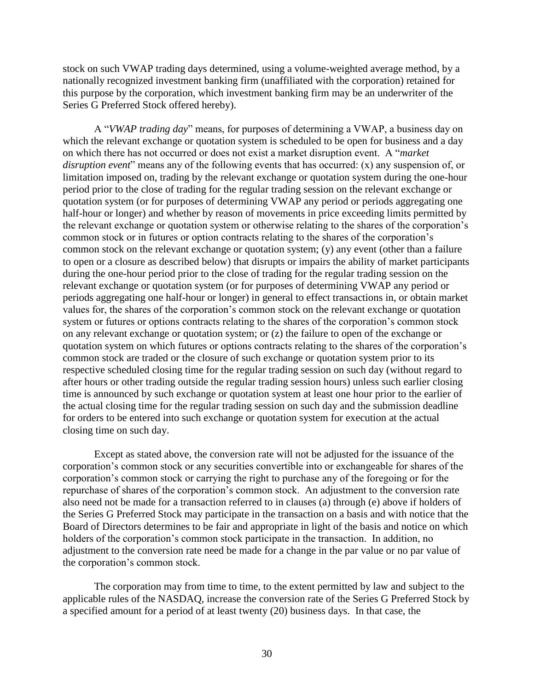stock on such VWAP trading days determined, using a volume-weighted average method, by a nationally recognized investment banking firm (unaffiliated with the corporation) retained for this purpose by the corporation, which investment banking firm may be an underwriter of the Series G Preferred Stock offered hereby).

A "*VWAP trading day*" means, for purposes of determining a VWAP, a business day on which the relevant exchange or quotation system is scheduled to be open for business and a day on which there has not occurred or does not exist a market disruption event. A "*market disruption event*" means any of the following events that has occurred: (x) any suspension of, or limitation imposed on, trading by the relevant exchange or quotation system during the one-hour period prior to the close of trading for the regular trading session on the relevant exchange or quotation system (or for purposes of determining VWAP any period or periods aggregating one half-hour or longer) and whether by reason of movements in price exceeding limits permitted by the relevant exchange or quotation system or otherwise relating to the shares of the corporation's common stock or in futures or option contracts relating to the shares of the corporation's common stock on the relevant exchange or quotation system; (y) any event (other than a failure to open or a closure as described below) that disrupts or impairs the ability of market participants during the one-hour period prior to the close of trading for the regular trading session on the relevant exchange or quotation system (or for purposes of determining VWAP any period or periods aggregating one half-hour or longer) in general to effect transactions in, or obtain market values for, the shares of the corporation's common stock on the relevant exchange or quotation system or futures or options contracts relating to the shares of the corporation's common stock on any relevant exchange or quotation system; or (z) the failure to open of the exchange or quotation system on which futures or options contracts relating to the shares of the corporation's common stock are traded or the closure of such exchange or quotation system prior to its respective scheduled closing time for the regular trading session on such day (without regard to after hours or other trading outside the regular trading session hours) unless such earlier closing time is announced by such exchange or quotation system at least one hour prior to the earlier of the actual closing time for the regular trading session on such day and the submission deadline for orders to be entered into such exchange or quotation system for execution at the actual closing time on such day.

Except as stated above, the conversion rate will not be adjusted for the issuance of the corporation's common stock or any securities convertible into or exchangeable for shares of the corporation's common stock or carrying the right to purchase any of the foregoing or for the repurchase of shares of the corporation's common stock. An adjustment to the conversion rate also need not be made for a transaction referred to in clauses (a) through (e) above if holders of the Series G Preferred Stock may participate in the transaction on a basis and with notice that the Board of Directors determines to be fair and appropriate in light of the basis and notice on which holders of the corporation's common stock participate in the transaction. In addition, no adjustment to the conversion rate need be made for a change in the par value or no par value of the corporation's common stock.

The corporation may from time to time, to the extent permitted by law and subject to the applicable rules of the NASDAQ, increase the conversion rate of the Series G Preferred Stock by a specified amount for a period of at least twenty (20) business days. In that case, the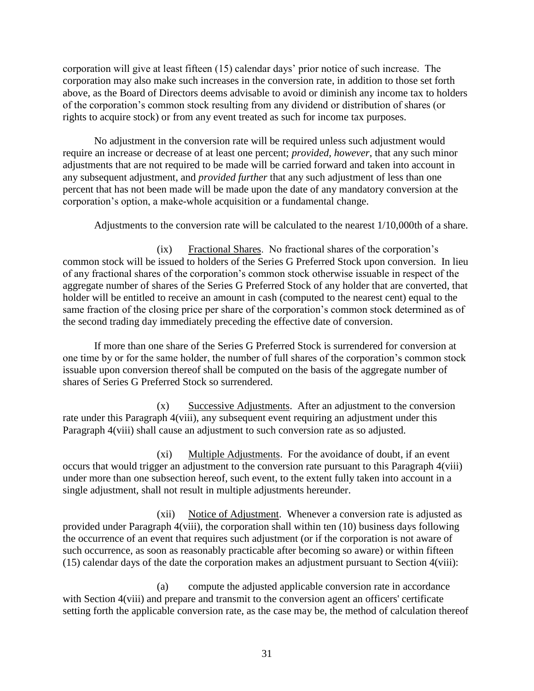corporation will give at least fifteen (15) calendar days' prior notice of such increase. The corporation may also make such increases in the conversion rate, in addition to those set forth above, as the Board of Directors deems advisable to avoid or diminish any income tax to holders of the corporation's common stock resulting from any dividend or distribution of shares (or rights to acquire stock) or from any event treated as such for income tax purposes.

No adjustment in the conversion rate will be required unless such adjustment would require an increase or decrease of at least one percent; *provided, however*, that any such minor adjustments that are not required to be made will be carried forward and taken into account in any subsequent adjustment, and *provided further* that any such adjustment of less than one percent that has not been made will be made upon the date of any mandatory conversion at the corporation's option, a make-whole acquisition or a fundamental change.

Adjustments to the conversion rate will be calculated to the nearest 1/10,000th of a share.

(ix) Fractional Shares. No fractional shares of the corporation's common stock will be issued to holders of the Series G Preferred Stock upon conversion. In lieu of any fractional shares of the corporation's common stock otherwise issuable in respect of the aggregate number of shares of the Series G Preferred Stock of any holder that are converted, that holder will be entitled to receive an amount in cash (computed to the nearest cent) equal to the same fraction of the closing price per share of the corporation's common stock determined as of the second trading day immediately preceding the effective date of conversion.

If more than one share of the Series G Preferred Stock is surrendered for conversion at one time by or for the same holder, the number of full shares of the corporation's common stock issuable upon conversion thereof shall be computed on the basis of the aggregate number of shares of Series G Preferred Stock so surrendered.

(x) Successive Adjustments. After an adjustment to the conversion rate under this Paragraph 4(viii), any subsequent event requiring an adjustment under this Paragraph 4(viii) shall cause an adjustment to such conversion rate as so adjusted.

(xi) Multiple Adjustments. For the avoidance of doubt, if an event occurs that would trigger an adjustment to the conversion rate pursuant to this Paragraph 4(viii) under more than one subsection hereof, such event, to the extent fully taken into account in a single adjustment, shall not result in multiple adjustments hereunder.

(xii) Notice of Adjustment. Whenever a conversion rate is adjusted as provided under Paragraph 4(viii), the corporation shall within ten (10) business days following the occurrence of an event that requires such adjustment (or if the corporation is not aware of such occurrence, as soon as reasonably practicable after becoming so aware) or within fifteen (15) calendar days of the date the corporation makes an adjustment pursuant to Section 4(viii):

(a) compute the adjusted applicable conversion rate in accordance with Section 4(viii) and prepare and transmit to the conversion agent an officers' certificate setting forth the applicable conversion rate, as the case may be, the method of calculation thereof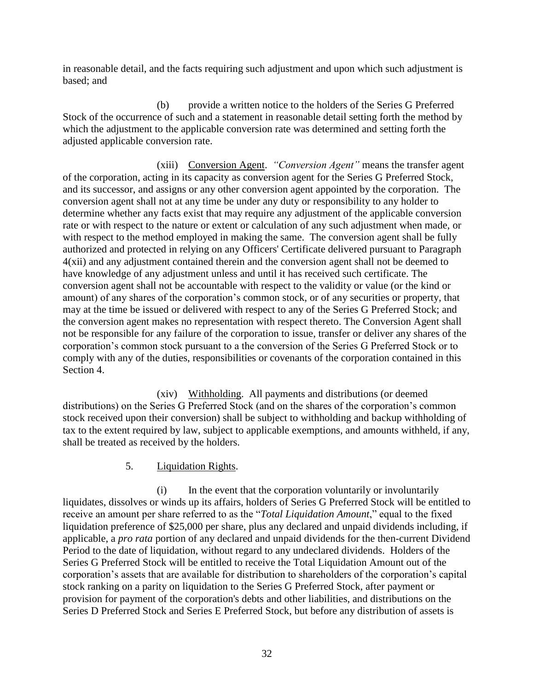in reasonable detail, and the facts requiring such adjustment and upon which such adjustment is based; and

(b) provide a written notice to the holders of the Series G Preferred Stock of the occurrence of such and a statement in reasonable detail setting forth the method by which the adjustment to the applicable conversion rate was determined and setting forth the adjusted applicable conversion rate.

(xiii) Conversion Agent. *"Conversion Agent"* means the transfer agent of the corporation, acting in its capacity as conversion agent for the Series G Preferred Stock, and its successor, and assigns or any other conversion agent appointed by the corporation. The conversion agent shall not at any time be under any duty or responsibility to any holder to determine whether any facts exist that may require any adjustment of the applicable conversion rate or with respect to the nature or extent or calculation of any such adjustment when made, or with respect to the method employed in making the same. The conversion agent shall be fully authorized and protected in relying on any Officers' Certificate delivered pursuant to Paragraph 4(xii) and any adjustment contained therein and the conversion agent shall not be deemed to have knowledge of any adjustment unless and until it has received such certificate. The conversion agent shall not be accountable with respect to the validity or value (or the kind or amount) of any shares of the corporation's common stock, or of any securities or property, that may at the time be issued or delivered with respect to any of the Series G Preferred Stock; and the conversion agent makes no representation with respect thereto. The Conversion Agent shall not be responsible for any failure of the corporation to issue, transfer or deliver any shares of the corporation's common stock pursuant to a the conversion of the Series G Preferred Stock or to comply with any of the duties, responsibilities or covenants of the corporation contained in this Section 4.

(xiv) Withholding. All payments and distributions (or deemed distributions) on the Series G Preferred Stock (and on the shares of the corporation's common stock received upon their conversion) shall be subject to withholding and backup withholding of tax to the extent required by law, subject to applicable exemptions, and amounts withheld, if any, shall be treated as received by the holders.

5. Liquidation Rights.

(i) In the event that the corporation voluntarily or involuntarily liquidates, dissolves or winds up its affairs, holders of Series G Preferred Stock will be entitled to receive an amount per share referred to as the "*Total Liquidation Amount*," equal to the fixed liquidation preference of \$25,000 per share, plus any declared and unpaid dividends including, if applicable, a *pro rata* portion of any declared and unpaid dividends for the then-current Dividend Period to the date of liquidation, without regard to any undeclared dividends. Holders of the Series G Preferred Stock will be entitled to receive the Total Liquidation Amount out of the corporation's assets that are available for distribution to shareholders of the corporation's capital stock ranking on a parity on liquidation to the Series G Preferred Stock, after payment or provision for payment of the corporation's debts and other liabilities, and distributions on the Series D Preferred Stock and Series E Preferred Stock, but before any distribution of assets is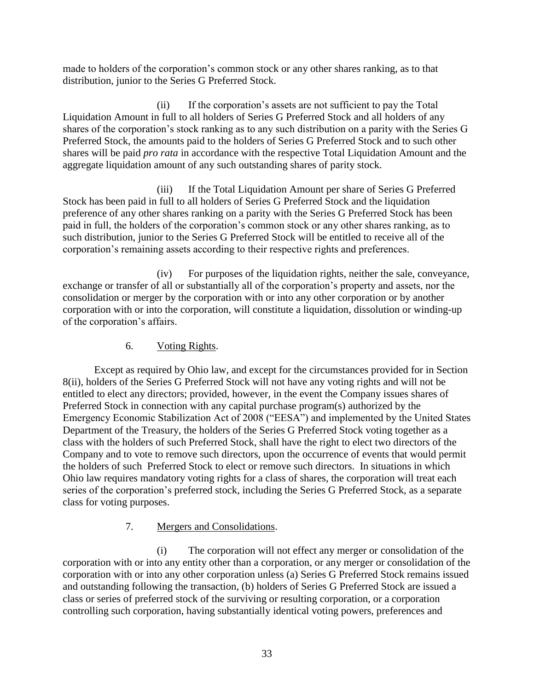made to holders of the corporation's common stock or any other shares ranking, as to that distribution, junior to the Series G Preferred Stock.

(ii) If the corporation's assets are not sufficient to pay the Total Liquidation Amount in full to all holders of Series G Preferred Stock and all holders of any shares of the corporation's stock ranking as to any such distribution on a parity with the Series G Preferred Stock, the amounts paid to the holders of Series G Preferred Stock and to such other shares will be paid *pro rata* in accordance with the respective Total Liquidation Amount and the aggregate liquidation amount of any such outstanding shares of parity stock.

(iii) If the Total Liquidation Amount per share of Series G Preferred Stock has been paid in full to all holders of Series G Preferred Stock and the liquidation preference of any other shares ranking on a parity with the Series G Preferred Stock has been paid in full, the holders of the corporation's common stock or any other shares ranking, as to such distribution, junior to the Series G Preferred Stock will be entitled to receive all of the corporation's remaining assets according to their respective rights and preferences.

(iv) For purposes of the liquidation rights, neither the sale, conveyance, exchange or transfer of all or substantially all of the corporation's property and assets, nor the consolidation or merger by the corporation with or into any other corporation or by another corporation with or into the corporation, will constitute a liquidation, dissolution or winding-up of the corporation's affairs.

### 6. Voting Rights.

Except as required by Ohio law, and except for the circumstances provided for in Section 8(ii), holders of the Series G Preferred Stock will not have any voting rights and will not be entitled to elect any directors; provided, however, in the event the Company issues shares of Preferred Stock in connection with any capital purchase program(s) authorized by the Emergency Economic Stabilization Act of 2008 ("EESA") and implemented by the United States Department of the Treasury, the holders of the Series G Preferred Stock voting together as a class with the holders of such Preferred Stock, shall have the right to elect two directors of the Company and to vote to remove such directors, upon the occurrence of events that would permit the holders of such Preferred Stock to elect or remove such directors. In situations in which Ohio law requires mandatory voting rights for a class of shares, the corporation will treat each series of the corporation's preferred stock, including the Series G Preferred Stock, as a separate class for voting purposes.

# 7. Mergers and Consolidations.

(i) The corporation will not effect any merger or consolidation of the corporation with or into any entity other than a corporation, or any merger or consolidation of the corporation with or into any other corporation unless (a) Series G Preferred Stock remains issued and outstanding following the transaction, (b) holders of Series G Preferred Stock are issued a class or series of preferred stock of the surviving or resulting corporation, or a corporation controlling such corporation, having substantially identical voting powers, preferences and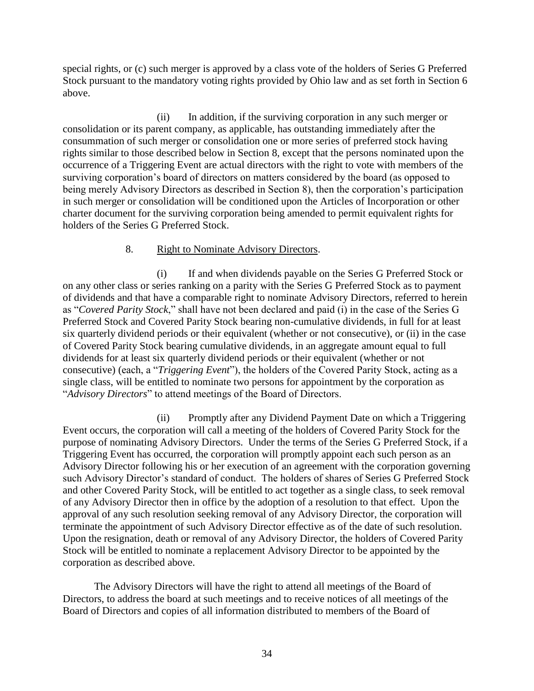special rights, or (c) such merger is approved by a class vote of the holders of Series G Preferred Stock pursuant to the mandatory voting rights provided by Ohio law and as set forth in Section 6 above.

(ii) In addition, if the surviving corporation in any such merger or consolidation or its parent company, as applicable, has outstanding immediately after the consummation of such merger or consolidation one or more series of preferred stock having rights similar to those described below in Section 8, except that the persons nominated upon the occurrence of a Triggering Event are actual directors with the right to vote with members of the surviving corporation's board of directors on matters considered by the board (as opposed to being merely Advisory Directors as described in Section 8), then the corporation's participation in such merger or consolidation will be conditioned upon the Articles of Incorporation or other charter document for the surviving corporation being amended to permit equivalent rights for holders of the Series G Preferred Stock.

### 8. Right to Nominate Advisory Directors.

(i) If and when dividends payable on the Series G Preferred Stock or on any other class or series ranking on a parity with the Series G Preferred Stock as to payment of dividends and that have a comparable right to nominate Advisory Directors, referred to herein as "*Covered Parity Stock*," shall have not been declared and paid (i) in the case of the Series G Preferred Stock and Covered Parity Stock bearing non-cumulative dividends, in full for at least six quarterly dividend periods or their equivalent (whether or not consecutive), or (ii) in the case of Covered Parity Stock bearing cumulative dividends, in an aggregate amount equal to full dividends for at least six quarterly dividend periods or their equivalent (whether or not consecutive) (each, a "*Triggering Event*"), the holders of the Covered Parity Stock, acting as a single class, will be entitled to nominate two persons for appointment by the corporation as "*Advisory Directors*" to attend meetings of the Board of Directors.

(ii) Promptly after any Dividend Payment Date on which a Triggering Event occurs, the corporation will call a meeting of the holders of Covered Parity Stock for the purpose of nominating Advisory Directors. Under the terms of the Series G Preferred Stock, if a Triggering Event has occurred, the corporation will promptly appoint each such person as an Advisory Director following his or her execution of an agreement with the corporation governing such Advisory Director's standard of conduct. The holders of shares of Series G Preferred Stock and other Covered Parity Stock, will be entitled to act together as a single class, to seek removal of any Advisory Director then in office by the adoption of a resolution to that effect. Upon the approval of any such resolution seeking removal of any Advisory Director, the corporation will terminate the appointment of such Advisory Director effective as of the date of such resolution. Upon the resignation, death or removal of any Advisory Director, the holders of Covered Parity Stock will be entitled to nominate a replacement Advisory Director to be appointed by the corporation as described above.

The Advisory Directors will have the right to attend all meetings of the Board of Directors, to address the board at such meetings and to receive notices of all meetings of the Board of Directors and copies of all information distributed to members of the Board of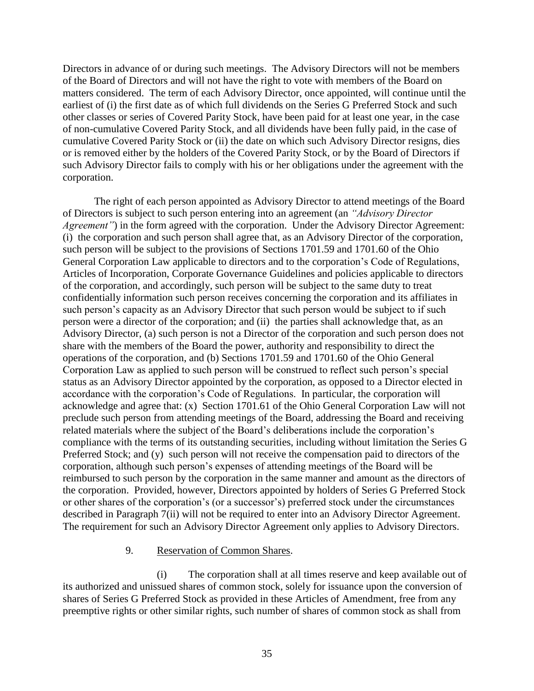Directors in advance of or during such meetings. The Advisory Directors will not be members of the Board of Directors and will not have the right to vote with members of the Board on matters considered. The term of each Advisory Director, once appointed, will continue until the earliest of (i) the first date as of which full dividends on the Series G Preferred Stock and such other classes or series of Covered Parity Stock, have been paid for at least one year, in the case of non-cumulative Covered Parity Stock, and all dividends have been fully paid, in the case of cumulative Covered Parity Stock or (ii) the date on which such Advisory Director resigns, dies or is removed either by the holders of the Covered Parity Stock, or by the Board of Directors if such Advisory Director fails to comply with his or her obligations under the agreement with the corporation.

The right of each person appointed as Advisory Director to attend meetings of the Board of Directors is subject to such person entering into an agreement (an *"Advisory Director Agreement*") in the form agreed with the corporation. Under the Advisory Director Agreement: (i) the corporation and such person shall agree that, as an Advisory Director of the corporation, such person will be subject to the provisions of Sections 1701.59 and 1701.60 of the Ohio General Corporation Law applicable to directors and to the corporation's Code of Regulations, Articles of Incorporation, Corporate Governance Guidelines and policies applicable to directors of the corporation, and accordingly, such person will be subject to the same duty to treat confidentially information such person receives concerning the corporation and its affiliates in such person's capacity as an Advisory Director that such person would be subject to if such person were a director of the corporation; and (ii) the parties shall acknowledge that, as an Advisory Director, (a) such person is not a Director of the corporation and such person does not share with the members of the Board the power, authority and responsibility to direct the operations of the corporation, and (b) Sections 1701.59 and 1701.60 of the Ohio General Corporation Law as applied to such person will be construed to reflect such person's special status as an Advisory Director appointed by the corporation, as opposed to a Director elected in accordance with the corporation's Code of Regulations. In particular, the corporation will acknowledge and agree that: (x) Section 1701.61 of the Ohio General Corporation Law will not preclude such person from attending meetings of the Board, addressing the Board and receiving related materials where the subject of the Board's deliberations include the corporation's compliance with the terms of its outstanding securities, including without limitation the Series G Preferred Stock; and (y) such person will not receive the compensation paid to directors of the corporation, although such person's expenses of attending meetings of the Board will be reimbursed to such person by the corporation in the same manner and amount as the directors of the corporation. Provided, however, Directors appointed by holders of Series G Preferred Stock or other shares of the corporation's (or a successor's) preferred stock under the circumstances described in Paragraph 7(ii) will not be required to enter into an Advisory Director Agreement. The requirement for such an Advisory Director Agreement only applies to Advisory Directors.

#### 9. Reservation of Common Shares.

(i) The corporation shall at all times reserve and keep available out of its authorized and unissued shares of common stock, solely for issuance upon the conversion of shares of Series G Preferred Stock as provided in these Articles of Amendment, free from any preemptive rights or other similar rights, such number of shares of common stock as shall from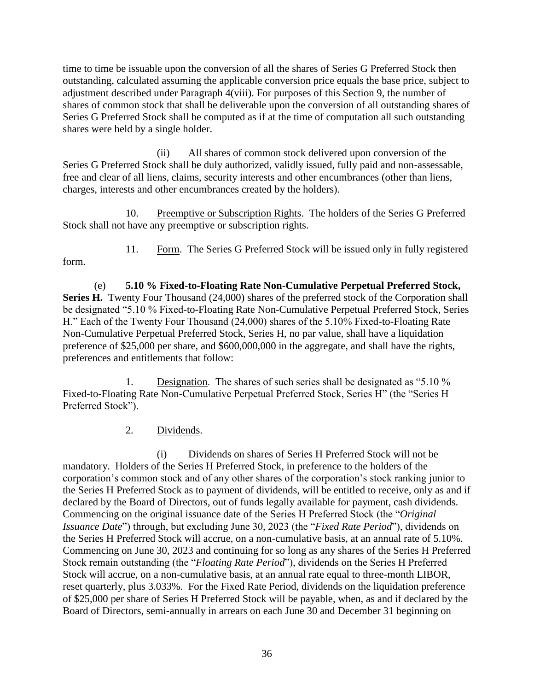time to time be issuable upon the conversion of all the shares of Series G Preferred Stock then outstanding, calculated assuming the applicable conversion price equals the base price, subject to adjustment described under Paragraph 4(viii). For purposes of this Section 9, the number of shares of common stock that shall be deliverable upon the conversion of all outstanding shares of Series G Preferred Stock shall be computed as if at the time of computation all such outstanding shares were held by a single holder.

(ii) All shares of common stock delivered upon conversion of the Series G Preferred Stock shall be duly authorized, validly issued, fully paid and non-assessable, free and clear of all liens, claims, security interests and other encumbrances (other than liens, charges, interests and other encumbrances created by the holders).

10. Preemptive or Subscription Rights. The holders of the Series G Preferred Stock shall not have any preemptive or subscription rights.

form.

11. Form. The Series G Preferred Stock will be issued only in fully registered

(e) **5.10 % Fixed-to-Floating Rate Non-Cumulative Perpetual Preferred Stock,**  Series H. Twenty Four Thousand (24,000) shares of the preferred stock of the Corporation shall be designated "5.10 % Fixed-to-Floating Rate Non-Cumulative Perpetual Preferred Stock, Series H." Each of the Twenty Four Thousand (24,000) shares of the 5.10% Fixed-to-Floating Rate Non-Cumulative Perpetual Preferred Stock, Series H, no par value, shall have a liquidation preference of \$25,000 per share, and \$600,000,000 in the aggregate, and shall have the rights, preferences and entitlements that follow:

1. Designation. The shares of such series shall be designated as "5.10 % Fixed-to-Floating Rate Non-Cumulative Perpetual Preferred Stock, Series H" (the "Series H Preferred Stock").

2. Dividends.

(i) Dividends on shares of Series H Preferred Stock will not be mandatory. Holders of the Series H Preferred Stock, in preference to the holders of the corporation's common stock and of any other shares of the corporation's stock ranking junior to the Series H Preferred Stock as to payment of dividends, will be entitled to receive, only as and if declared by the Board of Directors, out of funds legally available for payment, cash dividends. Commencing on the original issuance date of the Series H Preferred Stock (the "*Original Issuance Date*") through, but excluding June 30, 2023 (the "*Fixed Rate Period*"), dividends on the Series H Preferred Stock will accrue, on a non-cumulative basis, at an annual rate of 5.10%. Commencing on June 30, 2023 and continuing for so long as any shares of the Series H Preferred Stock remain outstanding (the "*Floating Rate Period*"), dividends on the Series H Preferred Stock will accrue, on a non-cumulative basis, at an annual rate equal to three-month LIBOR, reset quarterly, plus 3.033%. For the Fixed Rate Period, dividends on the liquidation preference of \$25,000 per share of Series H Preferred Stock will be payable, when, as and if declared by the Board of Directors, semi-annually in arrears on each June 30 and December 31 beginning on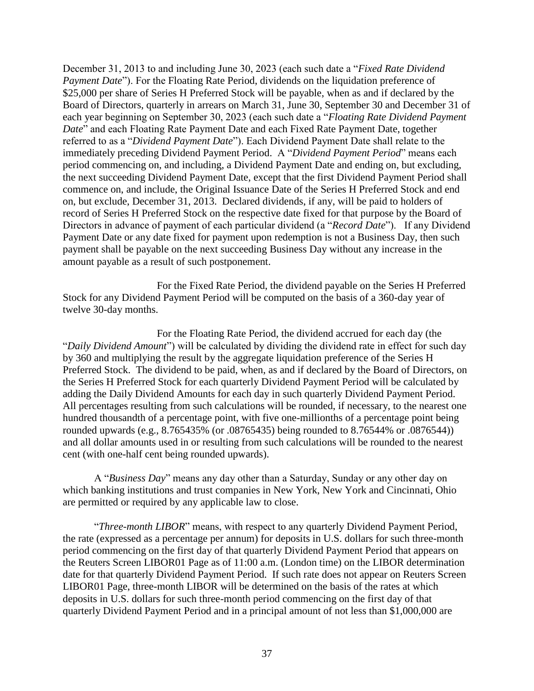December 31, 2013 to and including June 30, 2023 (each such date a "*Fixed Rate Dividend Payment Date*"). For the Floating Rate Period, dividends on the liquidation preference of \$25,000 per share of Series H Preferred Stock will be payable, when as and if declared by the Board of Directors, quarterly in arrears on March 31, June 30, September 30 and December 31 of each year beginning on September 30, 2023 (each such date a "*Floating Rate Dividend Payment Date*" and each Floating Rate Payment Date and each Fixed Rate Payment Date, together referred to as a "*Dividend Payment Date*"). Each Dividend Payment Date shall relate to the immediately preceding Dividend Payment Period. A "*Dividend Payment Period*" means each period commencing on, and including, a Dividend Payment Date and ending on, but excluding, the next succeeding Dividend Payment Date, except that the first Dividend Payment Period shall commence on, and include, the Original Issuance Date of the Series H Preferred Stock and end on, but exclude, December 31, 2013. Declared dividends, if any, will be paid to holders of record of Series H Preferred Stock on the respective date fixed for that purpose by the Board of Directors in advance of payment of each particular dividend (a "*Record Date*"). If any Dividend Payment Date or any date fixed for payment upon redemption is not a Business Day, then such payment shall be payable on the next succeeding Business Day without any increase in the amount payable as a result of such postponement.

For the Fixed Rate Period, the dividend payable on the Series H Preferred Stock for any Dividend Payment Period will be computed on the basis of a 360-day year of twelve 30-day months.

For the Floating Rate Period, the dividend accrued for each day (the "*Daily Dividend Amount*") will be calculated by dividing the dividend rate in effect for such day by 360 and multiplying the result by the aggregate liquidation preference of the Series H Preferred Stock. The dividend to be paid, when, as and if declared by the Board of Directors, on the Series H Preferred Stock for each quarterly Dividend Payment Period will be calculated by adding the Daily Dividend Amounts for each day in such quarterly Dividend Payment Period. All percentages resulting from such calculations will be rounded, if necessary, to the nearest one hundred thousandth of a percentage point, with five one-millionths of a percentage point being rounded upwards (e.g., 8.765435% (or .08765435) being rounded to 8.76544% or .0876544)) and all dollar amounts used in or resulting from such calculations will be rounded to the nearest cent (with one-half cent being rounded upwards).

A "*Business Day*" means any day other than a Saturday, Sunday or any other day on which banking institutions and trust companies in New York, New York and Cincinnati, Ohio are permitted or required by any applicable law to close.

"*Three-month LIBOR*" means, with respect to any quarterly Dividend Payment Period, the rate (expressed as a percentage per annum) for deposits in U.S. dollars for such three-month period commencing on the first day of that quarterly Dividend Payment Period that appears on the Reuters Screen LIBOR01 Page as of 11:00 a.m. (London time) on the LIBOR determination date for that quarterly Dividend Payment Period. If such rate does not appear on Reuters Screen LIBOR01 Page, three-month LIBOR will be determined on the basis of the rates at which deposits in U.S. dollars for such three-month period commencing on the first day of that quarterly Dividend Payment Period and in a principal amount of not less than \$1,000,000 are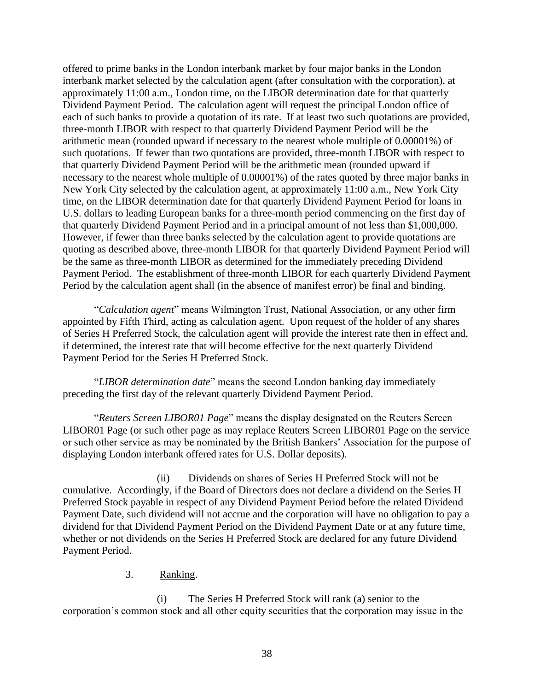offered to prime banks in the London interbank market by four major banks in the London interbank market selected by the calculation agent (after consultation with the corporation), at approximately 11:00 a.m., London time, on the LIBOR determination date for that quarterly Dividend Payment Period. The calculation agent will request the principal London office of each of such banks to provide a quotation of its rate. If at least two such quotations are provided, three-month LIBOR with respect to that quarterly Dividend Payment Period will be the arithmetic mean (rounded upward if necessary to the nearest whole multiple of 0.00001%) of such quotations. If fewer than two quotations are provided, three-month LIBOR with respect to that quarterly Dividend Payment Period will be the arithmetic mean (rounded upward if necessary to the nearest whole multiple of 0.00001%) of the rates quoted by three major banks in New York City selected by the calculation agent, at approximately 11:00 a.m., New York City time, on the LIBOR determination date for that quarterly Dividend Payment Period for loans in U.S. dollars to leading European banks for a three-month period commencing on the first day of that quarterly Dividend Payment Period and in a principal amount of not less than \$1,000,000. However, if fewer than three banks selected by the calculation agent to provide quotations are quoting as described above, three-month LIBOR for that quarterly Dividend Payment Period will be the same as three-month LIBOR as determined for the immediately preceding Dividend Payment Period. The establishment of three-month LIBOR for each quarterly Dividend Payment Period by the calculation agent shall (in the absence of manifest error) be final and binding.

"*Calculation agent*" means Wilmington Trust, National Association, or any other firm appointed by Fifth Third, acting as calculation agent. Upon request of the holder of any shares of Series H Preferred Stock, the calculation agent will provide the interest rate then in effect and, if determined, the interest rate that will become effective for the next quarterly Dividend Payment Period for the Series H Preferred Stock.

"*LIBOR determination date*" means the second London banking day immediately preceding the first day of the relevant quarterly Dividend Payment Period.

"*Reuters Screen LIBOR01 Page*" means the display designated on the Reuters Screen LIBOR01 Page (or such other page as may replace Reuters Screen LIBOR01 Page on the service or such other service as may be nominated by the British Bankers' Association for the purpose of displaying London interbank offered rates for U.S. Dollar deposits).

(ii) Dividends on shares of Series H Preferred Stock will not be cumulative. Accordingly, if the Board of Directors does not declare a dividend on the Series H Preferred Stock payable in respect of any Dividend Payment Period before the related Dividend Payment Date, such dividend will not accrue and the corporation will have no obligation to pay a dividend for that Dividend Payment Period on the Dividend Payment Date or at any future time, whether or not dividends on the Series H Preferred Stock are declared for any future Dividend Payment Period.

### 3. Ranking.

(i) The Series H Preferred Stock will rank (a) senior to the corporation's common stock and all other equity securities that the corporation may issue in the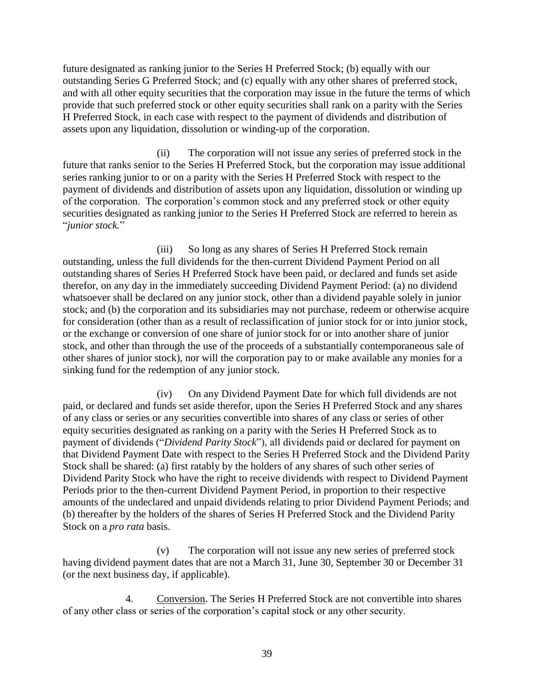future designated as ranking junior to the Series H Preferred Stock; (b) equally with our outstanding Series G Preferred Stock; and (c) equally with any other shares of preferred stock, and with all other equity securities that the corporation may issue in the future the terms of which provide that such preferred stock or other equity securities shall rank on a parity with the Series H Preferred Stock, in each case with respect to the payment of dividends and distribution of assets upon any liquidation, dissolution or winding-up of the corporation.

(ii) The corporation will not issue any series of preferred stock in the future that ranks senior to the Series H Preferred Stock, but the corporation may issue additional series ranking junior to or on a parity with the Series H Preferred Stock with respect to the payment of dividends and distribution of assets upon any liquidation, dissolution or winding up of the corporation. The corporation's common stock and any preferred stock or other equity securities designated as ranking junior to the Series H Preferred Stock are referred to herein as "*junior stock.*"

(iii) So long as any shares of Series H Preferred Stock remain outstanding, unless the full dividends for the then-current Dividend Payment Period on all outstanding shares of Series H Preferred Stock have been paid, or declared and funds set aside therefor, on any day in the immediately succeeding Dividend Payment Period: (a) no dividend whatsoever shall be declared on any junior stock, other than a dividend payable solely in junior stock; and (b) the corporation and its subsidiaries may not purchase, redeem or otherwise acquire for consideration (other than as a result of reclassification of junior stock for or into junior stock, or the exchange or conversion of one share of junior stock for or into another share of junior stock, and other than through the use of the proceeds of a substantially contemporaneous sale of other shares of junior stock), nor will the corporation pay to or make available any monies for a sinking fund for the redemption of any junior stock.

(iv) On any Dividend Payment Date for which full dividends are not paid, or declared and funds set aside therefor, upon the Series H Preferred Stock and any shares of any class or series or any securities convertible into shares of any class or series of other equity securities designated as ranking on a parity with the Series H Preferred Stock as to payment of dividends ("*Dividend Parity Stock*"), all dividends paid or declared for payment on that Dividend Payment Date with respect to the Series H Preferred Stock and the Dividend Parity Stock shall be shared: (a) first ratably by the holders of any shares of such other series of Dividend Parity Stock who have the right to receive dividends with respect to Dividend Payment Periods prior to the then-current Dividend Payment Period, in proportion to their respective amounts of the undeclared and unpaid dividends relating to prior Dividend Payment Periods; and (b) thereafter by the holders of the shares of Series H Preferred Stock and the Dividend Parity Stock on a *pro rata* basis.

(v) The corporation will not issue any new series of preferred stock having dividend payment dates that are not a March 31, June 30, September 30 or December 31 (or the next business day, if applicable).

4. Conversion. The Series H Preferred Stock are not convertible into shares of any other class or series of the corporation's capital stock or any other security.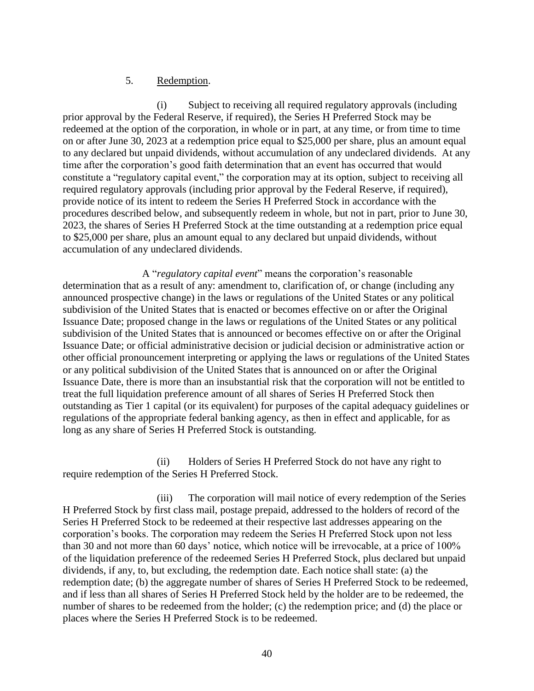#### 5. Redemption.

(i) Subject to receiving all required regulatory approvals (including prior approval by the Federal Reserve, if required), the Series H Preferred Stock may be redeemed at the option of the corporation, in whole or in part, at any time, or from time to time on or after June 30, 2023 at a redemption price equal to \$25,000 per share, plus an amount equal to any declared but unpaid dividends, without accumulation of any undeclared dividends. At any time after the corporation's good faith determination that an event has occurred that would constitute a "regulatory capital event," the corporation may at its option, subject to receiving all required regulatory approvals (including prior approval by the Federal Reserve, if required), provide notice of its intent to redeem the Series H Preferred Stock in accordance with the procedures described below, and subsequently redeem in whole, but not in part, prior to June 30, 2023, the shares of Series H Preferred Stock at the time outstanding at a redemption price equal to \$25,000 per share, plus an amount equal to any declared but unpaid dividends, without accumulation of any undeclared dividends.

A "*regulatory capital event*" means the corporation's reasonable determination that as a result of any: amendment to, clarification of, or change (including any announced prospective change) in the laws or regulations of the United States or any political subdivision of the United States that is enacted or becomes effective on or after the Original Issuance Date; proposed change in the laws or regulations of the United States or any political subdivision of the United States that is announced or becomes effective on or after the Original Issuance Date; or official administrative decision or judicial decision or administrative action or other official pronouncement interpreting or applying the laws or regulations of the United States or any political subdivision of the United States that is announced on or after the Original Issuance Date, there is more than an insubstantial risk that the corporation will not be entitled to treat the full liquidation preference amount of all shares of Series H Preferred Stock then outstanding as Tier 1 capital (or its equivalent) for purposes of the capital adequacy guidelines or regulations of the appropriate federal banking agency, as then in effect and applicable, for as long as any share of Series H Preferred Stock is outstanding.

(ii) Holders of Series H Preferred Stock do not have any right to require redemption of the Series H Preferred Stock.

(iii) The corporation will mail notice of every redemption of the Series H Preferred Stock by first class mail, postage prepaid, addressed to the holders of record of the Series H Preferred Stock to be redeemed at their respective last addresses appearing on the corporation's books. The corporation may redeem the Series H Preferred Stock upon not less than 30 and not more than 60 days' notice, which notice will be irrevocable, at a price of 100% of the liquidation preference of the redeemed Series H Preferred Stock, plus declared but unpaid dividends, if any, to, but excluding, the redemption date. Each notice shall state: (a) the redemption date; (b) the aggregate number of shares of Series H Preferred Stock to be redeemed, and if less than all shares of Series H Preferred Stock held by the holder are to be redeemed, the number of shares to be redeemed from the holder; (c) the redemption price; and (d) the place or places where the Series H Preferred Stock is to be redeemed.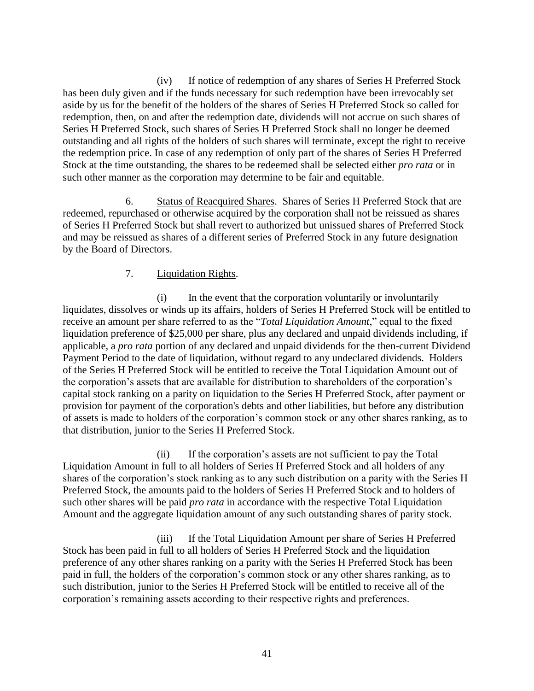(iv) If notice of redemption of any shares of Series H Preferred Stock has been duly given and if the funds necessary for such redemption have been irrevocably set aside by us for the benefit of the holders of the shares of Series H Preferred Stock so called for redemption, then, on and after the redemption date, dividends will not accrue on such shares of Series H Preferred Stock, such shares of Series H Preferred Stock shall no longer be deemed outstanding and all rights of the holders of such shares will terminate, except the right to receive the redemption price. In case of any redemption of only part of the shares of Series H Preferred Stock at the time outstanding, the shares to be redeemed shall be selected either *pro rata* or in such other manner as the corporation may determine to be fair and equitable.

6. Status of Reacquired Shares. Shares of Series H Preferred Stock that are redeemed, repurchased or otherwise acquired by the corporation shall not be reissued as shares of Series H Preferred Stock but shall revert to authorized but unissued shares of Preferred Stock and may be reissued as shares of a different series of Preferred Stock in any future designation by the Board of Directors.

#### 7. Liquidation Rights.

(i) In the event that the corporation voluntarily or involuntarily liquidates, dissolves or winds up its affairs, holders of Series H Preferred Stock will be entitled to receive an amount per share referred to as the "*Total Liquidation Amount*," equal to the fixed liquidation preference of \$25,000 per share, plus any declared and unpaid dividends including, if applicable, a *pro rata* portion of any declared and unpaid dividends for the then-current Dividend Payment Period to the date of liquidation, without regard to any undeclared dividends. Holders of the Series H Preferred Stock will be entitled to receive the Total Liquidation Amount out of the corporation's assets that are available for distribution to shareholders of the corporation's capital stock ranking on a parity on liquidation to the Series H Preferred Stock, after payment or provision for payment of the corporation's debts and other liabilities, but before any distribution of assets is made to holders of the corporation's common stock or any other shares ranking, as to that distribution, junior to the Series H Preferred Stock.

(ii) If the corporation's assets are not sufficient to pay the Total Liquidation Amount in full to all holders of Series H Preferred Stock and all holders of any shares of the corporation's stock ranking as to any such distribution on a parity with the Series H Preferred Stock, the amounts paid to the holders of Series H Preferred Stock and to holders of such other shares will be paid *pro rata* in accordance with the respective Total Liquidation Amount and the aggregate liquidation amount of any such outstanding shares of parity stock.

(iii) If the Total Liquidation Amount per share of Series H Preferred Stock has been paid in full to all holders of Series H Preferred Stock and the liquidation preference of any other shares ranking on a parity with the Series H Preferred Stock has been paid in full, the holders of the corporation's common stock or any other shares ranking, as to such distribution, junior to the Series H Preferred Stock will be entitled to receive all of the corporation's remaining assets according to their respective rights and preferences.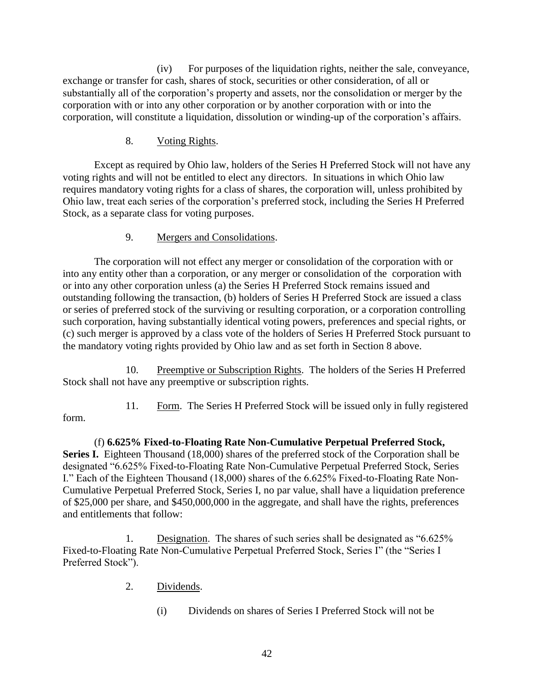(iv) For purposes of the liquidation rights, neither the sale, conveyance, exchange or transfer for cash, shares of stock, securities or other consideration, of all or substantially all of the corporation's property and assets, nor the consolidation or merger by the corporation with or into any other corporation or by another corporation with or into the corporation, will constitute a liquidation, dissolution or winding-up of the corporation's affairs.

### 8. Voting Rights.

Except as required by Ohio law, holders of the Series H Preferred Stock will not have any voting rights and will not be entitled to elect any directors. In situations in which Ohio law requires mandatory voting rights for a class of shares, the corporation will, unless prohibited by Ohio law, treat each series of the corporation's preferred stock, including the Series H Preferred Stock, as a separate class for voting purposes.

### 9. Mergers and Consolidations.

The corporation will not effect any merger or consolidation of the corporation with or into any entity other than a corporation, or any merger or consolidation of the corporation with or into any other corporation unless (a) the Series H Preferred Stock remains issued and outstanding following the transaction, (b) holders of Series H Preferred Stock are issued a class or series of preferred stock of the surviving or resulting corporation, or a corporation controlling such corporation, having substantially identical voting powers, preferences and special rights, or (c) such merger is approved by a class vote of the holders of Series H Preferred Stock pursuant to the mandatory voting rights provided by Ohio law and as set forth in Section 8 above.

10. Preemptive or Subscription Rights. The holders of the Series H Preferred Stock shall not have any preemptive or subscription rights.

form.

11. Form. The Series H Preferred Stock will be issued only in fully registered

(f) **6.625% Fixed-to-Floating Rate Non-Cumulative Perpetual Preferred Stock,**  Series I. Eighteen Thousand (18,000) shares of the preferred stock of the Corporation shall be designated "6.625% Fixed-to-Floating Rate Non-Cumulative Perpetual Preferred Stock, Series I." Each of the Eighteen Thousand (18,000) shares of the 6.625% Fixed-to-Floating Rate Non-Cumulative Perpetual Preferred Stock, Series I, no par value, shall have a liquidation preference of \$25,000 per share, and \$450,000,000 in the aggregate, and shall have the rights, preferences and entitlements that follow:

1. Designation. The shares of such series shall be designated as "6.625% Fixed-to-Floating Rate Non-Cumulative Perpetual Preferred Stock, Series I" (the "Series I Preferred Stock").

- 2. Dividends.
	- (i) Dividends on shares of Series I Preferred Stock will not be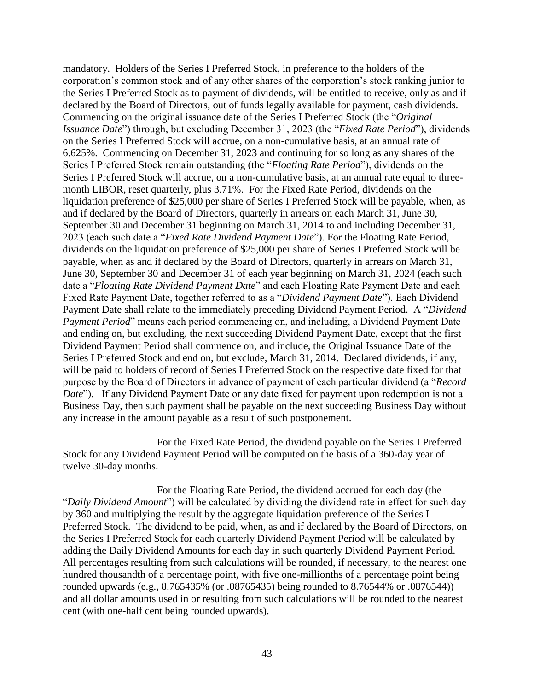mandatory. Holders of the Series I Preferred Stock, in preference to the holders of the corporation's common stock and of any other shares of the corporation's stock ranking junior to the Series I Preferred Stock as to payment of dividends, will be entitled to receive, only as and if declared by the Board of Directors, out of funds legally available for payment, cash dividends. Commencing on the original issuance date of the Series I Preferred Stock (the "*Original Issuance Date*") through, but excluding December 31, 2023 (the "*Fixed Rate Period*"), dividends on the Series I Preferred Stock will accrue, on a non-cumulative basis, at an annual rate of 6.625%. Commencing on December 31, 2023 and continuing for so long as any shares of the Series I Preferred Stock remain outstanding (the "*Floating Rate Period*"), dividends on the Series I Preferred Stock will accrue, on a non-cumulative basis, at an annual rate equal to threemonth LIBOR, reset quarterly, plus 3.71%. For the Fixed Rate Period, dividends on the liquidation preference of \$25,000 per share of Series I Preferred Stock will be payable, when, as and if declared by the Board of Directors, quarterly in arrears on each March 31, June 30, September 30 and December 31 beginning on March 31, 2014 to and including December 31, 2023 (each such date a "*Fixed Rate Dividend Payment Date*"). For the Floating Rate Period, dividends on the liquidation preference of \$25,000 per share of Series I Preferred Stock will be payable, when as and if declared by the Board of Directors, quarterly in arrears on March 31, June 30, September 30 and December 31 of each year beginning on March 31, 2024 (each such date a "*Floating Rate Dividend Payment Date*" and each Floating Rate Payment Date and each Fixed Rate Payment Date, together referred to as a "*Dividend Payment Date*"). Each Dividend Payment Date shall relate to the immediately preceding Dividend Payment Period. A "*Dividend Payment Period*" means each period commencing on, and including, a Dividend Payment Date and ending on, but excluding, the next succeeding Dividend Payment Date, except that the first Dividend Payment Period shall commence on, and include, the Original Issuance Date of the Series I Preferred Stock and end on, but exclude, March 31, 2014. Declared dividends, if any, will be paid to holders of record of Series I Preferred Stock on the respective date fixed for that purpose by the Board of Directors in advance of payment of each particular dividend (a "*Record Date*"). If any Dividend Payment Date or any date fixed for payment upon redemption is not a Business Day, then such payment shall be payable on the next succeeding Business Day without any increase in the amount payable as a result of such postponement.

For the Fixed Rate Period, the dividend payable on the Series I Preferred Stock for any Dividend Payment Period will be computed on the basis of a 360-day year of twelve 30-day months.

For the Floating Rate Period, the dividend accrued for each day (the "*Daily Dividend Amount*") will be calculated by dividing the dividend rate in effect for such day by 360 and multiplying the result by the aggregate liquidation preference of the Series I Preferred Stock. The dividend to be paid, when, as and if declared by the Board of Directors, on the Series I Preferred Stock for each quarterly Dividend Payment Period will be calculated by adding the Daily Dividend Amounts for each day in such quarterly Dividend Payment Period. All percentages resulting from such calculations will be rounded, if necessary, to the nearest one hundred thousandth of a percentage point, with five one-millionths of a percentage point being rounded upwards (e.g., 8.765435% (or .08765435) being rounded to 8.76544% or .0876544)) and all dollar amounts used in or resulting from such calculations will be rounded to the nearest cent (with one-half cent being rounded upwards).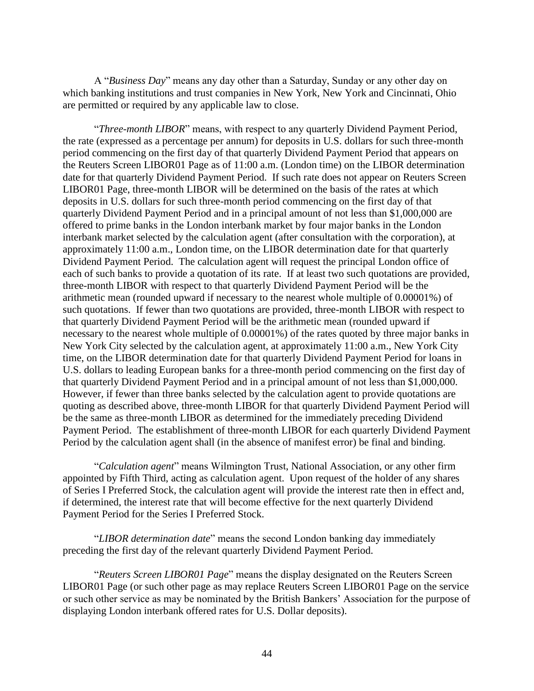A "*Business Day*" means any day other than a Saturday, Sunday or any other day on which banking institutions and trust companies in New York, New York and Cincinnati, Ohio are permitted or required by any applicable law to close.

"*Three-month LIBOR*" means, with respect to any quarterly Dividend Payment Period, the rate (expressed as a percentage per annum) for deposits in U.S. dollars for such three-month period commencing on the first day of that quarterly Dividend Payment Period that appears on the Reuters Screen LIBOR01 Page as of 11:00 a.m. (London time) on the LIBOR determination date for that quarterly Dividend Payment Period. If such rate does not appear on Reuters Screen LIBOR01 Page, three-month LIBOR will be determined on the basis of the rates at which deposits in U.S. dollars for such three-month period commencing on the first day of that quarterly Dividend Payment Period and in a principal amount of not less than \$1,000,000 are offered to prime banks in the London interbank market by four major banks in the London interbank market selected by the calculation agent (after consultation with the corporation), at approximately 11:00 a.m., London time, on the LIBOR determination date for that quarterly Dividend Payment Period. The calculation agent will request the principal London office of each of such banks to provide a quotation of its rate. If at least two such quotations are provided, three-month LIBOR with respect to that quarterly Dividend Payment Period will be the arithmetic mean (rounded upward if necessary to the nearest whole multiple of 0.00001%) of such quotations. If fewer than two quotations are provided, three-month LIBOR with respect to that quarterly Dividend Payment Period will be the arithmetic mean (rounded upward if necessary to the nearest whole multiple of 0.00001%) of the rates quoted by three major banks in New York City selected by the calculation agent, at approximately 11:00 a.m., New York City time, on the LIBOR determination date for that quarterly Dividend Payment Period for loans in U.S. dollars to leading European banks for a three-month period commencing on the first day of that quarterly Dividend Payment Period and in a principal amount of not less than \$1,000,000. However, if fewer than three banks selected by the calculation agent to provide quotations are quoting as described above, three-month LIBOR for that quarterly Dividend Payment Period will be the same as three-month LIBOR as determined for the immediately preceding Dividend Payment Period. The establishment of three-month LIBOR for each quarterly Dividend Payment Period by the calculation agent shall (in the absence of manifest error) be final and binding.

"*Calculation agent*" means Wilmington Trust, National Association, or any other firm appointed by Fifth Third, acting as calculation agent. Upon request of the holder of any shares of Series I Preferred Stock, the calculation agent will provide the interest rate then in effect and, if determined, the interest rate that will become effective for the next quarterly Dividend Payment Period for the Series I Preferred Stock.

"*LIBOR determination date*" means the second London banking day immediately preceding the first day of the relevant quarterly Dividend Payment Period.

"*Reuters Screen LIBOR01 Page*" means the display designated on the Reuters Screen LIBOR01 Page (or such other page as may replace Reuters Screen LIBOR01 Page on the service or such other service as may be nominated by the British Bankers' Association for the purpose of displaying London interbank offered rates for U.S. Dollar deposits).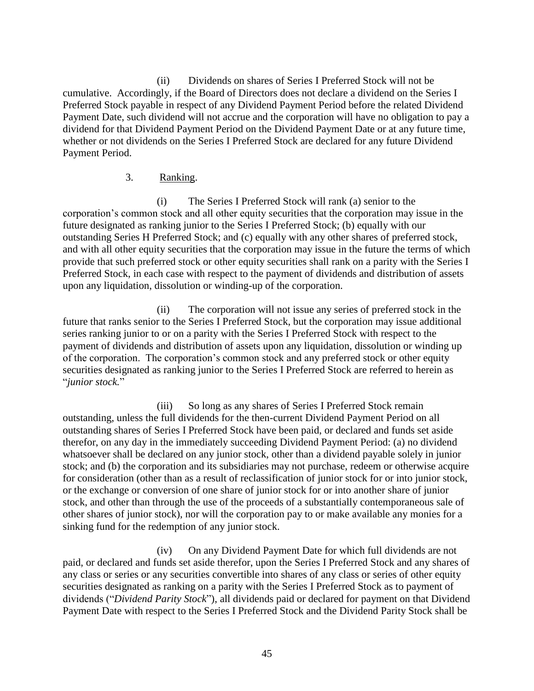(ii) Dividends on shares of Series I Preferred Stock will not be cumulative. Accordingly, if the Board of Directors does not declare a dividend on the Series I Preferred Stock payable in respect of any Dividend Payment Period before the related Dividend Payment Date, such dividend will not accrue and the corporation will have no obligation to pay a dividend for that Dividend Payment Period on the Dividend Payment Date or at any future time, whether or not dividends on the Series I Preferred Stock are declared for any future Dividend Payment Period.

#### 3. Ranking.

(i) The Series I Preferred Stock will rank (a) senior to the corporation's common stock and all other equity securities that the corporation may issue in the future designated as ranking junior to the Series I Preferred Stock; (b) equally with our outstanding Series H Preferred Stock; and (c) equally with any other shares of preferred stock, and with all other equity securities that the corporation may issue in the future the terms of which provide that such preferred stock or other equity securities shall rank on a parity with the Series I Preferred Stock, in each case with respect to the payment of dividends and distribution of assets upon any liquidation, dissolution or winding-up of the corporation.

(ii) The corporation will not issue any series of preferred stock in the future that ranks senior to the Series I Preferred Stock, but the corporation may issue additional series ranking junior to or on a parity with the Series I Preferred Stock with respect to the payment of dividends and distribution of assets upon any liquidation, dissolution or winding up of the corporation. The corporation's common stock and any preferred stock or other equity securities designated as ranking junior to the Series I Preferred Stock are referred to herein as "*junior stock.*"

(iii) So long as any shares of Series I Preferred Stock remain outstanding, unless the full dividends for the then-current Dividend Payment Period on all outstanding shares of Series I Preferred Stock have been paid, or declared and funds set aside therefor, on any day in the immediately succeeding Dividend Payment Period: (a) no dividend whatsoever shall be declared on any junior stock, other than a dividend payable solely in junior stock; and (b) the corporation and its subsidiaries may not purchase, redeem or otherwise acquire for consideration (other than as a result of reclassification of junior stock for or into junior stock, or the exchange or conversion of one share of junior stock for or into another share of junior stock, and other than through the use of the proceeds of a substantially contemporaneous sale of other shares of junior stock), nor will the corporation pay to or make available any monies for a sinking fund for the redemption of any junior stock.

(iv) On any Dividend Payment Date for which full dividends are not paid, or declared and funds set aside therefor, upon the Series I Preferred Stock and any shares of any class or series or any securities convertible into shares of any class or series of other equity securities designated as ranking on a parity with the Series I Preferred Stock as to payment of dividends ("*Dividend Parity Stock*"), all dividends paid or declared for payment on that Dividend Payment Date with respect to the Series I Preferred Stock and the Dividend Parity Stock shall be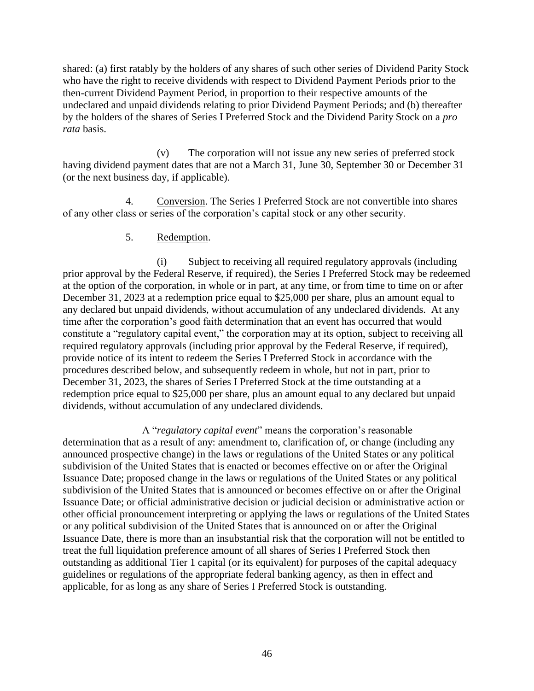shared: (a) first ratably by the holders of any shares of such other series of Dividend Parity Stock who have the right to receive dividends with respect to Dividend Payment Periods prior to the then-current Dividend Payment Period, in proportion to their respective amounts of the undeclared and unpaid dividends relating to prior Dividend Payment Periods; and (b) thereafter by the holders of the shares of Series I Preferred Stock and the Dividend Parity Stock on a *pro rata* basis.

(v) The corporation will not issue any new series of preferred stock having dividend payment dates that are not a March 31, June 30, September 30 or December 31 (or the next business day, if applicable).

4. Conversion. The Series I Preferred Stock are not convertible into shares of any other class or series of the corporation's capital stock or any other security.

### 5. Redemption.

(i) Subject to receiving all required regulatory approvals (including prior approval by the Federal Reserve, if required), the Series I Preferred Stock may be redeemed at the option of the corporation, in whole or in part, at any time, or from time to time on or after December 31, 2023 at a redemption price equal to \$25,000 per share, plus an amount equal to any declared but unpaid dividends, without accumulation of any undeclared dividends. At any time after the corporation's good faith determination that an event has occurred that would constitute a "regulatory capital event," the corporation may at its option, subject to receiving all required regulatory approvals (including prior approval by the Federal Reserve, if required), provide notice of its intent to redeem the Series I Preferred Stock in accordance with the procedures described below, and subsequently redeem in whole, but not in part, prior to December 31, 2023, the shares of Series I Preferred Stock at the time outstanding at a redemption price equal to \$25,000 per share, plus an amount equal to any declared but unpaid dividends, without accumulation of any undeclared dividends.

A "*regulatory capital event*" means the corporation's reasonable determination that as a result of any: amendment to, clarification of, or change (including any announced prospective change) in the laws or regulations of the United States or any political subdivision of the United States that is enacted or becomes effective on or after the Original Issuance Date; proposed change in the laws or regulations of the United States or any political subdivision of the United States that is announced or becomes effective on or after the Original Issuance Date; or official administrative decision or judicial decision or administrative action or other official pronouncement interpreting or applying the laws or regulations of the United States or any political subdivision of the United States that is announced on or after the Original Issuance Date, there is more than an insubstantial risk that the corporation will not be entitled to treat the full liquidation preference amount of all shares of Series I Preferred Stock then outstanding as additional Tier 1 capital (or its equivalent) for purposes of the capital adequacy guidelines or regulations of the appropriate federal banking agency, as then in effect and applicable, for as long as any share of Series I Preferred Stock is outstanding.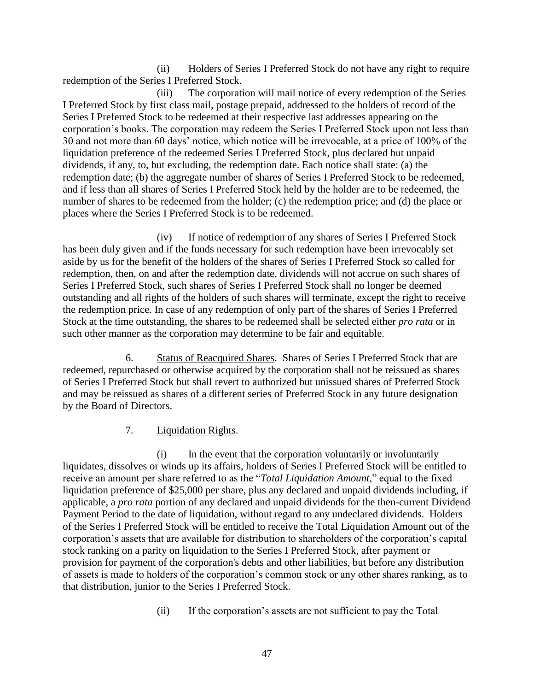(ii) Holders of Series I Preferred Stock do not have any right to require redemption of the Series I Preferred Stock.

(iii) The corporation will mail notice of every redemption of the Series I Preferred Stock by first class mail, postage prepaid, addressed to the holders of record of the Series I Preferred Stock to be redeemed at their respective last addresses appearing on the corporation's books. The corporation may redeem the Series I Preferred Stock upon not less than 30 and not more than 60 days' notice, which notice will be irrevocable, at a price of 100% of the liquidation preference of the redeemed Series I Preferred Stock, plus declared but unpaid dividends, if any, to, but excluding, the redemption date. Each notice shall state: (a) the redemption date; (b) the aggregate number of shares of Series I Preferred Stock to be redeemed, and if less than all shares of Series I Preferred Stock held by the holder are to be redeemed, the number of shares to be redeemed from the holder; (c) the redemption price; and (d) the place or places where the Series I Preferred Stock is to be redeemed.

(iv) If notice of redemption of any shares of Series I Preferred Stock has been duly given and if the funds necessary for such redemption have been irrevocably set aside by us for the benefit of the holders of the shares of Series I Preferred Stock so called for redemption, then, on and after the redemption date, dividends will not accrue on such shares of Series I Preferred Stock, such shares of Series I Preferred Stock shall no longer be deemed outstanding and all rights of the holders of such shares will terminate, except the right to receive the redemption price. In case of any redemption of only part of the shares of Series I Preferred Stock at the time outstanding, the shares to be redeemed shall be selected either *pro rata* or in such other manner as the corporation may determine to be fair and equitable.

6. Status of Reacquired Shares. Shares of Series I Preferred Stock that are redeemed, repurchased or otherwise acquired by the corporation shall not be reissued as shares of Series I Preferred Stock but shall revert to authorized but unissued shares of Preferred Stock and may be reissued as shares of a different series of Preferred Stock in any future designation by the Board of Directors.

### 7. Liquidation Rights.

(i) In the event that the corporation voluntarily or involuntarily liquidates, dissolves or winds up its affairs, holders of Series I Preferred Stock will be entitled to receive an amount per share referred to as the "*Total Liquidation Amount*," equal to the fixed liquidation preference of \$25,000 per share, plus any declared and unpaid dividends including, if applicable, a *pro rata* portion of any declared and unpaid dividends for the then-current Dividend Payment Period to the date of liquidation, without regard to any undeclared dividends. Holders of the Series I Preferred Stock will be entitled to receive the Total Liquidation Amount out of the corporation's assets that are available for distribution to shareholders of the corporation's capital stock ranking on a parity on liquidation to the Series I Preferred Stock, after payment or provision for payment of the corporation's debts and other liabilities, but before any distribution of assets is made to holders of the corporation's common stock or any other shares ranking, as to that distribution, junior to the Series I Preferred Stock.

(ii) If the corporation's assets are not sufficient to pay the Total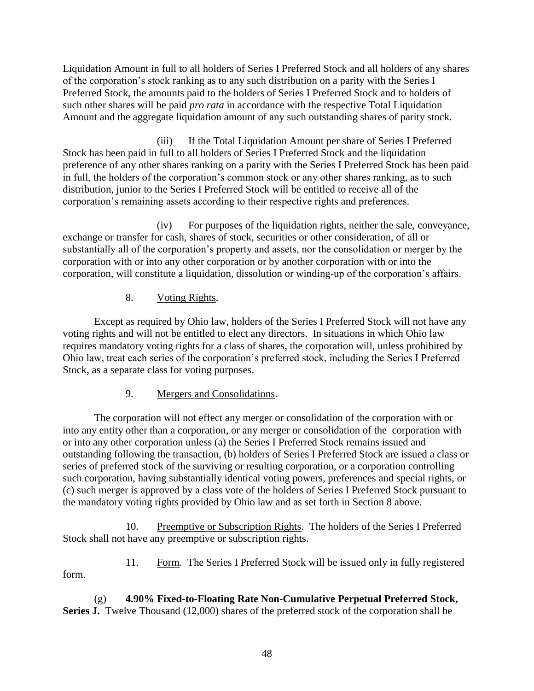Liquidation Amount in full to all holders of Series I Preferred Stock and all holders of any shares of the corporation's stock ranking as to any such distribution on a parity with the Series I Preferred Stock, the amounts paid to the holders of Series I Preferred Stock and to holders of such other shares will be paid *pro rata* in accordance with the respective Total Liquidation Amount and the aggregate liquidation amount of any such outstanding shares of parity stock.

(iii) If the Total Liquidation Amount per share of Series I Preferred Stock has been paid in full to all holders of Series I Preferred Stock and the liquidation preference of any other shares ranking on a parity with the Series I Preferred Stock has been paid in full, the holders of the corporation's common stock or any other shares ranking, as to such distribution, junior to the Series I Preferred Stock will be entitled to receive all of the corporation's remaining assets according to their respective rights and preferences.

(iv) For purposes of the liquidation rights, neither the sale, conveyance, exchange or transfer for cash, shares of stock, securities or other consideration, of all or substantially all of the corporation's property and assets, nor the consolidation or merger by the corporation with or into any other corporation or by another corporation with or into the corporation, will constitute a liquidation, dissolution or winding-up of the corporation's affairs.

8. Voting Rights.

Except as required by Ohio law, holders of the Series I Preferred Stock will not have any voting rights and will not be entitled to elect any directors. In situations in which Ohio law requires mandatory voting rights for a class of shares, the corporation will, unless prohibited by Ohio law, treat each series of the corporation's preferred stock, including the Series I Preferred Stock, as a separate class for voting purposes.

# 9. Mergers and Consolidations.

The corporation will not effect any merger or consolidation of the corporation with or into any entity other than a corporation, or any merger or consolidation of the corporation with or into any other corporation unless (a) the Series I Preferred Stock remains issued and outstanding following the transaction, (b) holders of Series I Preferred Stock are issued a class or series of preferred stock of the surviving or resulting corporation, or a corporation controlling such corporation, having substantially identical voting powers, preferences and special rights, or (c) such merger is approved by a class vote of the holders of Series I Preferred Stock pursuant to the mandatory voting rights provided by Ohio law and as set forth in Section 8 above.

10. Preemptive or Subscription Rights. The holders of the Series I Preferred Stock shall not have any preemptive or subscription rights.

11. Form. The Series I Preferred Stock will be issued only in fully registered form.

(g) **4.90% Fixed-to-Floating Rate Non-Cumulative Perpetual Preferred Stock, Series J.** Twelve Thousand (12,000) shares of the preferred stock of the corporation shall be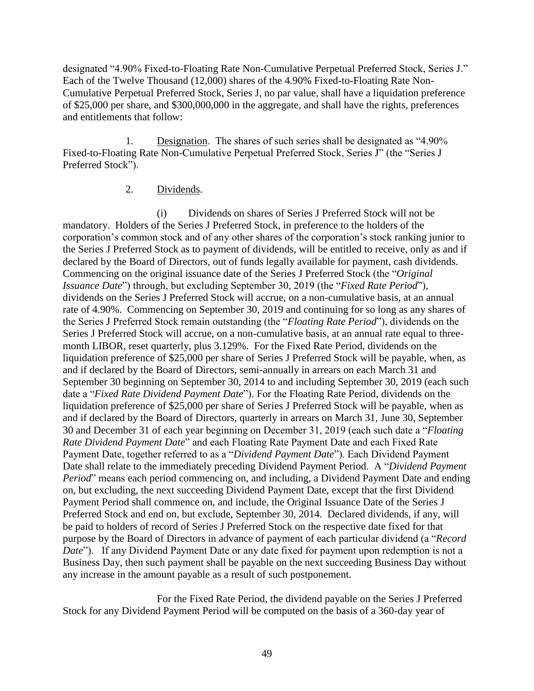designated "4.90% Fixed-to-Floating Rate Non-Cumulative Perpetual Preferred Stock, Series J." Each of the Twelve Thousand (12,000) shares of the 4.90% Fixed-to-Floating Rate Non-Cumulative Perpetual Preferred Stock, Series J, no par value, shall have a liquidation preference of \$25,000 per share, and \$300,000,000 in the aggregate, and shall have the rights, preferences and entitlements that follow:

1. Designation. The shares of such series shall be designated as "4.90% Fixed-to-Floating Rate Non-Cumulative Perpetual Preferred Stock, Series J" (the "Series J Preferred Stock").

### 2. Dividends.

(i) Dividends on shares of Series J Preferred Stock will not be mandatory. Holders of the Series J Preferred Stock, in preference to the holders of the corporation's common stock and of any other shares of the corporation's stock ranking junior to the Series J Preferred Stock as to payment of dividends, will be entitled to receive, only as and if declared by the Board of Directors, out of funds legally available for payment, cash dividends. Commencing on the original issuance date of the Series J Preferred Stock (the "*Original Issuance Date*") through, but excluding September 30, 2019 (the "*Fixed Rate Period*"), dividends on the Series J Preferred Stock will accrue, on a non-cumulative basis, at an annual rate of 4.90%. Commencing on September 30, 2019 and continuing for so long as any shares of the Series J Preferred Stock remain outstanding (the "*Floating Rate Period*"), dividends on the Series J Preferred Stock will accrue, on a non-cumulative basis, at an annual rate equal to threemonth LIBOR, reset quarterly, plus 3.129%. For the Fixed Rate Period, dividends on the liquidation preference of \$25,000 per share of Series J Preferred Stock will be payable, when, as and if declared by the Board of Directors, semi-annually in arrears on each March 31 and September 30 beginning on September 30, 2014 to and including September 30, 2019 (each such date a "*Fixed Rate Dividend Payment Date*"). For the Floating Rate Period, dividends on the liquidation preference of \$25,000 per share of Series J Preferred Stock will be payable, when as and if declared by the Board of Directors, quarterly in arrears on March 31, June 30, September 30 and December 31 of each year beginning on December 31, 2019 (each such date a "*Floating Rate Dividend Payment Date*" and each Floating Rate Payment Date and each Fixed Rate Payment Date, together referred to as a "*Dividend Payment Date*"). Each Dividend Payment Date shall relate to the immediately preceding Dividend Payment Period. A "*Dividend Payment Period*" means each period commencing on, and including, a Dividend Payment Date and ending on, but excluding, the next succeeding Dividend Payment Date, except that the first Dividend Payment Period shall commence on, and include, the Original Issuance Date of the Series J Preferred Stock and end on, but exclude, September 30, 2014. Declared dividends, if any, will be paid to holders of record of Series J Preferred Stock on the respective date fixed for that purpose by the Board of Directors in advance of payment of each particular dividend (a "*Record Date*"). If any Dividend Payment Date or any date fixed for payment upon redemption is not a Business Day, then such payment shall be payable on the next succeeding Business Day without any increase in the amount payable as a result of such postponement.

For the Fixed Rate Period, the dividend payable on the Series J Preferred Stock for any Dividend Payment Period will be computed on the basis of a 360-day year of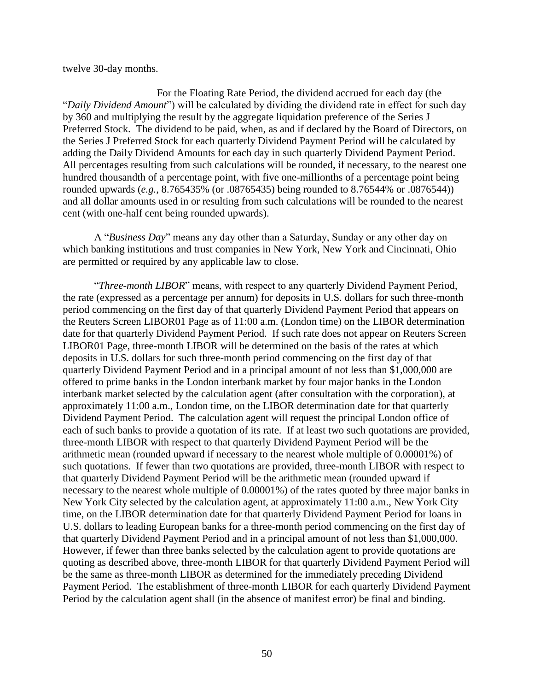twelve 30-day months.

For the Floating Rate Period, the dividend accrued for each day (the "*Daily Dividend Amount*") will be calculated by dividing the dividend rate in effect for such day by 360 and multiplying the result by the aggregate liquidation preference of the Series J Preferred Stock. The dividend to be paid, when, as and if declared by the Board of Directors, on the Series J Preferred Stock for each quarterly Dividend Payment Period will be calculated by adding the Daily Dividend Amounts for each day in such quarterly Dividend Payment Period. All percentages resulting from such calculations will be rounded, if necessary, to the nearest one hundred thousandth of a percentage point, with five one-millionths of a percentage point being rounded upwards (*e.g.*, 8.765435% (or .08765435) being rounded to 8.76544% or .0876544)) and all dollar amounts used in or resulting from such calculations will be rounded to the nearest cent (with one-half cent being rounded upwards).

A "*Business Day*" means any day other than a Saturday, Sunday or any other day on which banking institutions and trust companies in New York, New York and Cincinnati, Ohio are permitted or required by any applicable law to close.

"*Three-month LIBOR*" means, with respect to any quarterly Dividend Payment Period, the rate (expressed as a percentage per annum) for deposits in U.S. dollars for such three-month period commencing on the first day of that quarterly Dividend Payment Period that appears on the Reuters Screen LIBOR01 Page as of 11:00 a.m. (London time) on the LIBOR determination date for that quarterly Dividend Payment Period. If such rate does not appear on Reuters Screen LIBOR01 Page, three-month LIBOR will be determined on the basis of the rates at which deposits in U.S. dollars for such three-month period commencing on the first day of that quarterly Dividend Payment Period and in a principal amount of not less than \$1,000,000 are offered to prime banks in the London interbank market by four major banks in the London interbank market selected by the calculation agent (after consultation with the corporation), at approximately 11:00 a.m., London time, on the LIBOR determination date for that quarterly Dividend Payment Period. The calculation agent will request the principal London office of each of such banks to provide a quotation of its rate. If at least two such quotations are provided, three-month LIBOR with respect to that quarterly Dividend Payment Period will be the arithmetic mean (rounded upward if necessary to the nearest whole multiple of 0.00001%) of such quotations. If fewer than two quotations are provided, three-month LIBOR with respect to that quarterly Dividend Payment Period will be the arithmetic mean (rounded upward if necessary to the nearest whole multiple of 0.00001%) of the rates quoted by three major banks in New York City selected by the calculation agent, at approximately 11:00 a.m., New York City time, on the LIBOR determination date for that quarterly Dividend Payment Period for loans in U.S. dollars to leading European banks for a three-month period commencing on the first day of that quarterly Dividend Payment Period and in a principal amount of not less than \$1,000,000. However, if fewer than three banks selected by the calculation agent to provide quotations are quoting as described above, three-month LIBOR for that quarterly Dividend Payment Period will be the same as three-month LIBOR as determined for the immediately preceding Dividend Payment Period. The establishment of three-month LIBOR for each quarterly Dividend Payment Period by the calculation agent shall (in the absence of manifest error) be final and binding.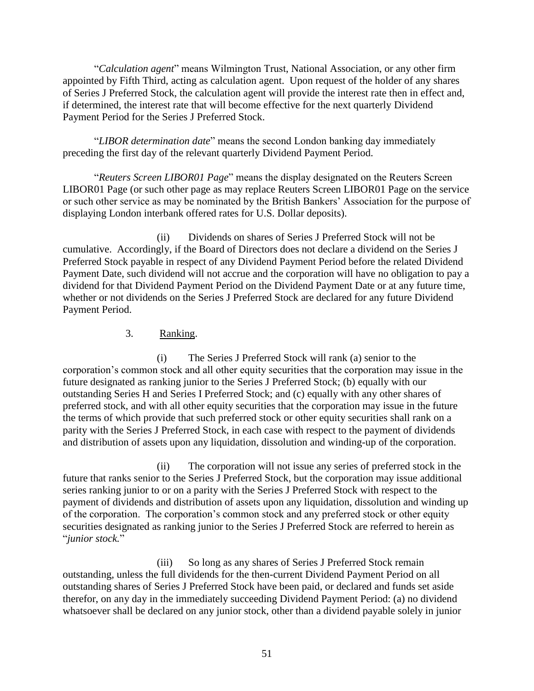"*Calculation agent*" means Wilmington Trust, National Association, or any other firm appointed by Fifth Third, acting as calculation agent. Upon request of the holder of any shares of Series J Preferred Stock, the calculation agent will provide the interest rate then in effect and, if determined, the interest rate that will become effective for the next quarterly Dividend Payment Period for the Series J Preferred Stock.

"*LIBOR determination date*" means the second London banking day immediately preceding the first day of the relevant quarterly Dividend Payment Period.

"*Reuters Screen LIBOR01 Page*" means the display designated on the Reuters Screen LIBOR01 Page (or such other page as may replace Reuters Screen LIBOR01 Page on the service or such other service as may be nominated by the British Bankers' Association for the purpose of displaying London interbank offered rates for U.S. Dollar deposits).

(ii) Dividends on shares of Series J Preferred Stock will not be cumulative. Accordingly, if the Board of Directors does not declare a dividend on the Series J Preferred Stock payable in respect of any Dividend Payment Period before the related Dividend Payment Date, such dividend will not accrue and the corporation will have no obligation to pay a dividend for that Dividend Payment Period on the Dividend Payment Date or at any future time, whether or not dividends on the Series J Preferred Stock are declared for any future Dividend Payment Period.

#### 3. Ranking.

(i) The Series J Preferred Stock will rank (a) senior to the corporation's common stock and all other equity securities that the corporation may issue in the future designated as ranking junior to the Series J Preferred Stock; (b) equally with our outstanding Series H and Series I Preferred Stock; and (c) equally with any other shares of preferred stock, and with all other equity securities that the corporation may issue in the future the terms of which provide that such preferred stock or other equity securities shall rank on a parity with the Series J Preferred Stock, in each case with respect to the payment of dividends and distribution of assets upon any liquidation, dissolution and winding-up of the corporation.

(ii) The corporation will not issue any series of preferred stock in the future that ranks senior to the Series J Preferred Stock, but the corporation may issue additional series ranking junior to or on a parity with the Series J Preferred Stock with respect to the payment of dividends and distribution of assets upon any liquidation, dissolution and winding up of the corporation. The corporation's common stock and any preferred stock or other equity securities designated as ranking junior to the Series J Preferred Stock are referred to herein as "*junior stock.*"

(iii) So long as any shares of Series J Preferred Stock remain outstanding, unless the full dividends for the then-current Dividend Payment Period on all outstanding shares of Series J Preferred Stock have been paid, or declared and funds set aside therefor, on any day in the immediately succeeding Dividend Payment Period: (a) no dividend whatsoever shall be declared on any junior stock, other than a dividend payable solely in junior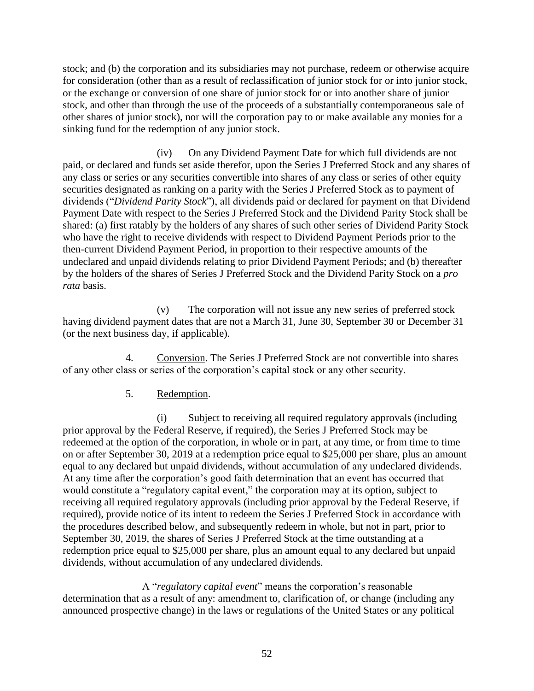stock; and (b) the corporation and its subsidiaries may not purchase, redeem or otherwise acquire for consideration (other than as a result of reclassification of junior stock for or into junior stock, or the exchange or conversion of one share of junior stock for or into another share of junior stock, and other than through the use of the proceeds of a substantially contemporaneous sale of other shares of junior stock), nor will the corporation pay to or make available any monies for a sinking fund for the redemption of any junior stock.

(iv) On any Dividend Payment Date for which full dividends are not paid, or declared and funds set aside therefor, upon the Series J Preferred Stock and any shares of any class or series or any securities convertible into shares of any class or series of other equity securities designated as ranking on a parity with the Series J Preferred Stock as to payment of dividends ("*Dividend Parity Stock*"), all dividends paid or declared for payment on that Dividend Payment Date with respect to the Series J Preferred Stock and the Dividend Parity Stock shall be shared: (a) first ratably by the holders of any shares of such other series of Dividend Parity Stock who have the right to receive dividends with respect to Dividend Payment Periods prior to the then-current Dividend Payment Period, in proportion to their respective amounts of the undeclared and unpaid dividends relating to prior Dividend Payment Periods; and (b) thereafter by the holders of the shares of Series J Preferred Stock and the Dividend Parity Stock on a *pro rata* basis.

(v) The corporation will not issue any new series of preferred stock having dividend payment dates that are not a March 31, June 30, September 30 or December 31 (or the next business day, if applicable).

4. Conversion. The Series J Preferred Stock are not convertible into shares of any other class or series of the corporation's capital stock or any other security.

# 5. Redemption.

(i) Subject to receiving all required regulatory approvals (including prior approval by the Federal Reserve, if required), the Series J Preferred Stock may be redeemed at the option of the corporation, in whole or in part, at any time, or from time to time on or after September 30, 2019 at a redemption price equal to \$25,000 per share, plus an amount equal to any declared but unpaid dividends, without accumulation of any undeclared dividends. At any time after the corporation's good faith determination that an event has occurred that would constitute a "regulatory capital event," the corporation may at its option, subject to receiving all required regulatory approvals (including prior approval by the Federal Reserve, if required), provide notice of its intent to redeem the Series J Preferred Stock in accordance with the procedures described below, and subsequently redeem in whole, but not in part, prior to September 30, 2019, the shares of Series J Preferred Stock at the time outstanding at a redemption price equal to \$25,000 per share, plus an amount equal to any declared but unpaid dividends, without accumulation of any undeclared dividends.

A "*regulatory capital event*" means the corporation's reasonable determination that as a result of any: amendment to, clarification of, or change (including any announced prospective change) in the laws or regulations of the United States or any political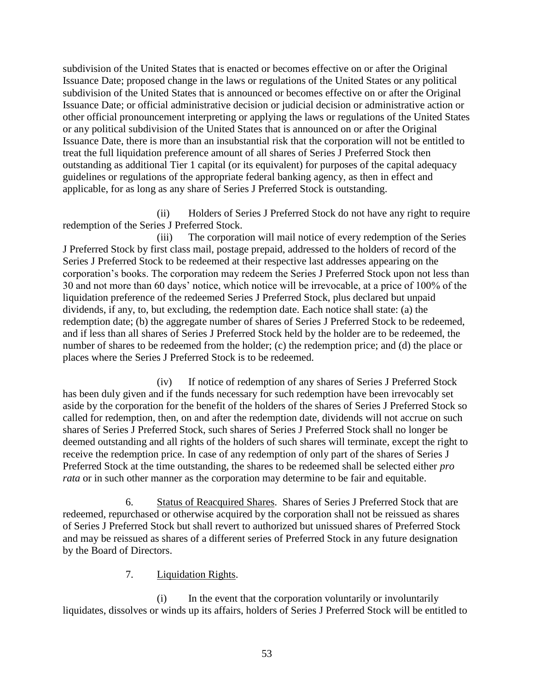subdivision of the United States that is enacted or becomes effective on or after the Original Issuance Date; proposed change in the laws or regulations of the United States or any political subdivision of the United States that is announced or becomes effective on or after the Original Issuance Date; or official administrative decision or judicial decision or administrative action or other official pronouncement interpreting or applying the laws or regulations of the United States or any political subdivision of the United States that is announced on or after the Original Issuance Date, there is more than an insubstantial risk that the corporation will not be entitled to treat the full liquidation preference amount of all shares of Series J Preferred Stock then outstanding as additional Tier 1 capital (or its equivalent) for purposes of the capital adequacy guidelines or regulations of the appropriate federal banking agency, as then in effect and applicable, for as long as any share of Series J Preferred Stock is outstanding.

(ii) Holders of Series J Preferred Stock do not have any right to require redemption of the Series J Preferred Stock.

(iii) The corporation will mail notice of every redemption of the Series J Preferred Stock by first class mail, postage prepaid, addressed to the holders of record of the Series J Preferred Stock to be redeemed at their respective last addresses appearing on the corporation's books. The corporation may redeem the Series J Preferred Stock upon not less than 30 and not more than 60 days' notice, which notice will be irrevocable, at a price of 100% of the liquidation preference of the redeemed Series J Preferred Stock, plus declared but unpaid dividends, if any, to, but excluding, the redemption date. Each notice shall state: (a) the redemption date; (b) the aggregate number of shares of Series J Preferred Stock to be redeemed, and if less than all shares of Series J Preferred Stock held by the holder are to be redeemed, the number of shares to be redeemed from the holder; (c) the redemption price; and (d) the place or places where the Series J Preferred Stock is to be redeemed.

(iv) If notice of redemption of any shares of Series J Preferred Stock has been duly given and if the funds necessary for such redemption have been irrevocably set aside by the corporation for the benefit of the holders of the shares of Series J Preferred Stock so called for redemption, then, on and after the redemption date, dividends will not accrue on such shares of Series J Preferred Stock, such shares of Series J Preferred Stock shall no longer be deemed outstanding and all rights of the holders of such shares will terminate, except the right to receive the redemption price. In case of any redemption of only part of the shares of Series J Preferred Stock at the time outstanding, the shares to be redeemed shall be selected either *pro rata* or in such other manner as the corporation may determine to be fair and equitable.

6. Status of Reacquired Shares. Shares of Series J Preferred Stock that are redeemed, repurchased or otherwise acquired by the corporation shall not be reissued as shares of Series J Preferred Stock but shall revert to authorized but unissued shares of Preferred Stock and may be reissued as shares of a different series of Preferred Stock in any future designation by the Board of Directors.

### 7. Liquidation Rights.

(i) In the event that the corporation voluntarily or involuntarily liquidates, dissolves or winds up its affairs, holders of Series J Preferred Stock will be entitled to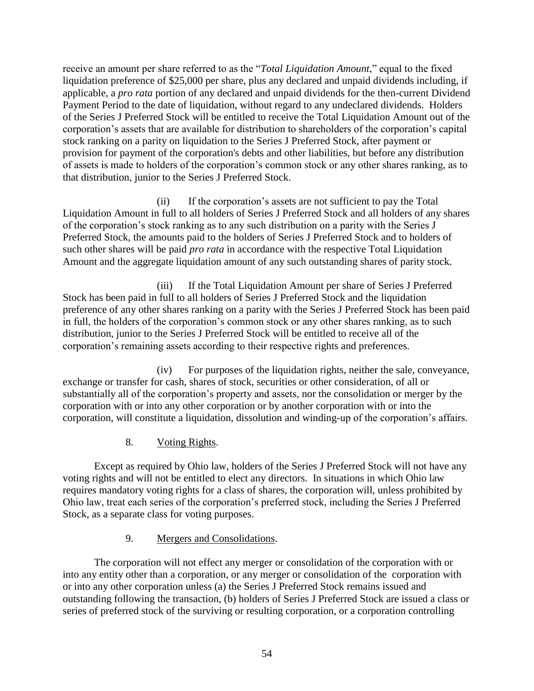receive an amount per share referred to as the "*Total Liquidation Amount*," equal to the fixed liquidation preference of \$25,000 per share, plus any declared and unpaid dividends including, if applicable, a *pro rata* portion of any declared and unpaid dividends for the then-current Dividend Payment Period to the date of liquidation, without regard to any undeclared dividends. Holders of the Series J Preferred Stock will be entitled to receive the Total Liquidation Amount out of the corporation's assets that are available for distribution to shareholders of the corporation's capital stock ranking on a parity on liquidation to the Series J Preferred Stock, after payment or provision for payment of the corporation's debts and other liabilities, but before any distribution of assets is made to holders of the corporation's common stock or any other shares ranking, as to that distribution, junior to the Series J Preferred Stock.

(ii) If the corporation's assets are not sufficient to pay the Total Liquidation Amount in full to all holders of Series J Preferred Stock and all holders of any shares of the corporation's stock ranking as to any such distribution on a parity with the Series J Preferred Stock, the amounts paid to the holders of Series J Preferred Stock and to holders of such other shares will be paid *pro rata* in accordance with the respective Total Liquidation Amount and the aggregate liquidation amount of any such outstanding shares of parity stock.

(iii) If the Total Liquidation Amount per share of Series J Preferred Stock has been paid in full to all holders of Series J Preferred Stock and the liquidation preference of any other shares ranking on a parity with the Series J Preferred Stock has been paid in full, the holders of the corporation's common stock or any other shares ranking, as to such distribution, junior to the Series J Preferred Stock will be entitled to receive all of the corporation's remaining assets according to their respective rights and preferences.

(iv) For purposes of the liquidation rights, neither the sale, conveyance, exchange or transfer for cash, shares of stock, securities or other consideration, of all or substantially all of the corporation's property and assets, nor the consolidation or merger by the corporation with or into any other corporation or by another corporation with or into the corporation, will constitute a liquidation, dissolution and winding-up of the corporation's affairs.

8. Voting Rights.

Except as required by Ohio law, holders of the Series J Preferred Stock will not have any voting rights and will not be entitled to elect any directors. In situations in which Ohio law requires mandatory voting rights for a class of shares, the corporation will, unless prohibited by Ohio law, treat each series of the corporation's preferred stock, including the Series J Preferred Stock, as a separate class for voting purposes.

# 9. Mergers and Consolidations.

The corporation will not effect any merger or consolidation of the corporation with or into any entity other than a corporation, or any merger or consolidation of the corporation with or into any other corporation unless (a) the Series J Preferred Stock remains issued and outstanding following the transaction, (b) holders of Series J Preferred Stock are issued a class or series of preferred stock of the surviving or resulting corporation, or a corporation controlling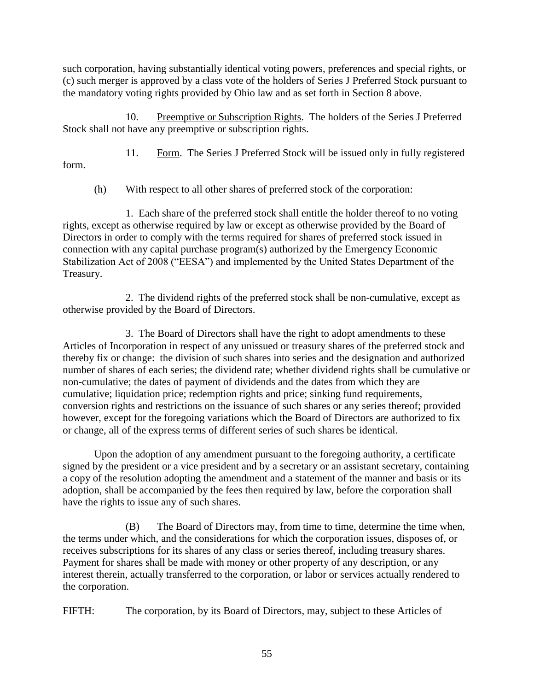such corporation, having substantially identical voting powers, preferences and special rights, or (c) such merger is approved by a class vote of the holders of Series J Preferred Stock pursuant to the mandatory voting rights provided by Ohio law and as set forth in Section 8 above.

10. Preemptive or Subscription Rights. The holders of the Series J Preferred Stock shall not have any preemptive or subscription rights.

11. Form. The Series J Preferred Stock will be issued only in fully registered form.

(h) With respect to all other shares of preferred stock of the corporation:

1. Each share of the preferred stock shall entitle the holder thereof to no voting rights, except as otherwise required by law or except as otherwise provided by the Board of Directors in order to comply with the terms required for shares of preferred stock issued in connection with any capital purchase program(s) authorized by the Emergency Economic Stabilization Act of 2008 ("EESA") and implemented by the United States Department of the Treasury.

2. The dividend rights of the preferred stock shall be non-cumulative, except as otherwise provided by the Board of Directors.

3. The Board of Directors shall have the right to adopt amendments to these Articles of Incorporation in respect of any unissued or treasury shares of the preferred stock and thereby fix or change: the division of such shares into series and the designation and authorized number of shares of each series; the dividend rate; whether dividend rights shall be cumulative or non-cumulative; the dates of payment of dividends and the dates from which they are cumulative; liquidation price; redemption rights and price; sinking fund requirements, conversion rights and restrictions on the issuance of such shares or any series thereof; provided however, except for the foregoing variations which the Board of Directors are authorized to fix or change, all of the express terms of different series of such shares be identical.

Upon the adoption of any amendment pursuant to the foregoing authority, a certificate signed by the president or a vice president and by a secretary or an assistant secretary, containing a copy of the resolution adopting the amendment and a statement of the manner and basis or its adoption, shall be accompanied by the fees then required by law, before the corporation shall have the rights to issue any of such shares.

(B) The Board of Directors may, from time to time, determine the time when, the terms under which, and the considerations for which the corporation issues, disposes of, or receives subscriptions for its shares of any class or series thereof, including treasury shares. Payment for shares shall be made with money or other property of any description, or any interest therein, actually transferred to the corporation, or labor or services actually rendered to the corporation.

FIFTH: The corporation, by its Board of Directors, may, subject to these Articles of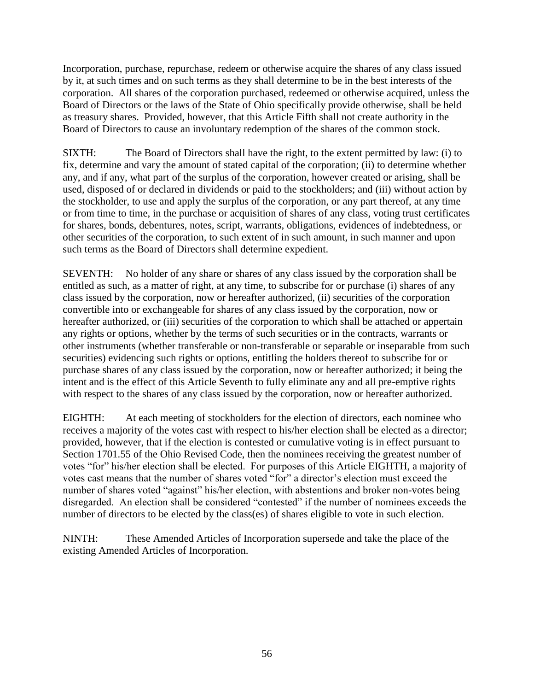Incorporation, purchase, repurchase, redeem or otherwise acquire the shares of any class issued by it, at such times and on such terms as they shall determine to be in the best interests of the corporation. All shares of the corporation purchased, redeemed or otherwise acquired, unless the Board of Directors or the laws of the State of Ohio specifically provide otherwise, shall be held as treasury shares. Provided, however, that this Article Fifth shall not create authority in the Board of Directors to cause an involuntary redemption of the shares of the common stock.

SIXTH: The Board of Directors shall have the right, to the extent permitted by law: (i) to fix, determine and vary the amount of stated capital of the corporation; (ii) to determine whether any, and if any, what part of the surplus of the corporation, however created or arising, shall be used, disposed of or declared in dividends or paid to the stockholders; and (iii) without action by the stockholder, to use and apply the surplus of the corporation, or any part thereof, at any time or from time to time, in the purchase or acquisition of shares of any class, voting trust certificates for shares, bonds, debentures, notes, script, warrants, obligations, evidences of indebtedness, or other securities of the corporation, to such extent of in such amount, in such manner and upon such terms as the Board of Directors shall determine expedient.

SEVENTH: No holder of any share or shares of any class issued by the corporation shall be entitled as such, as a matter of right, at any time, to subscribe for or purchase (i) shares of any class issued by the corporation, now or hereafter authorized, (ii) securities of the corporation convertible into or exchangeable for shares of any class issued by the corporation, now or hereafter authorized, or (iii) securities of the corporation to which shall be attached or appertain any rights or options, whether by the terms of such securities or in the contracts, warrants or other instruments (whether transferable or non-transferable or separable or inseparable from such securities) evidencing such rights or options, entitling the holders thereof to subscribe for or purchase shares of any class issued by the corporation, now or hereafter authorized; it being the intent and is the effect of this Article Seventh to fully eliminate any and all pre-emptive rights with respect to the shares of any class issued by the corporation, now or hereafter authorized.

EIGHTH: At each meeting of stockholders for the election of directors, each nominee who receives a majority of the votes cast with respect to his/her election shall be elected as a director; provided, however, that if the election is contested or cumulative voting is in effect pursuant to Section 1701.55 of the Ohio Revised Code, then the nominees receiving the greatest number of votes "for" his/her election shall be elected. For purposes of this Article EIGHTH, a majority of votes cast means that the number of shares voted "for" a director's election must exceed the number of shares voted "against" his/her election, with abstentions and broker non-votes being disregarded. An election shall be considered "contested" if the number of nominees exceeds the number of directors to be elected by the class(es) of shares eligible to vote in such election.

NINTH: These Amended Articles of Incorporation supersede and take the place of the existing Amended Articles of Incorporation.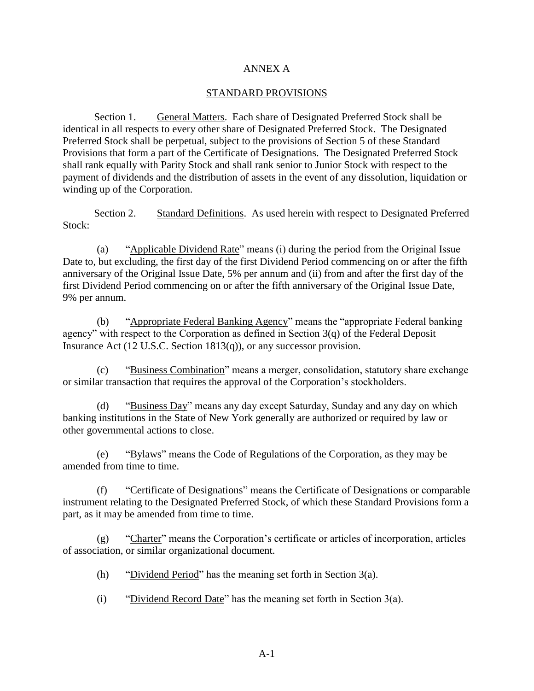#### ANNEX A

#### STANDARD PROVISIONS

Section 1. General Matters. Each share of Designated Preferred Stock shall be identical in all respects to every other share of Designated Preferred Stock. The Designated Preferred Stock shall be perpetual, subject to the provisions of Section 5 of these Standard Provisions that form a part of the Certificate of Designations. The Designated Preferred Stock shall rank equally with Parity Stock and shall rank senior to Junior Stock with respect to the payment of dividends and the distribution of assets in the event of any dissolution, liquidation or winding up of the Corporation.

Section 2. Standard Definitions. As used herein with respect to Designated Preferred Stock:

(a) "Applicable Dividend Rate" means (i) during the period from the Original Issue Date to, but excluding, the first day of the first Dividend Period commencing on or after the fifth anniversary of the Original Issue Date, 5% per annum and (ii) from and after the first day of the first Dividend Period commencing on or after the fifth anniversary of the Original Issue Date, 9% per annum.

(b) "Appropriate Federal Banking Agency" means the "appropriate Federal banking agency" with respect to the Corporation as defined in Section 3(q) of the Federal Deposit Insurance Act (12 U.S.C. Section 1813(q)), or any successor provision.

(c) "Business Combination" means a merger, consolidation, statutory share exchange or similar transaction that requires the approval of the Corporation's stockholders.

(d) "Business Day" means any day except Saturday, Sunday and any day on which banking institutions in the State of New York generally are authorized or required by law or other governmental actions to close.

(e) "Bylaws" means the Code of Regulations of the Corporation, as they may be amended from time to time.

(f) "Certificate of Designations" means the Certificate of Designations or comparable instrument relating to the Designated Preferred Stock, of which these Standard Provisions form a part, as it may be amended from time to time.

(g) "Charter" means the Corporation's certificate or articles of incorporation, articles of association, or similar organizational document.

- (h) "Dividend Period" has the meaning set forth in Section 3(a).
- (i) "Dividend Record Date" has the meaning set forth in Section 3(a).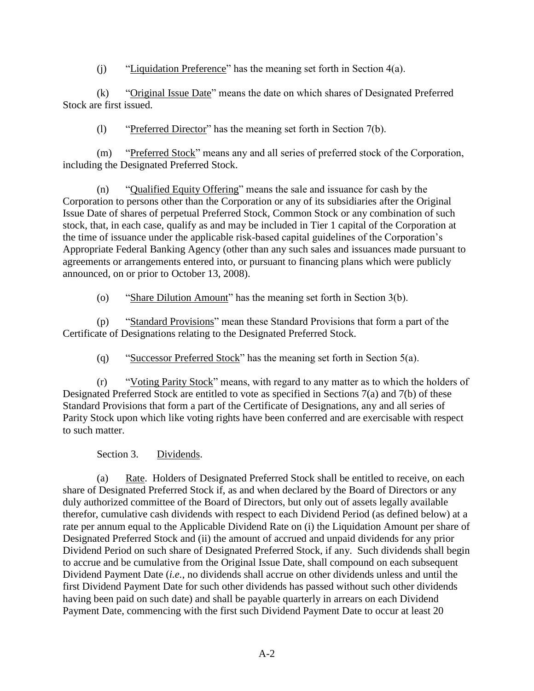(j) "Liquidation Preference" has the meaning set forth in Section 4(a).

(k) "Original Issue Date" means the date on which shares of Designated Preferred Stock are first issued.

(l) "Preferred Director" has the meaning set forth in Section 7(b).

(m) "Preferred Stock" means any and all series of preferred stock of the Corporation, including the Designated Preferred Stock.

(n) "Qualified Equity Offering" means the sale and issuance for cash by the Corporation to persons other than the Corporation or any of its subsidiaries after the Original Issue Date of shares of perpetual Preferred Stock, Common Stock or any combination of such stock, that, in each case, qualify as and may be included in Tier 1 capital of the Corporation at the time of issuance under the applicable risk-based capital guidelines of the Corporation's Appropriate Federal Banking Agency (other than any such sales and issuances made pursuant to agreements or arrangements entered into, or pursuant to financing plans which were publicly announced, on or prior to October 13, 2008).

(o) "Share Dilution Amount" has the meaning set forth in Section 3(b).

(p) "Standard Provisions" mean these Standard Provisions that form a part of the Certificate of Designations relating to the Designated Preferred Stock.

(q) "Successor Preferred Stock" has the meaning set forth in Section 5(a).

(r) "Voting Parity Stock" means, with regard to any matter as to which the holders of Designated Preferred Stock are entitled to vote as specified in Sections 7(a) and 7(b) of these Standard Provisions that form a part of the Certificate of Designations, any and all series of Parity Stock upon which like voting rights have been conferred and are exercisable with respect to such matter.

Section 3. Dividends.

(a) Rate. Holders of Designated Preferred Stock shall be entitled to receive, on each share of Designated Preferred Stock if, as and when declared by the Board of Directors or any duly authorized committee of the Board of Directors, but only out of assets legally available therefor, cumulative cash dividends with respect to each Dividend Period (as defined below) at a rate per annum equal to the Applicable Dividend Rate on (i) the Liquidation Amount per share of Designated Preferred Stock and (ii) the amount of accrued and unpaid dividends for any prior Dividend Period on such share of Designated Preferred Stock, if any. Such dividends shall begin to accrue and be cumulative from the Original Issue Date, shall compound on each subsequent Dividend Payment Date (*i.e.*, no dividends shall accrue on other dividends unless and until the first Dividend Payment Date for such other dividends has passed without such other dividends having been paid on such date) and shall be payable quarterly in arrears on each Dividend Payment Date, commencing with the first such Dividend Payment Date to occur at least 20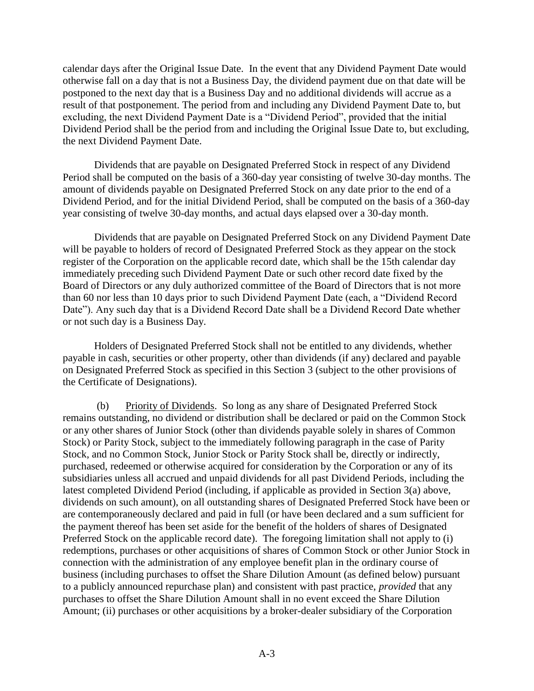calendar days after the Original Issue Date. In the event that any Dividend Payment Date would otherwise fall on a day that is not a Business Day, the dividend payment due on that date will be postponed to the next day that is a Business Day and no additional dividends will accrue as a result of that postponement. The period from and including any Dividend Payment Date to, but excluding, the next Dividend Payment Date is a "Dividend Period", provided that the initial Dividend Period shall be the period from and including the Original Issue Date to, but excluding, the next Dividend Payment Date.

Dividends that are payable on Designated Preferred Stock in respect of any Dividend Period shall be computed on the basis of a 360-day year consisting of twelve 30-day months. The amount of dividends payable on Designated Preferred Stock on any date prior to the end of a Dividend Period, and for the initial Dividend Period, shall be computed on the basis of a 360-day year consisting of twelve 30-day months, and actual days elapsed over a 30-day month.

Dividends that are payable on Designated Preferred Stock on any Dividend Payment Date will be payable to holders of record of Designated Preferred Stock as they appear on the stock register of the Corporation on the applicable record date, which shall be the 15th calendar day immediately preceding such Dividend Payment Date or such other record date fixed by the Board of Directors or any duly authorized committee of the Board of Directors that is not more than 60 nor less than 10 days prior to such Dividend Payment Date (each, a "Dividend Record Date"). Any such day that is a Dividend Record Date shall be a Dividend Record Date whether or not such day is a Business Day.

Holders of Designated Preferred Stock shall not be entitled to any dividends, whether payable in cash, securities or other property, other than dividends (if any) declared and payable on Designated Preferred Stock as specified in this Section 3 (subject to the other provisions of the Certificate of Designations).

(b) Priority of Dividends. So long as any share of Designated Preferred Stock remains outstanding, no dividend or distribution shall be declared or paid on the Common Stock or any other shares of Junior Stock (other than dividends payable solely in shares of Common Stock) or Parity Stock, subject to the immediately following paragraph in the case of Parity Stock, and no Common Stock, Junior Stock or Parity Stock shall be, directly or indirectly, purchased, redeemed or otherwise acquired for consideration by the Corporation or any of its subsidiaries unless all accrued and unpaid dividends for all past Dividend Periods, including the latest completed Dividend Period (including, if applicable as provided in Section 3(a) above, dividends on such amount), on all outstanding shares of Designated Preferred Stock have been or are contemporaneously declared and paid in full (or have been declared and a sum sufficient for the payment thereof has been set aside for the benefit of the holders of shares of Designated Preferred Stock on the applicable record date). The foregoing limitation shall not apply to (i) redemptions, purchases or other acquisitions of shares of Common Stock or other Junior Stock in connection with the administration of any employee benefit plan in the ordinary course of business (including purchases to offset the Share Dilution Amount (as defined below) pursuant to a publicly announced repurchase plan) and consistent with past practice, *provided* that any purchases to offset the Share Dilution Amount shall in no event exceed the Share Dilution Amount; (ii) purchases or other acquisitions by a broker-dealer subsidiary of the Corporation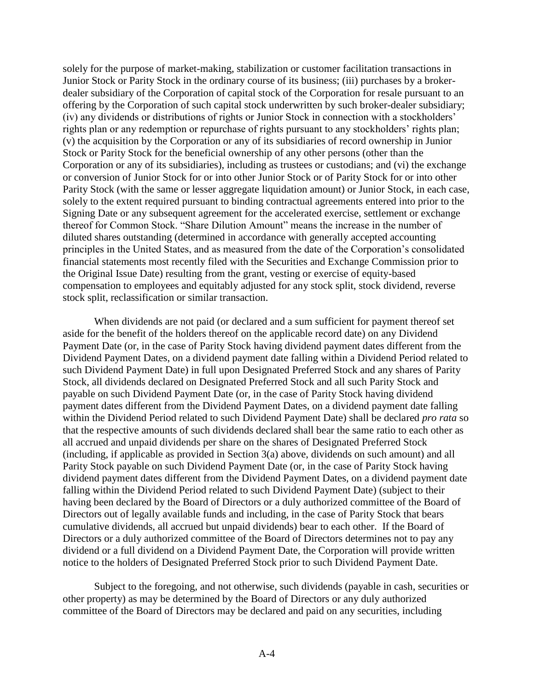solely for the purpose of market-making, stabilization or customer facilitation transactions in Junior Stock or Parity Stock in the ordinary course of its business; (iii) purchases by a brokerdealer subsidiary of the Corporation of capital stock of the Corporation for resale pursuant to an offering by the Corporation of such capital stock underwritten by such broker-dealer subsidiary; (iv) any dividends or distributions of rights or Junior Stock in connection with a stockholders' rights plan or any redemption or repurchase of rights pursuant to any stockholders' rights plan; (v) the acquisition by the Corporation or any of its subsidiaries of record ownership in Junior Stock or Parity Stock for the beneficial ownership of any other persons (other than the Corporation or any of its subsidiaries), including as trustees or custodians; and (vi) the exchange or conversion of Junior Stock for or into other Junior Stock or of Parity Stock for or into other Parity Stock (with the same or lesser aggregate liquidation amount) or Junior Stock, in each case, solely to the extent required pursuant to binding contractual agreements entered into prior to the Signing Date or any subsequent agreement for the accelerated exercise, settlement or exchange thereof for Common Stock. "Share Dilution Amount" means the increase in the number of diluted shares outstanding (determined in accordance with generally accepted accounting principles in the United States, and as measured from the date of the Corporation's consolidated financial statements most recently filed with the Securities and Exchange Commission prior to the Original Issue Date) resulting from the grant, vesting or exercise of equity-based compensation to employees and equitably adjusted for any stock split, stock dividend, reverse stock split, reclassification or similar transaction.

When dividends are not paid (or declared and a sum sufficient for payment thereof set aside for the benefit of the holders thereof on the applicable record date) on any Dividend Payment Date (or, in the case of Parity Stock having dividend payment dates different from the Dividend Payment Dates, on a dividend payment date falling within a Dividend Period related to such Dividend Payment Date) in full upon Designated Preferred Stock and any shares of Parity Stock, all dividends declared on Designated Preferred Stock and all such Parity Stock and payable on such Dividend Payment Date (or, in the case of Parity Stock having dividend payment dates different from the Dividend Payment Dates, on a dividend payment date falling within the Dividend Period related to such Dividend Payment Date) shall be declared *pro rata* so that the respective amounts of such dividends declared shall bear the same ratio to each other as all accrued and unpaid dividends per share on the shares of Designated Preferred Stock (including, if applicable as provided in Section 3(a) above, dividends on such amount) and all Parity Stock payable on such Dividend Payment Date (or, in the case of Parity Stock having dividend payment dates different from the Dividend Payment Dates, on a dividend payment date falling within the Dividend Period related to such Dividend Payment Date) (subject to their having been declared by the Board of Directors or a duly authorized committee of the Board of Directors out of legally available funds and including, in the case of Parity Stock that bears cumulative dividends, all accrued but unpaid dividends) bear to each other. If the Board of Directors or a duly authorized committee of the Board of Directors determines not to pay any dividend or a full dividend on a Dividend Payment Date, the Corporation will provide written notice to the holders of Designated Preferred Stock prior to such Dividend Payment Date.

Subject to the foregoing, and not otherwise, such dividends (payable in cash, securities or other property) as may be determined by the Board of Directors or any duly authorized committee of the Board of Directors may be declared and paid on any securities, including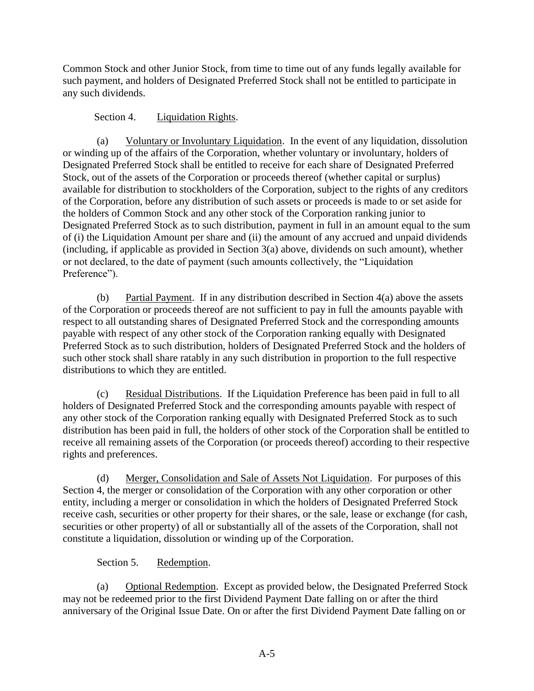Common Stock and other Junior Stock, from time to time out of any funds legally available for such payment, and holders of Designated Preferred Stock shall not be entitled to participate in any such dividends.

### Section 4. Liquidation Rights.

(a) Voluntary or Involuntary Liquidation. In the event of any liquidation, dissolution or winding up of the affairs of the Corporation, whether voluntary or involuntary, holders of Designated Preferred Stock shall be entitled to receive for each share of Designated Preferred Stock, out of the assets of the Corporation or proceeds thereof (whether capital or surplus) available for distribution to stockholders of the Corporation, subject to the rights of any creditors of the Corporation, before any distribution of such assets or proceeds is made to or set aside for the holders of Common Stock and any other stock of the Corporation ranking junior to Designated Preferred Stock as to such distribution, payment in full in an amount equal to the sum of (i) the Liquidation Amount per share and (ii) the amount of any accrued and unpaid dividends (including, if applicable as provided in Section 3(a) above, dividends on such amount), whether or not declared, to the date of payment (such amounts collectively, the "Liquidation Preference").

(b) Partial Payment. If in any distribution described in Section 4(a) above the assets of the Corporation or proceeds thereof are not sufficient to pay in full the amounts payable with respect to all outstanding shares of Designated Preferred Stock and the corresponding amounts payable with respect of any other stock of the Corporation ranking equally with Designated Preferred Stock as to such distribution, holders of Designated Preferred Stock and the holders of such other stock shall share ratably in any such distribution in proportion to the full respective distributions to which they are entitled.

(c) Residual Distributions. If the Liquidation Preference has been paid in full to all holders of Designated Preferred Stock and the corresponding amounts payable with respect of any other stock of the Corporation ranking equally with Designated Preferred Stock as to such distribution has been paid in full, the holders of other stock of the Corporation shall be entitled to receive all remaining assets of the Corporation (or proceeds thereof) according to their respective rights and preferences.

(d) Merger, Consolidation and Sale of Assets Not Liquidation. For purposes of this Section 4, the merger or consolidation of the Corporation with any other corporation or other entity, including a merger or consolidation in which the holders of Designated Preferred Stock receive cash, securities or other property for their shares, or the sale, lease or exchange (for cash, securities or other property) of all or substantially all of the assets of the Corporation, shall not constitute a liquidation, dissolution or winding up of the Corporation.

# Section 5. Redemption.

(a) Optional Redemption. Except as provided below, the Designated Preferred Stock may not be redeemed prior to the first Dividend Payment Date falling on or after the third anniversary of the Original Issue Date. On or after the first Dividend Payment Date falling on or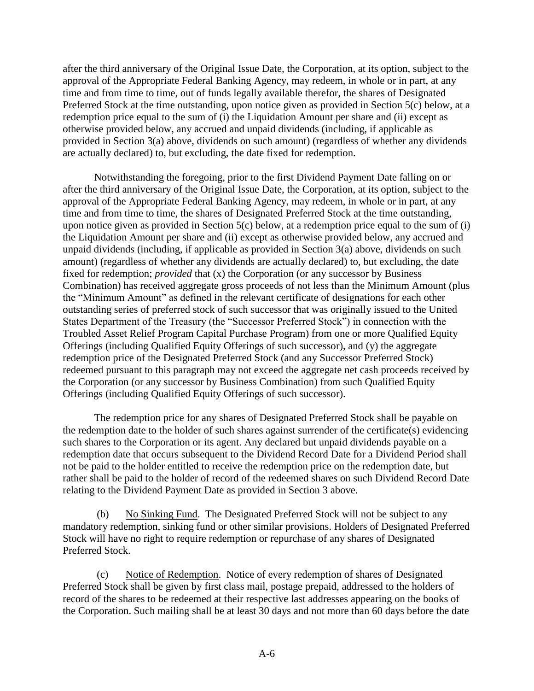after the third anniversary of the Original Issue Date, the Corporation, at its option, subject to the approval of the Appropriate Federal Banking Agency, may redeem, in whole or in part, at any time and from time to time, out of funds legally available therefor, the shares of Designated Preferred Stock at the time outstanding, upon notice given as provided in Section 5(c) below, at a redemption price equal to the sum of (i) the Liquidation Amount per share and (ii) except as otherwise provided below, any accrued and unpaid dividends (including, if applicable as provided in Section 3(a) above, dividends on such amount) (regardless of whether any dividends are actually declared) to, but excluding, the date fixed for redemption.

Notwithstanding the foregoing, prior to the first Dividend Payment Date falling on or after the third anniversary of the Original Issue Date, the Corporation, at its option, subject to the approval of the Appropriate Federal Banking Agency, may redeem, in whole or in part, at any time and from time to time, the shares of Designated Preferred Stock at the time outstanding, upon notice given as provided in Section 5(c) below, at a redemption price equal to the sum of (i) the Liquidation Amount per share and (ii) except as otherwise provided below, any accrued and unpaid dividends (including, if applicable as provided in Section 3(a) above, dividends on such amount) (regardless of whether any dividends are actually declared) to, but excluding, the date fixed for redemption; *provided* that (x) the Corporation (or any successor by Business Combination) has received aggregate gross proceeds of not less than the Minimum Amount (plus the "Minimum Amount" as defined in the relevant certificate of designations for each other outstanding series of preferred stock of such successor that was originally issued to the United States Department of the Treasury (the "Successor Preferred Stock") in connection with the Troubled Asset Relief Program Capital Purchase Program) from one or more Qualified Equity Offerings (including Qualified Equity Offerings of such successor), and (y) the aggregate redemption price of the Designated Preferred Stock (and any Successor Preferred Stock) redeemed pursuant to this paragraph may not exceed the aggregate net cash proceeds received by the Corporation (or any successor by Business Combination) from such Qualified Equity Offerings (including Qualified Equity Offerings of such successor).

The redemption price for any shares of Designated Preferred Stock shall be payable on the redemption date to the holder of such shares against surrender of the certificate(s) evidencing such shares to the Corporation or its agent. Any declared but unpaid dividends payable on a redemption date that occurs subsequent to the Dividend Record Date for a Dividend Period shall not be paid to the holder entitled to receive the redemption price on the redemption date, but rather shall be paid to the holder of record of the redeemed shares on such Dividend Record Date relating to the Dividend Payment Date as provided in Section 3 above.

(b) No Sinking Fund. The Designated Preferred Stock will not be subject to any mandatory redemption, sinking fund or other similar provisions. Holders of Designated Preferred Stock will have no right to require redemption or repurchase of any shares of Designated Preferred Stock.

(c) Notice of Redemption. Notice of every redemption of shares of Designated Preferred Stock shall be given by first class mail, postage prepaid, addressed to the holders of record of the shares to be redeemed at their respective last addresses appearing on the books of the Corporation. Such mailing shall be at least 30 days and not more than 60 days before the date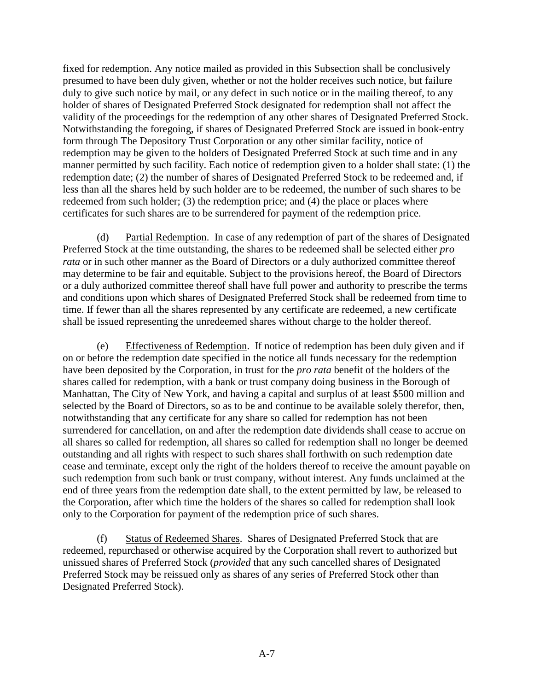fixed for redemption. Any notice mailed as provided in this Subsection shall be conclusively presumed to have been duly given, whether or not the holder receives such notice, but failure duly to give such notice by mail, or any defect in such notice or in the mailing thereof, to any holder of shares of Designated Preferred Stock designated for redemption shall not affect the validity of the proceedings for the redemption of any other shares of Designated Preferred Stock. Notwithstanding the foregoing, if shares of Designated Preferred Stock are issued in book-entry form through The Depository Trust Corporation or any other similar facility, notice of redemption may be given to the holders of Designated Preferred Stock at such time and in any manner permitted by such facility. Each notice of redemption given to a holder shall state: (1) the redemption date; (2) the number of shares of Designated Preferred Stock to be redeemed and, if less than all the shares held by such holder are to be redeemed, the number of such shares to be redeemed from such holder; (3) the redemption price; and (4) the place or places where certificates for such shares are to be surrendered for payment of the redemption price.

(d) Partial Redemption. In case of any redemption of part of the shares of Designated Preferred Stock at the time outstanding, the shares to be redeemed shall be selected either *pro rata* or in such other manner as the Board of Directors or a duly authorized committee thereof may determine to be fair and equitable. Subject to the provisions hereof, the Board of Directors or a duly authorized committee thereof shall have full power and authority to prescribe the terms and conditions upon which shares of Designated Preferred Stock shall be redeemed from time to time. If fewer than all the shares represented by any certificate are redeemed, a new certificate shall be issued representing the unredeemed shares without charge to the holder thereof.

(e) Effectiveness of Redemption. If notice of redemption has been duly given and if on or before the redemption date specified in the notice all funds necessary for the redemption have been deposited by the Corporation, in trust for the *pro rata* benefit of the holders of the shares called for redemption, with a bank or trust company doing business in the Borough of Manhattan, The City of New York, and having a capital and surplus of at least \$500 million and selected by the Board of Directors, so as to be and continue to be available solely therefor, then, notwithstanding that any certificate for any share so called for redemption has not been surrendered for cancellation, on and after the redemption date dividends shall cease to accrue on all shares so called for redemption, all shares so called for redemption shall no longer be deemed outstanding and all rights with respect to such shares shall forthwith on such redemption date cease and terminate, except only the right of the holders thereof to receive the amount payable on such redemption from such bank or trust company, without interest. Any funds unclaimed at the end of three years from the redemption date shall, to the extent permitted by law, be released to the Corporation, after which time the holders of the shares so called for redemption shall look only to the Corporation for payment of the redemption price of such shares.

(f) Status of Redeemed Shares. Shares of Designated Preferred Stock that are redeemed, repurchased or otherwise acquired by the Corporation shall revert to authorized but unissued shares of Preferred Stock (*provided* that any such cancelled shares of Designated Preferred Stock may be reissued only as shares of any series of Preferred Stock other than Designated Preferred Stock).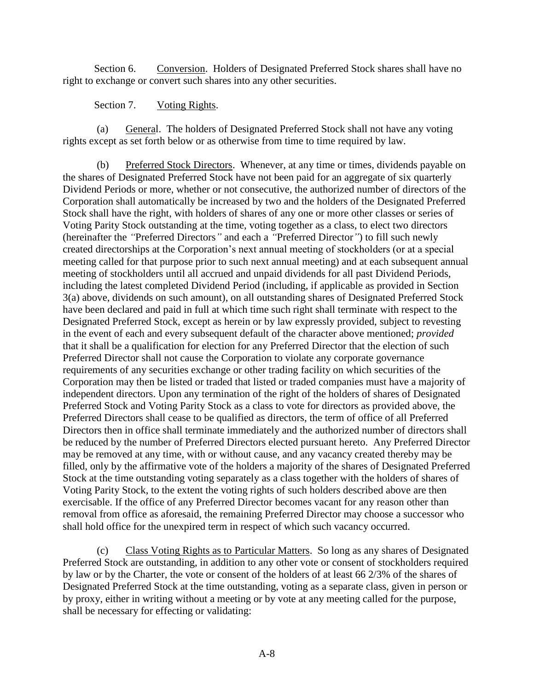Section 6. Conversion. Holders of Designated Preferred Stock shares shall have no right to exchange or convert such shares into any other securities.

#### Section 7. Voting Rights.

(a) General. The holders of Designated Preferred Stock shall not have any voting rights except as set forth below or as otherwise from time to time required by law.

(b) Preferred Stock Directors. Whenever, at any time or times, dividends payable on the shares of Designated Preferred Stock have not been paid for an aggregate of six quarterly Dividend Periods or more, whether or not consecutive, the authorized number of directors of the Corporation shall automatically be increased by two and the holders of the Designated Preferred Stock shall have the right, with holders of shares of any one or more other classes or series of Voting Parity Stock outstanding at the time, voting together as a class, to elect two directors (hereinafter the *"*Preferred Directors*"* and each a *"*Preferred Director*"*) to fill such newly created directorships at the Corporation's next annual meeting of stockholders (or at a special meeting called for that purpose prior to such next annual meeting) and at each subsequent annual meeting of stockholders until all accrued and unpaid dividends for all past Dividend Periods, including the latest completed Dividend Period (including, if applicable as provided in Section 3(a) above, dividends on such amount), on all outstanding shares of Designated Preferred Stock have been declared and paid in full at which time such right shall terminate with respect to the Designated Preferred Stock, except as herein or by law expressly provided, subject to revesting in the event of each and every subsequent default of the character above mentioned; *provided*  that it shall be a qualification for election for any Preferred Director that the election of such Preferred Director shall not cause the Corporation to violate any corporate governance requirements of any securities exchange or other trading facility on which securities of the Corporation may then be listed or traded that listed or traded companies must have a majority of independent directors. Upon any termination of the right of the holders of shares of Designated Preferred Stock and Voting Parity Stock as a class to vote for directors as provided above, the Preferred Directors shall cease to be qualified as directors, the term of office of all Preferred Directors then in office shall terminate immediately and the authorized number of directors shall be reduced by the number of Preferred Directors elected pursuant hereto. Any Preferred Director may be removed at any time, with or without cause, and any vacancy created thereby may be filled, only by the affirmative vote of the holders a majority of the shares of Designated Preferred Stock at the time outstanding voting separately as a class together with the holders of shares of Voting Parity Stock, to the extent the voting rights of such holders described above are then exercisable. If the office of any Preferred Director becomes vacant for any reason other than removal from office as aforesaid, the remaining Preferred Director may choose a successor who shall hold office for the unexpired term in respect of which such vacancy occurred.

(c) Class Voting Rights as to Particular Matters. So long as any shares of Designated Preferred Stock are outstanding, in addition to any other vote or consent of stockholders required by law or by the Charter, the vote or consent of the holders of at least 66 2/3% of the shares of Designated Preferred Stock at the time outstanding, voting as a separate class, given in person or by proxy, either in writing without a meeting or by vote at any meeting called for the purpose, shall be necessary for effecting or validating: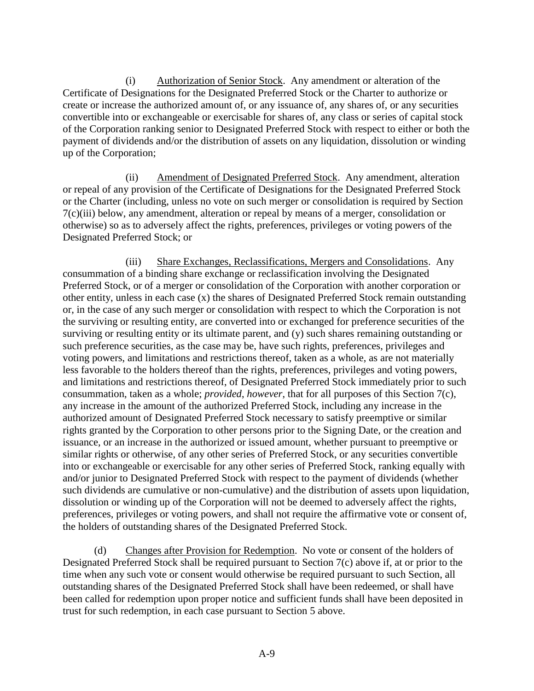(i) Authorization of Senior Stock. Any amendment or alteration of the Certificate of Designations for the Designated Preferred Stock or the Charter to authorize or create or increase the authorized amount of, or any issuance of, any shares of, or any securities convertible into or exchangeable or exercisable for shares of, any class or series of capital stock of the Corporation ranking senior to Designated Preferred Stock with respect to either or both the payment of dividends and/or the distribution of assets on any liquidation, dissolution or winding up of the Corporation;

(ii) Amendment of Designated Preferred Stock. Any amendment, alteration or repeal of any provision of the Certificate of Designations for the Designated Preferred Stock or the Charter (including, unless no vote on such merger or consolidation is required by Section 7(c)(iii) below, any amendment, alteration or repeal by means of a merger, consolidation or otherwise) so as to adversely affect the rights, preferences, privileges or voting powers of the Designated Preferred Stock; or

(iii) Share Exchanges, Reclassifications, Mergers and Consolidations. Any consummation of a binding share exchange or reclassification involving the Designated Preferred Stock, or of a merger or consolidation of the Corporation with another corporation or other entity, unless in each case (x) the shares of Designated Preferred Stock remain outstanding or, in the case of any such merger or consolidation with respect to which the Corporation is not the surviving or resulting entity, are converted into or exchanged for preference securities of the surviving or resulting entity or its ultimate parent, and (y) such shares remaining outstanding or such preference securities, as the case may be, have such rights, preferences, privileges and voting powers, and limitations and restrictions thereof, taken as a whole, as are not materially less favorable to the holders thereof than the rights, preferences, privileges and voting powers, and limitations and restrictions thereof, of Designated Preferred Stock immediately prior to such consummation, taken as a whole; *provided*, *however*, that for all purposes of this Section 7(c), any increase in the amount of the authorized Preferred Stock, including any increase in the authorized amount of Designated Preferred Stock necessary to satisfy preemptive or similar rights granted by the Corporation to other persons prior to the Signing Date, or the creation and issuance, or an increase in the authorized or issued amount, whether pursuant to preemptive or similar rights or otherwise, of any other series of Preferred Stock, or any securities convertible into or exchangeable or exercisable for any other series of Preferred Stock, ranking equally with and/or junior to Designated Preferred Stock with respect to the payment of dividends (whether such dividends are cumulative or non-cumulative) and the distribution of assets upon liquidation, dissolution or winding up of the Corporation will not be deemed to adversely affect the rights, preferences, privileges or voting powers, and shall not require the affirmative vote or consent of, the holders of outstanding shares of the Designated Preferred Stock.

(d) Changes after Provision for Redemption. No vote or consent of the holders of Designated Preferred Stock shall be required pursuant to Section 7(c) above if, at or prior to the time when any such vote or consent would otherwise be required pursuant to such Section, all outstanding shares of the Designated Preferred Stock shall have been redeemed, or shall have been called for redemption upon proper notice and sufficient funds shall have been deposited in trust for such redemption, in each case pursuant to Section 5 above.